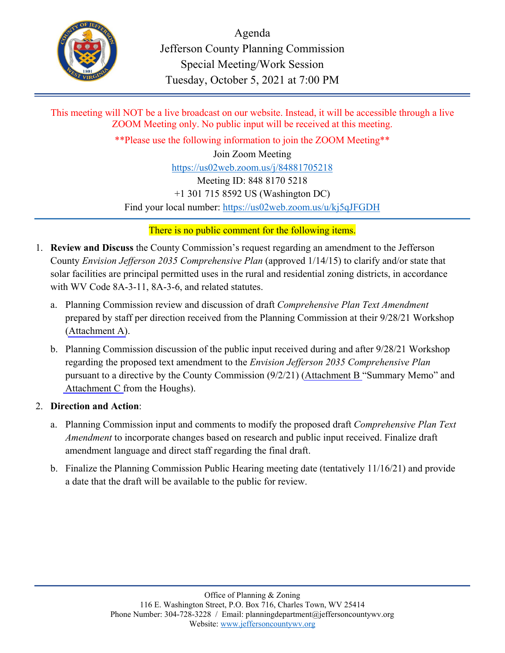

Agenda Jefferson County Planning Commission Special Meeting/Work Session Tuesday, October 5, 2021 at 7:00 PM

This meeting will NOT be a live broadcast on our website. Instead, it will be accessible through a live ZOOM Meeting only. No public input will be received at this meeting.

\*\*Please use the following information to join the ZOOM Meeting\*\* Join Zoom Meeting https://us02web.zoom.us/j/84881705218 Meeting ID: 848 8170 5218 +1 301 715 8592 US (Washington DC) Find your local number: https://us02web.zoom.us/u/kj5qJFGDH

There is no public comment for the following items.

- 1. **Review and Discuss** the County Commission's request regarding an amendment to the Jefferson County *Envision Jefferson 2035 Comprehensive Plan* (approved 1/14/15) to clarify and/or state that solar facilities are principal permitted uses in the rural and residential zoning districts, in accordance with WV Code 8A-3-11, 8A-3-6, and related statutes.
	- a. Planning Commission review and discussion of draft *Comprehensive Plan Text Amendment* prepared by staff per direction received from the Planning Commission at their 9/28/21 Workshop [\(Attachment A\)](#page-2-0).
	- b. Planning Commission discussion of the public input received during and after 9/28/21 Workshop regarding the proposed text amendment to the *Envision Jefferson 2035 Comprehensive Plan* pursuant to a directive by the County Commission (9/2/21) [\(Attachment B](#page-50-0) "Summary Memo" and [Attachment C f](#page-52-0)rom the Houghs).

## 2. **Direction and Action**:

- a. Planning Commission input and comments to modify the proposed draft *Comprehensive Plan Text Amendment* to incorporate changes based on research and public input received. Finalize draft amendment language and direct staff regarding the final draft.
- b. Finalize the Planning Commission Public Hearing meeting date (tentatively 11/16/21) and provide a date that the draft will be available to the public for review.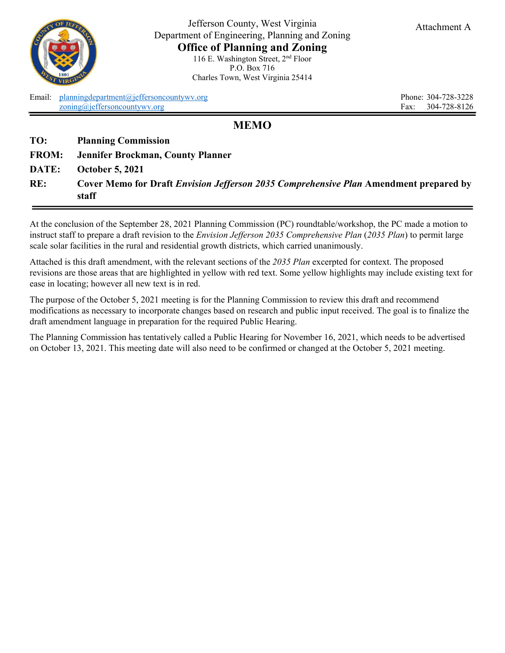<span id="page-2-0"></span>

Jefferson County, West Virginia Department of Engineering, Planning and Zoning **Office of Planning and Zoning** 116 E. Washington Street, 2nd Floor P.O. Box 716 Charles Town, West Virginia 25414

Email: [planningdepartment@jeffersoncountywv.org](mailto:planningdepartment@jeffersoncountywv.org) Phone: 304-728-3228 [zoning@jeffersoncountywv.org](mailto:zoning@jeffersoncountywv.org) Fax: 304-728-8126

## **MEMO**

| RE:          | Cover Memo for Draft <i>Envision Jefferson 2035 Comprehensive Plan</i> Amendment prepared by<br>staff |
|--------------|-------------------------------------------------------------------------------------------------------|
| DATE:        | <b>October 5, 2021</b>                                                                                |
| <b>FROM:</b> | Jennifer Brockman, County Planner                                                                     |
| TO:          | <b>Planning Commission</b>                                                                            |

At the conclusion of the September 28, 2021 Planning Commission (PC) roundtable/workshop, the PC made a motion to instruct staff to prepare a draft revision to the *Envision Jefferson 2035 Comprehensive Plan* (*2035 Plan*) to permit large scale solar facilities in the rural and residential growth districts, which carried unanimously.

Attached is this draft amendment, with the relevant sections of the *2035 Plan* excerpted for context. The proposed revisions are those areas that are highlighted in yellow with red text. Some yellow highlights may include existing text for ease in locating; however all new text is in red.

The purpose of the October 5, 2021 meeting is for the Planning Commission to review this draft and recommend modifications as necessary to incorporate changes based on research and public input received. The goal is to finalize the draft amendment language in preparation for the required Public Hearing.

The Planning Commission has tentatively called a Public Hearing for November 16, 2021, which needs to be advertised on October 13, 2021. This meeting date will also need to be confirmed or changed at the October 5, 2021 meeting.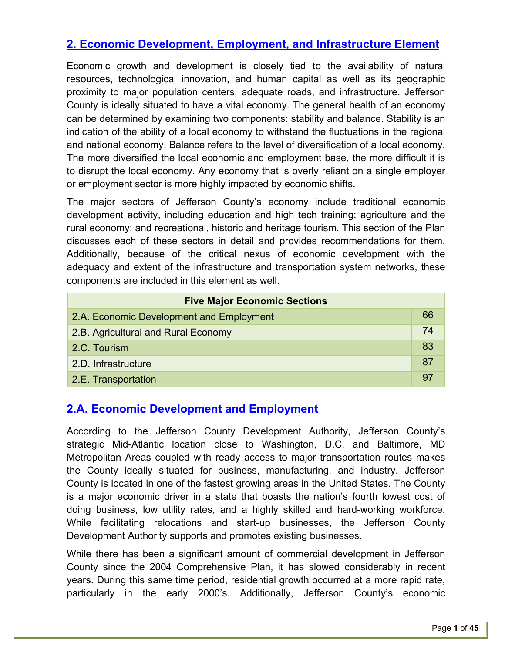# **2. Economic Development, Employment, and Infrastructure Element**

Economic growth and development is closely tied to the availability of natural resources, technological innovation, and human capital as well as its geographic proximity to major population centers, adequate roads, and infrastructure. Jefferson County is ideally situated to have a vital economy. The general health of an economy can be determined by examining two components: stability and balance. Stability is an indication of the ability of a local economy to withstand the fluctuations in the regional and national economy. Balance refers to the level of diversification of a local economy. The more diversified the local economic and employment base, the more difficult it is to disrupt the local economy. Any economy that is overly reliant on a single employer or employment sector is more highly impacted by economic shifts.

The major sectors of Jefferson County's economy include traditional economic development activity, including education and high tech training; agriculture and the rural economy; and recreational, historic and heritage tourism. This section of the Plan discusses each of these sectors in detail and provides recommendations for them. Additionally, because of the critical nexus of economic development with the adequacy and extent of the infrastructure and transportation system networks, these components are included in this element as well.

| <b>Five Major Economic Sections</b>      |    |
|------------------------------------------|----|
| 2.A. Economic Development and Employment | 66 |
| 2.B. Agricultural and Rural Economy      | 74 |
| 2.C. Tourism                             | 83 |
| 2.D. Infrastructure                      | 87 |
| 2.E. Transportation                      | 97 |

## **2.A. Economic Development and Employment**

According to the Jefferson County Development Authority, Jefferson County's strategic Mid-Atlantic location close to Washington, D.C. and Baltimore, MD Metropolitan Areas coupled with ready access to major transportation routes makes the County ideally situated for business, manufacturing, and industry. Jefferson County is located in one of the fastest growing areas in the United States. The County is a major economic driver in a state that boasts the nation's fourth lowest cost of doing business, low utility rates, and a highly skilled and hard-working workforce. While facilitating relocations and start-up businesses, the Jefferson County Development Authority supports and promotes existing businesses.

While there has been a significant amount of commercial development in Jefferson County since the 2004 Comprehensive Plan, it has slowed considerably in recent years. During this same time period, residential growth occurred at a more rapid rate, particularly in the early 2000's. Additionally, Jefferson County's economic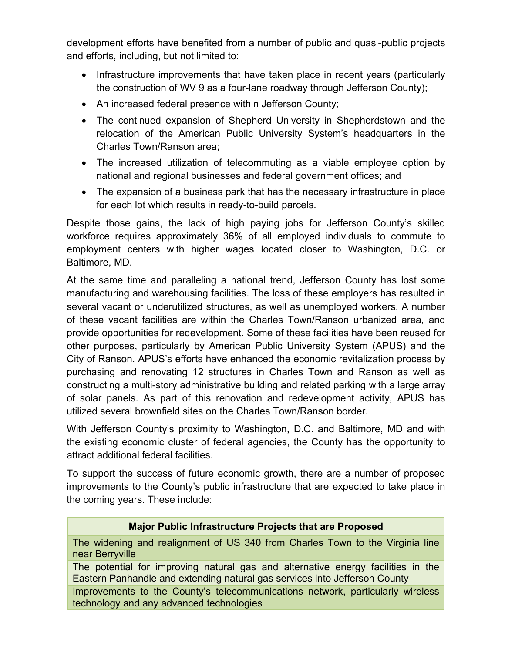development efforts have benefited from a number of public and quasi-public projects and efforts, including, but not limited to:

- Infrastructure improvements that have taken place in recent years (particularly the construction of WV 9 as a four-lane roadway through Jefferson County);
- An increased federal presence within Jefferson County;
- The continued expansion of Shepherd University in Shepherdstown and the relocation of the American Public University System's headquarters in the Charles Town/Ranson area;
- The increased utilization of telecommuting as a viable employee option by national and regional businesses and federal government offices; and
- The expansion of a business park that has the necessary infrastructure in place for each lot which results in ready-to-build parcels.

Despite those gains, the lack of high paying jobs for Jefferson County's skilled workforce requires approximately 36% of all employed individuals to commute to employment centers with higher wages located closer to Washington, D.C. or Baltimore, MD.

At the same time and paralleling a national trend, Jefferson County has lost some manufacturing and warehousing facilities. The loss of these employers has resulted in several vacant or underutilized structures, as well as unemployed workers. A number of these vacant facilities are within the Charles Town/Ranson urbanized area, and provide opportunities for redevelopment. Some of these facilities have been reused for other purposes, particularly by American Public University System (APUS) and the City of Ranson. APUS's efforts have enhanced the economic revitalization process by purchasing and renovating 12 structures in Charles Town and Ranson as well as constructing a multi-story administrative building and related parking with a large array of solar panels. As part of this renovation and redevelopment activity, APUS has utilized several brownfield sites on the Charles Town/Ranson border.

With Jefferson County's proximity to Washington, D.C. and Baltimore, MD and with the existing economic cluster of federal agencies, the County has the opportunity to attract additional federal facilities.

To support the success of future economic growth, there are a number of proposed improvements to the County's public infrastructure that are expected to take place in the coming years. These include:

## **Major Public Infrastructure Projects that are Proposed**

The widening and realignment of US 340 from Charles Town to the Virginia line near Berryville

The potential for improving natural gas and alternative energy facilities in the Eastern Panhandle and extending natural gas services into Jefferson County

Improvements to the County's telecommunications network, particularly wireless technology and any advanced technologies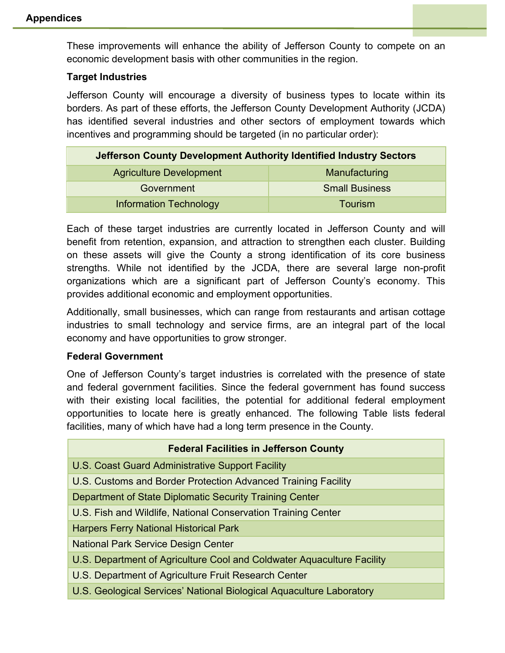These improvements will enhance the ability of Jefferson County to compete on an economic development basis with other communities in the region.

#### **Target Industries**

Jefferson County will encourage a diversity of business types to locate within its borders. As part of these efforts, the Jefferson County Development Authority (JCDA) has identified several industries and other sectors of employment towards which incentives and programming should be targeted (in no particular order):

| Jefferson County Development Authority Identified Industry Sectors |                       |
|--------------------------------------------------------------------|-----------------------|
| <b>Agriculture Development</b>                                     | Manufacturing         |
| Government                                                         | <b>Small Business</b> |
| <b>Information Technology</b>                                      | <b>Tourism</b>        |

Each of these target industries are currently located in Jefferson County and will benefit from retention, expansion, and attraction to strengthen each cluster. Building on these assets will give the County a strong identification of its core business strengths. While not identified by the JCDA, there are several large non-profit organizations which are a significant part of Jefferson County's economy. This provides additional economic and employment opportunities.

Additionally, small businesses, which can range from restaurants and artisan cottage industries to small technology and service firms, are an integral part of the local economy and have opportunities to grow stronger.

#### **Federal Government**

One of Jefferson County's target industries is correlated with the presence of state and federal government facilities. Since the federal government has found success with their existing local facilities, the potential for additional federal employment opportunities to locate here is greatly enhanced. The following Table lists federal facilities, many of which have had a long term presence in the County.

| <b>Federal Facilities in Jefferson County</b>                          |
|------------------------------------------------------------------------|
| U.S. Coast Guard Administrative Support Facility                       |
| U.S. Customs and Border Protection Advanced Training Facility          |
| Department of State Diplomatic Security Training Center                |
| U.S. Fish and Wildlife, National Conservation Training Center          |
| <b>Harpers Ferry National Historical Park</b>                          |
| <b>National Park Service Design Center</b>                             |
| U.S. Department of Agriculture Cool and Coldwater Aquaculture Facility |
| U.S. Department of Agriculture Fruit Research Center                   |
| U.S. Geological Services' National Biological Aquaculture Laboratory   |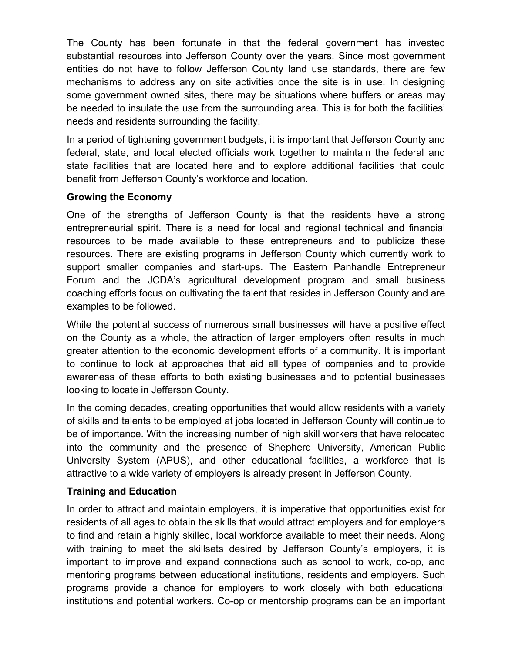The County has been fortunate in that the federal government has invested substantial resources into Jefferson County over the years. Since most government entities do not have to follow Jefferson County land use standards, there are few mechanisms to address any on site activities once the site is in use. In designing some government owned sites, there may be situations where buffers or areas may be needed to insulate the use from the surrounding area. This is for both the facilities' needs and residents surrounding the facility.

In a period of tightening government budgets, it is important that Jefferson County and federal, state, and local elected officials work together to maintain the federal and state facilities that are located here and to explore additional facilities that could benefit from Jefferson County's workforce and location.

## **Growing the Economy**

One of the strengths of Jefferson County is that the residents have a strong entrepreneurial spirit. There is a need for local and regional technical and financial resources to be made available to these entrepreneurs and to publicize these resources. There are existing programs in Jefferson County which currently work to support smaller companies and start-ups. The Eastern Panhandle Entrepreneur Forum and the JCDA's agricultural development program and small business coaching efforts focus on cultivating the talent that resides in Jefferson County and are examples to be followed.

While the potential success of numerous small businesses will have a positive effect on the County as a whole, the attraction of larger employers often results in much greater attention to the economic development efforts of a community. It is important to continue to look at approaches that aid all types of companies and to provide awareness of these efforts to both existing businesses and to potential businesses looking to locate in Jefferson County.

In the coming decades, creating opportunities that would allow residents with a variety of skills and talents to be employed at jobs located in Jefferson County will continue to be of importance. With the increasing number of high skill workers that have relocated into the community and the presence of Shepherd University, American Public University System (APUS), and other educational facilities, a workforce that is attractive to a wide variety of employers is already present in Jefferson County.

## **Training and Education**

In order to attract and maintain employers, it is imperative that opportunities exist for residents of all ages to obtain the skills that would attract employers and for employers to find and retain a highly skilled, local workforce available to meet their needs. Along with training to meet the skillsets desired by Jefferson County's employers, it is important to improve and expand connections such as school to work, co-op, and mentoring programs between educational institutions, residents and employers. Such programs provide a chance for employers to work closely with both educational institutions and potential workers. Co-op or mentorship programs can be an important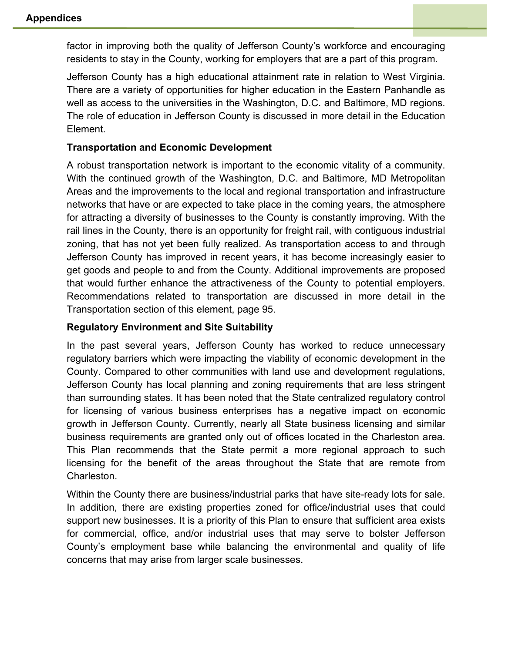factor in improving both the quality of Jefferson County's workforce and encouraging residents to stay in the County, working for employers that are a part of this program.

Jefferson County has a high educational attainment rate in relation to West Virginia. There are a variety of opportunities for higher education in the Eastern Panhandle as well as access to the universities in the Washington, D.C. and Baltimore, MD regions. The role of education in Jefferson County is discussed in more detail in the Education Element.

#### **Transportation and Economic Development**

A robust transportation network is important to the economic vitality of a community. With the continued growth of the Washington, D.C. and Baltimore, MD Metropolitan Areas and the improvements to the local and regional transportation and infrastructure networks that have or are expected to take place in the coming years, the atmosphere for attracting a diversity of businesses to the County is constantly improving. With the rail lines in the County, there is an opportunity for freight rail, with contiguous industrial zoning, that has not yet been fully realized. As transportation access to and through Jefferson County has improved in recent years, it has become increasingly easier to get goods and people to and from the County. Additional improvements are proposed that would further enhance the attractiveness of the County to potential employers. Recommendations related to transportation are discussed in more detail in the Transportation section of this element, page 95.

#### **Regulatory Environment and Site Suitability**

In the past several years, Jefferson County has worked to reduce unnecessary regulatory barriers which were impacting the viability of economic development in the County. Compared to other communities with land use and development regulations, Jefferson County has local planning and zoning requirements that are less stringent than surrounding states. It has been noted that the State centralized regulatory control for licensing of various business enterprises has a negative impact on economic growth in Jefferson County. Currently, nearly all State business licensing and similar business requirements are granted only out of offices located in the Charleston area. This Plan recommends that the State permit a more regional approach to such licensing for the benefit of the areas throughout the State that are remote from Charleston.

Within the County there are business/industrial parks that have site-ready lots for sale. In addition, there are existing properties zoned for office/industrial uses that could support new businesses. It is a priority of this Plan to ensure that sufficient area exists for commercial, office, and/or industrial uses that may serve to bolster Jefferson County's employment base while balancing the environmental and quality of life concerns that may arise from larger scale businesses.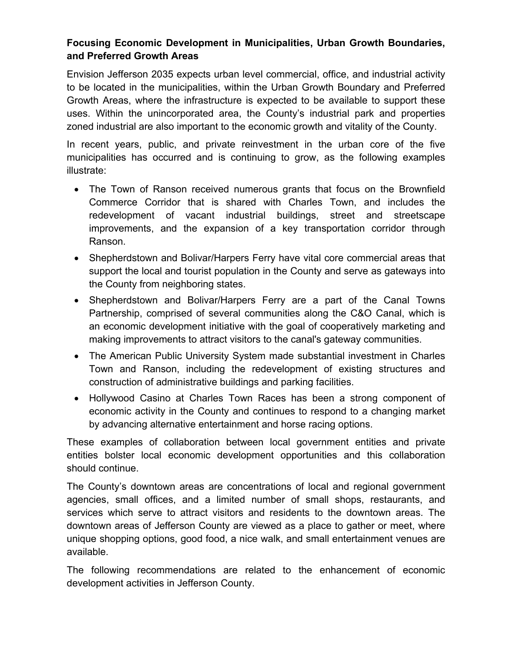## **Focusing Economic Development in Municipalities, Urban Growth Boundaries, and Preferred Growth Areas**

Envision Jefferson 2035 expects urban level commercial, office, and industrial activity to be located in the municipalities, within the Urban Growth Boundary and Preferred Growth Areas, where the infrastructure is expected to be available to support these uses. Within the unincorporated area, the County's industrial park and properties zoned industrial are also important to the economic growth and vitality of the County.

In recent years, public, and private reinvestment in the urban core of the five municipalities has occurred and is continuing to grow, as the following examples illustrate:

- The Town of Ranson received numerous grants that focus on the Brownfield Commerce Corridor that is shared with Charles Town, and includes the redevelopment of vacant industrial buildings, street and streetscape improvements, and the expansion of a key transportation corridor through Ranson.
- Shepherdstown and Bolivar/Harpers Ferry have vital core commercial areas that support the local and tourist population in the County and serve as gateways into the County from neighboring states.
- Shepherdstown and Bolivar/Harpers Ferry are a part of the Canal Towns Partnership, comprised of several communities along the C&O Canal, which is an economic development initiative with the goal of cooperatively marketing and making improvements to attract visitors to the canal's gateway communities.
- The American Public University System made substantial investment in Charles Town and Ranson, including the redevelopment of existing structures and construction of administrative buildings and parking facilities.
- Hollywood Casino at Charles Town Races has been a strong component of economic activity in the County and continues to respond to a changing market by advancing alternative entertainment and horse racing options.

These examples of collaboration between local government entities and private entities bolster local economic development opportunities and this collaboration should continue.

The County's downtown areas are concentrations of local and regional government agencies, small offices, and a limited number of small shops, restaurants, and services which serve to attract visitors and residents to the downtown areas. The downtown areas of Jefferson County are viewed as a place to gather or meet, where unique shopping options, good food, a nice walk, and small entertainment venues are available.

The following recommendations are related to the enhancement of economic development activities in Jefferson County.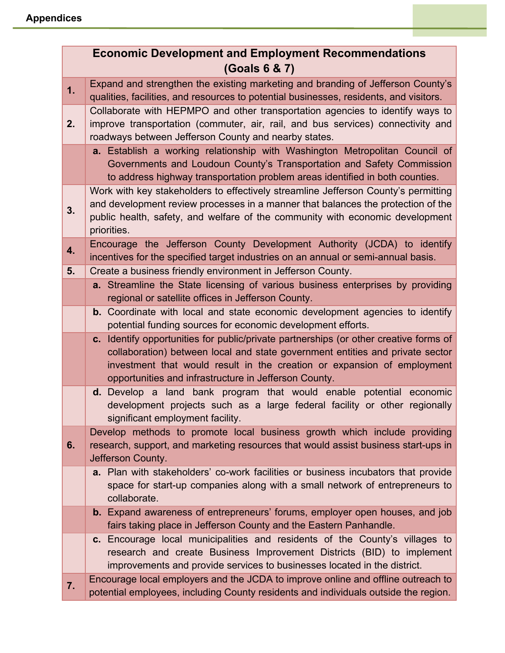| <b>Economic Development and Employment Recommendations</b><br>(Goals 6 & 7) |                                                                                                                                                                                                                                                                                                            |
|-----------------------------------------------------------------------------|------------------------------------------------------------------------------------------------------------------------------------------------------------------------------------------------------------------------------------------------------------------------------------------------------------|
| 1.                                                                          | Expand and strengthen the existing marketing and branding of Jefferson County's<br>qualities, facilities, and resources to potential businesses, residents, and visitors.                                                                                                                                  |
| 2.                                                                          | Collaborate with HEPMPO and other transportation agencies to identify ways to<br>improve transportation (commuter, air, rail, and bus services) connectivity and<br>roadways between Jefferson County and nearby states.                                                                                   |
|                                                                             | a. Establish a working relationship with Washington Metropolitan Council of<br>Governments and Loudoun County's Transportation and Safety Commission<br>to address highway transportation problem areas identified in both counties.                                                                       |
| 3.                                                                          | Work with key stakeholders to effectively streamline Jefferson County's permitting<br>and development review processes in a manner that balances the protection of the<br>public health, safety, and welfare of the community with economic development<br>priorities.                                     |
| 4.                                                                          | Encourage the Jefferson County Development Authority (JCDA) to identify<br>incentives for the specified target industries on an annual or semi-annual basis.                                                                                                                                               |
| 5.                                                                          | Create a business friendly environment in Jefferson County.<br>a. Streamline the State licensing of various business enterprises by providing                                                                                                                                                              |
|                                                                             | regional or satellite offices in Jefferson County.                                                                                                                                                                                                                                                         |
|                                                                             | <b>b.</b> Coordinate with local and state economic development agencies to identify<br>potential funding sources for economic development efforts.                                                                                                                                                         |
|                                                                             | c. Identify opportunities for public/private partnerships (or other creative forms of<br>collaboration) between local and state government entities and private sector<br>investment that would result in the creation or expansion of employment<br>opportunities and infrastructure in Jefferson County. |
|                                                                             | <b>d.</b> Develop a land bank program that would enable potential economic<br>development projects such as a large federal facility or other regionally<br>significant employment facility.                                                                                                                |
| 6.                                                                          | Develop methods to promote local business growth which include providing<br>research, support, and marketing resources that would assist business start-ups in<br>Jefferson County.                                                                                                                        |
|                                                                             | a. Plan with stakeholders' co-work facilities or business incubators that provide<br>space for start-up companies along with a small network of entrepreneurs to<br>collaborate.                                                                                                                           |
|                                                                             | <b>b.</b> Expand awareness of entrepreneurs' forums, employer open houses, and job<br>fairs taking place in Jefferson County and the Eastern Panhandle.                                                                                                                                                    |
|                                                                             | c. Encourage local municipalities and residents of the County's villages to<br>research and create Business Improvement Districts (BID) to implement<br>improvements and provide services to businesses located in the district.                                                                           |
| 7.                                                                          | Encourage local employers and the JCDA to improve online and offline outreach to<br>potential employees, including County residents and individuals outside the region.                                                                                                                                    |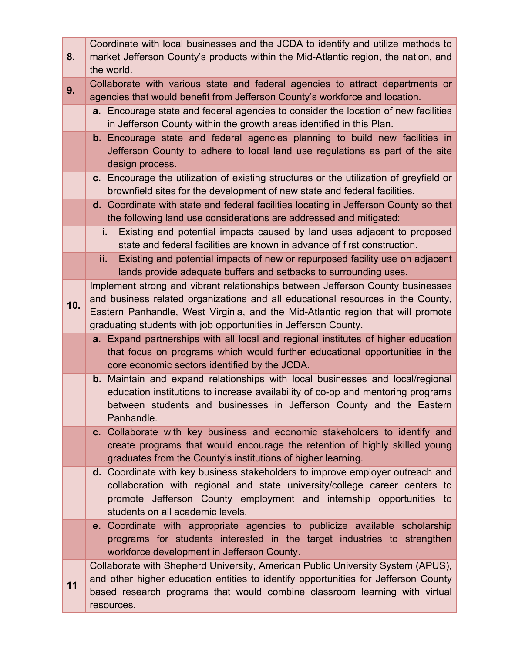| 8.  | Coordinate with local businesses and the JCDA to identify and utilize methods to<br>market Jefferson County's products within the Mid-Atlantic region, the nation, and<br>the world.                                                                                                                                    |
|-----|-------------------------------------------------------------------------------------------------------------------------------------------------------------------------------------------------------------------------------------------------------------------------------------------------------------------------|
| 9.  | Collaborate with various state and federal agencies to attract departments or<br>agencies that would benefit from Jefferson County's workforce and location.                                                                                                                                                            |
|     | <b>a.</b> Encourage state and federal agencies to consider the location of new facilities<br>in Jefferson County within the growth areas identified in this Plan.                                                                                                                                                       |
|     | <b>b.</b> Encourage state and federal agencies planning to build new facilities in<br>Jefferson County to adhere to local land use regulations as part of the site<br>design process.                                                                                                                                   |
|     | c. Encourage the utilization of existing structures or the utilization of greyfield or<br>brownfield sites for the development of new state and federal facilities.                                                                                                                                                     |
|     | d. Coordinate with state and federal facilities locating in Jefferson County so that<br>the following land use considerations are addressed and mitigated:                                                                                                                                                              |
|     | i.<br>Existing and potential impacts caused by land uses adjacent to proposed<br>state and federal facilities are known in advance of first construction.                                                                                                                                                               |
|     | Existing and potential impacts of new or repurposed facility use on adjacent<br>ii.<br>lands provide adequate buffers and setbacks to surrounding uses.                                                                                                                                                                 |
| 10. | Implement strong and vibrant relationships between Jefferson County businesses<br>and business related organizations and all educational resources in the County,<br>Eastern Panhandle, West Virginia, and the Mid-Atlantic region that will promote<br>graduating students with job opportunities in Jefferson County. |
|     | a. Expand partnerships with all local and regional institutes of higher education<br>that focus on programs which would further educational opportunities in the<br>core economic sectors identified by the JCDA.                                                                                                       |
|     | <b>b.</b> Maintain and expand relationships with local businesses and local/regional<br>education institutions to increase availability of co-op and mentoring programs<br>between students and businesses in Jefferson County and the Eastern<br>Panhandle.                                                            |
|     | c. Collaborate with key business and economic stakeholders to identify and<br>create programs that would encourage the retention of highly skilled young<br>graduates from the County's institutions of higher learning.                                                                                                |
|     | d. Coordinate with key business stakeholders to improve employer outreach and<br>collaboration with regional and state university/college career centers to<br>promote Jefferson County employment and internship opportunities to<br>students on all academic levels.                                                  |
|     | e. Coordinate with appropriate agencies to publicize available scholarship<br>programs for students interested in the target industries to strengthen<br>workforce development in Jefferson County.                                                                                                                     |
| 11  | Collaborate with Shepherd University, American Public University System (APUS),<br>and other higher education entities to identify opportunities for Jefferson County<br>based research programs that would combine classroom learning with virtual<br>resources.                                                       |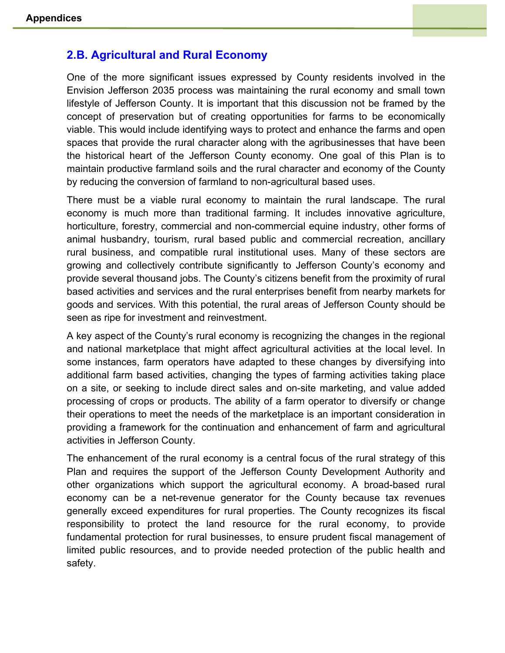## **2.B. Agricultural and Rural Economy**

One of the more significant issues expressed by County residents involved in the Envision Jefferson 2035 process was maintaining the rural economy and small town lifestyle of Jefferson County. It is important that this discussion not be framed by the concept of preservation but of creating opportunities for farms to be economically viable. This would include identifying ways to protect and enhance the farms and open spaces that provide the rural character along with the agribusinesses that have been the historical heart of the Jefferson County economy. One goal of this Plan is to maintain productive farmland soils and the rural character and economy of the County by reducing the conversion of farmland to non-agricultural based uses.

There must be a viable rural economy to maintain the rural landscape. The rural economy is much more than traditional farming. It includes innovative agriculture, horticulture, forestry, commercial and non-commercial equine industry, other forms of animal husbandry, tourism, rural based public and commercial recreation, ancillary rural business, and compatible rural institutional uses. Many of these sectors are growing and collectively contribute significantly to Jefferson County's economy and provide several thousand jobs. The County's citizens benefit from the proximity of rural based activities and services and the rural enterprises benefit from nearby markets for goods and services. With this potential, the rural areas of Jefferson County should be seen as ripe for investment and reinvestment.

A key aspect of the County's rural economy is recognizing the changes in the regional and national marketplace that might affect agricultural activities at the local level. In some instances, farm operators have adapted to these changes by diversifying into additional farm based activities, changing the types of farming activities taking place on a site, or seeking to include direct sales and on-site marketing, and value added processing of crops or products. The ability of a farm operator to diversify or change their operations to meet the needs of the marketplace is an important consideration in providing a framework for the continuation and enhancement of farm and agricultural activities in Jefferson County.

The enhancement of the rural economy is a central focus of the rural strategy of this Plan and requires the support of the Jefferson County Development Authority and other organizations which support the agricultural economy. A broad-based rural economy can be a net-revenue generator for the County because tax revenues generally exceed expenditures for rural properties. The County recognizes its fiscal responsibility to protect the land resource for the rural economy, to provide fundamental protection for rural businesses, to ensure prudent fiscal management of limited public resources, and to provide needed protection of the public health and safety.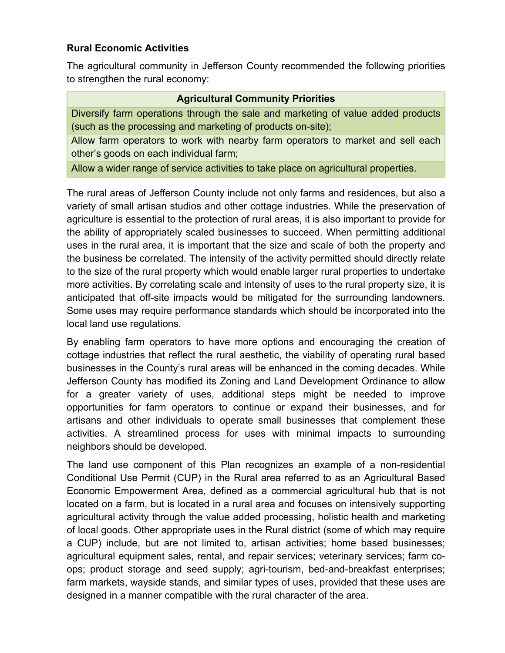## **Rural Economic Activities**

The agricultural community in Jefferson County recommended the following priorities to strengthen the rural economy:

## **Agricultural Community Priorities**

Diversify farm operations through the sale and marketing of value added products (such as the processing and marketing of products on-site);

Allow farm operators to work with nearby farm operators to market and sell each other's goods on each individual farm;

Allow a wider range of service activities to take place on agricultural properties.

The rural areas of Jefferson County include not only farms and residences, but also a variety of small artisan studios and other cottage industries. While the preservation of agriculture is essential to the protection of rural areas, it is also important to provide for the ability of appropriately scaled businesses to succeed. When permitting additional uses in the rural area, it is important that the size and scale of both the property and the business be correlated. The intensity of the activity permitted should directly relate to the size of the rural property which would enable larger rural properties to undertake more activities. By correlating scale and intensity of uses to the rural property size, it is anticipated that off-site impacts would be mitigated for the surrounding landowners. Some uses may require performance standards which should be incorporated into the local land use regulations.

By enabling farm operators to have more options and encouraging the creation of cottage industries that reflect the rural aesthetic, the viability of operating rural based businesses in the County's rural areas will be enhanced in the coming decades. While Jefferson County has modified its Zoning and Land Development Ordinance to allow for a greater variety of uses, additional steps might be needed to improve opportunities for farm operators to continue or expand their businesses, and for artisans and other individuals to operate small businesses that complement these activities. A streamlined process for uses with minimal impacts to surrounding neighbors should be developed.

The land use component of this Plan recognizes an example of a non-residential Conditional Use Permit (CUP) in the Rural area referred to as an Agricultural Based Economic Empowerment Area, defined as a commercial agricultural hub that is not located on a farm, but is located in a rural area and focuses on intensively supporting agricultural activity through the value added processing, holistic health and marketing of local goods. Other appropriate uses in the Rural district (some of which may require a CUP) include, but are not limited to, artisan activities; home based businesses; agricultural equipment sales, rental, and repair services; veterinary services; farm coops; product storage and seed supply; agri-tourism, bed-and-breakfast enterprises; farm markets, wayside stands, and similar types of uses, provided that these uses are designed in a manner compatible with the rural character of the area.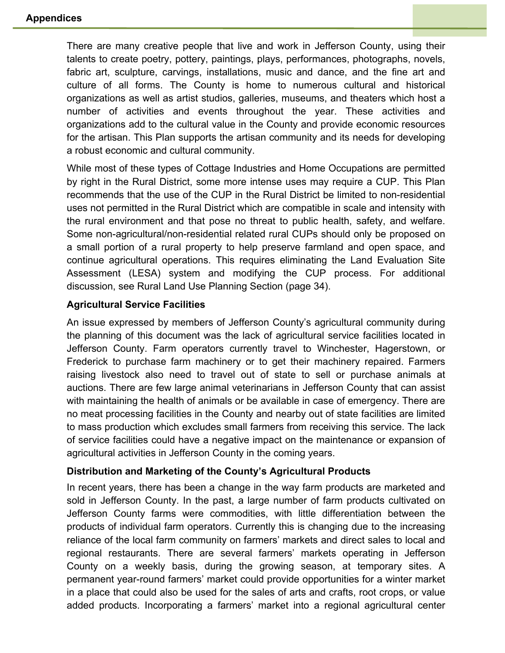There are many creative people that live and work in Jefferson County, using their talents to create poetry, pottery, paintings, plays, performances, photographs, novels, fabric art, sculpture, carvings, installations, music and dance, and the fine art and culture of all forms. The County is home to numerous cultural and historical organizations as well as artist studios, galleries, museums, and theaters which host a number of activities and events throughout the year. These activities and organizations add to the cultural value in the County and provide economic resources for the artisan. This Plan supports the artisan community and its needs for developing a robust economic and cultural community.

While most of these types of Cottage Industries and Home Occupations are permitted by right in the Rural District, some more intense uses may require a CUP. This Plan recommends that the use of the CUP in the Rural District be limited to non-residential uses not permitted in the Rural District which are compatible in scale and intensity with the rural environment and that pose no threat to public health, safety, and welfare. Some non-agricultural/non-residential related rural CUPs should only be proposed on a small portion of a rural property to help preserve farmland and open space, and continue agricultural operations. This requires eliminating the Land Evaluation Site Assessment (LESA) system and modifying the CUP process. For additional discussion, see Rural Land Use Planning Section (page 34).

## **Agricultural Service Facilities**

An issue expressed by members of Jefferson County's agricultural community during the planning of this document was the lack of agricultural service facilities located in Jefferson County. Farm operators currently travel to Winchester, Hagerstown, or Frederick to purchase farm machinery or to get their machinery repaired. Farmers raising livestock also need to travel out of state to sell or purchase animals at auctions. There are few large animal veterinarians in Jefferson County that can assist with maintaining the health of animals or be available in case of emergency. There are no meat processing facilities in the County and nearby out of state facilities are limited to mass production which excludes small farmers from receiving this service. The lack of service facilities could have a negative impact on the maintenance or expansion of agricultural activities in Jefferson County in the coming years.

#### **Distribution and Marketing of the County's Agricultural Products**

In recent years, there has been a change in the way farm products are marketed and sold in Jefferson County. In the past, a large number of farm products cultivated on Jefferson County farms were commodities, with little differentiation between the products of individual farm operators. Currently this is changing due to the increasing reliance of the local farm community on farmers' markets and direct sales to local and regional restaurants. There are several farmers' markets operating in Jefferson County on a weekly basis, during the growing season, at temporary sites. A permanent year-round farmers' market could provide opportunities for a winter market in a place that could also be used for the sales of arts and crafts, root crops, or value added products. Incorporating a farmers' market into a regional agricultural center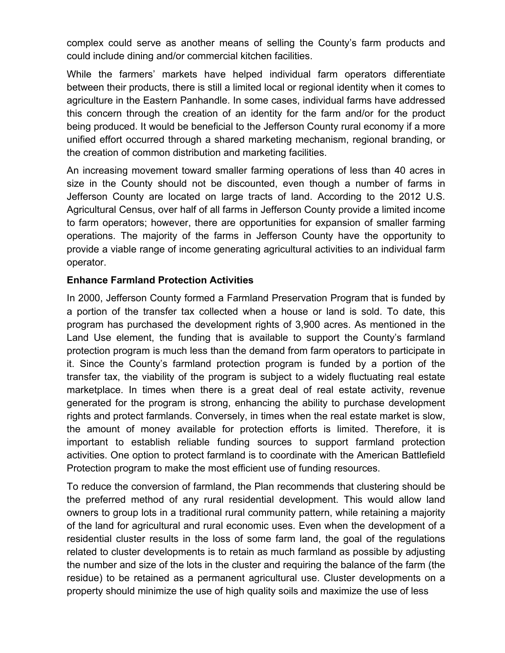complex could serve as another means of selling the County's farm products and could include dining and/or commercial kitchen facilities.

While the farmers' markets have helped individual farm operators differentiate between their products, there is still a limited local or regional identity when it comes to agriculture in the Eastern Panhandle. In some cases, individual farms have addressed this concern through the creation of an identity for the farm and/or for the product being produced. It would be beneficial to the Jefferson County rural economy if a more unified effort occurred through a shared marketing mechanism, regional branding, or the creation of common distribution and marketing facilities.

An increasing movement toward smaller farming operations of less than 40 acres in size in the County should not be discounted, even though a number of farms in Jefferson County are located on large tracts of land. According to the 2012 U.S. Agricultural Census, over half of all farms in Jefferson County provide a limited income to farm operators; however, there are opportunities for expansion of smaller farming operations. The majority of the farms in Jefferson County have the opportunity to provide a viable range of income generating agricultural activities to an individual farm operator.

## **Enhance Farmland Protection Activities**

In 2000, Jefferson County formed a Farmland Preservation Program that is funded by a portion of the transfer tax collected when a house or land is sold. To date, this program has purchased the development rights of 3,900 acres. As mentioned in the Land Use element, the funding that is available to support the County's farmland protection program is much less than the demand from farm operators to participate in it. Since the County's farmland protection program is funded by a portion of the transfer tax, the viability of the program is subject to a widely fluctuating real estate marketplace. In times when there is a great deal of real estate activity, revenue generated for the program is strong, enhancing the ability to purchase development rights and protect farmlands. Conversely, in times when the real estate market is slow, the amount of money available for protection efforts is limited. Therefore, it is important to establish reliable funding sources to support farmland protection activities. One option to protect farmland is to coordinate with the American Battlefield Protection program to make the most efficient use of funding resources.

To reduce the conversion of farmland, the Plan recommends that clustering should be the preferred method of any rural residential development. This would allow land owners to group lots in a traditional rural community pattern, while retaining a majority of the land for agricultural and rural economic uses. Even when the development of a residential cluster results in the loss of some farm land, the goal of the regulations related to cluster developments is to retain as much farmland as possible by adjusting the number and size of the lots in the cluster and requiring the balance of the farm (the residue) to be retained as a permanent agricultural use. Cluster developments on a property should minimize the use of high quality soils and maximize the use of less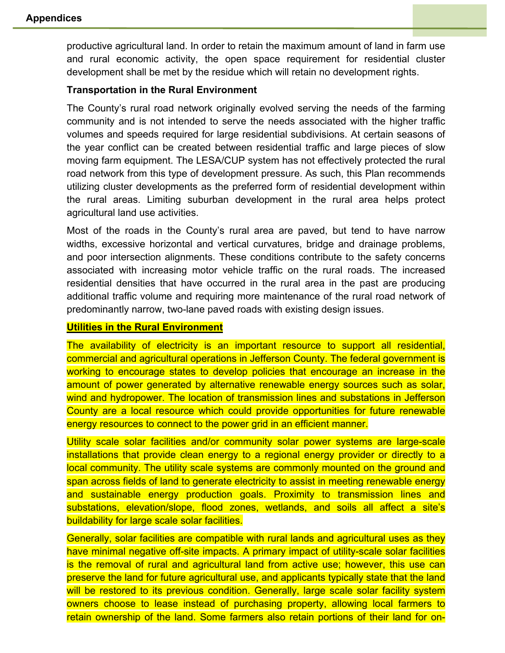productive agricultural land. In order to retain the maximum amount of land in farm use and rural economic activity, the open space requirement for residential cluster development shall be met by the residue which will retain no development rights.

#### **Transportation in the Rural Environment**

The County's rural road network originally evolved serving the needs of the farming community and is not intended to serve the needs associated with the higher traffic volumes and speeds required for large residential subdivisions. At certain seasons of the year conflict can be created between residential traffic and large pieces of slow moving farm equipment. The LESA/CUP system has not effectively protected the rural road network from this type of development pressure. As such, this Plan recommends utilizing cluster developments as the preferred form of residential development within the rural areas. Limiting suburban development in the rural area helps protect agricultural land use activities.

Most of the roads in the County's rural area are paved, but tend to have narrow widths, excessive horizontal and vertical curvatures, bridge and drainage problems, and poor intersection alignments. These conditions contribute to the safety concerns associated with increasing motor vehicle traffic on the rural roads. The increased residential densities that have occurred in the rural area in the past are producing additional traffic volume and requiring more maintenance of the rural road network of predominantly narrow, two-lane paved roads with existing design issues.

#### **Utilities in the Rural Environment**

The availability of electricity is an important resource to support all residential, commercial and agricultural operations in Jefferson County. The federal government is working to encourage states to develop policies that encourage an increase in the amount of power generated by alternative renewable energy sources such as solar, wind and hydropower. The location of transmission lines and substations in Jefferson County are a local resource which could provide opportunities for future renewable energy resources to connect to the power grid in an efficient manner.

Utility scale solar facilities and/or community solar power systems are large-scale installations that provide clean energy to a regional energy provider or directly to a local community. The utility scale systems are commonly mounted on the ground and span across fields of land to generate electricity to assist in meeting renewable energy and sustainable energy production goals. Proximity to transmission lines and substations, elevation/slope, flood zones, wetlands, and soils all affect a site's buildability for large scale solar facilities.

Generally, solar facilities are compatible with rural lands and agricultural uses as they have minimal negative off-site impacts. A primary impact of utility-scale solar facilities is the removal of rural and agricultural land from active use; however, this use can preserve the land for future agricultural use, and applicants typically state that the land will be restored to its previous condition. Generally, large scale solar facility system owners choose to lease instead of purchasing property, allowing local farmers to retain ownership of the land. Some farmers also retain portions of their land for on-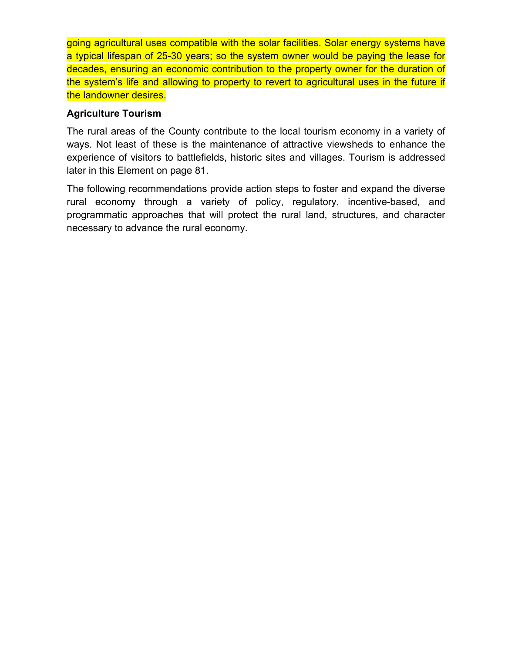going agricultural uses compatible with the solar facilities. Solar energy systems have a typical lifespan of 25-30 years; so the system owner would be paying the lease for decades, ensuring an economic contribution to the property owner for the duration of the system's life and allowing to property to revert to agricultural uses in the future if the landowner desires.

## **Agriculture Tourism**

The rural areas of the County contribute to the local tourism economy in a variety of ways. Not least of these is the maintenance of attractive viewsheds to enhance the experience of visitors to battlefields, historic sites and villages. Tourism is addressed later in this Element on page 81.

The following recommendations provide action steps to foster and expand the diverse rural economy through a variety of policy, regulatory, incentive-based, and programmatic approaches that will protect the rural land, structures, and character necessary to advance the rural economy.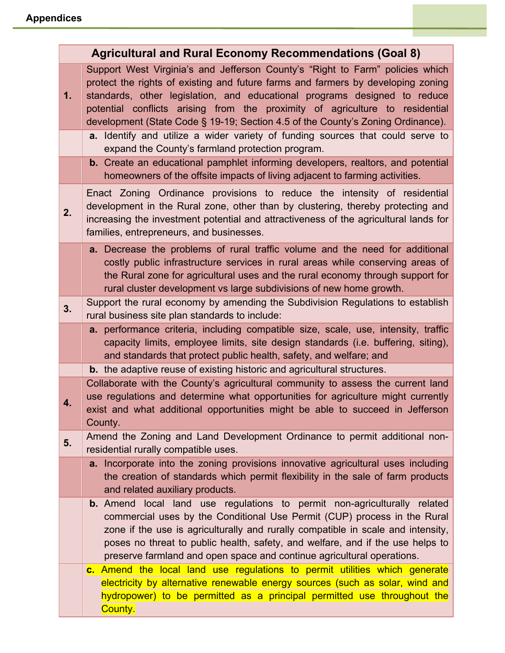|    | <b>Agricultural and Rural Economy Recommendations (Goal 8)</b>                                                                                                                                                                                                                                                                                                                                                                                                                                                                                          |
|----|---------------------------------------------------------------------------------------------------------------------------------------------------------------------------------------------------------------------------------------------------------------------------------------------------------------------------------------------------------------------------------------------------------------------------------------------------------------------------------------------------------------------------------------------------------|
| 1. | Support West Virginia's and Jefferson County's "Right to Farm" policies which<br>protect the rights of existing and future farms and farmers by developing zoning<br>standards, other legislation, and educational programs designed to reduce<br>potential conflicts arising from the proximity of agriculture to residential<br>development (State Code § 19-19; Section 4.5 of the County's Zoning Ordinance).<br>a. Identify and utilize a wider variety of funding sources that could serve to<br>expand the County's farmland protection program. |
|    | <b>b.</b> Create an educational pamphlet informing developers, realtors, and potential<br>homeowners of the offsite impacts of living adjacent to farming activities.                                                                                                                                                                                                                                                                                                                                                                                   |
| 2. | Enact Zoning Ordinance provisions to reduce the intensity of residential<br>development in the Rural zone, other than by clustering, thereby protecting and<br>increasing the investment potential and attractiveness of the agricultural lands for<br>families, entrepreneurs, and businesses.                                                                                                                                                                                                                                                         |
|    | a. Decrease the problems of rural traffic volume and the need for additional<br>costly public infrastructure services in rural areas while conserving areas of<br>the Rural zone for agricultural uses and the rural economy through support for<br>rural cluster development vs large subdivisions of new home growth.                                                                                                                                                                                                                                 |
| 3. | Support the rural economy by amending the Subdivision Regulations to establish<br>rural business site plan standards to include:                                                                                                                                                                                                                                                                                                                                                                                                                        |
|    | <b>a.</b> performance criteria, including compatible size, scale, use, intensity, traffic<br>capacity limits, employee limits, site design standards (i.e. buffering, siting),<br>and standards that protect public health, safety, and welfare; and                                                                                                                                                                                                                                                                                                    |
|    | <b>b.</b> the adaptive reuse of existing historic and agricultural structures.                                                                                                                                                                                                                                                                                                                                                                                                                                                                          |
| 4. | Collaborate with the County's agricultural community to assess the current land<br>use regulations and determine what opportunities for agriculture might currently<br>exist and what additional opportunities might be able to succeed in Jefferson<br>County.                                                                                                                                                                                                                                                                                         |
| 5. | Amend the Zoning and Land Development Ordinance to permit additional non-<br>residential rurally compatible uses.                                                                                                                                                                                                                                                                                                                                                                                                                                       |
|    | a. Incorporate into the zoning provisions innovative agricultural uses including<br>the creation of standards which permit flexibility in the sale of farm products<br>and related auxiliary products.                                                                                                                                                                                                                                                                                                                                                  |
|    | <b>b.</b> Amend local land use regulations to permit non-agriculturally related<br>commercial uses by the Conditional Use Permit (CUP) process in the Rural<br>zone if the use is agriculturally and rurally compatible in scale and intensity,<br>poses no threat to public health, safety, and welfare, and if the use helps to<br>preserve farmland and open space and continue agricultural operations.                                                                                                                                             |
|    | c. Amend the local land use regulations to permit utilities which generate<br>electricity by alternative renewable energy sources (such as solar, wind and<br>hydropower) to be permitted as a principal permitted use throughout the<br>County.                                                                                                                                                                                                                                                                                                        |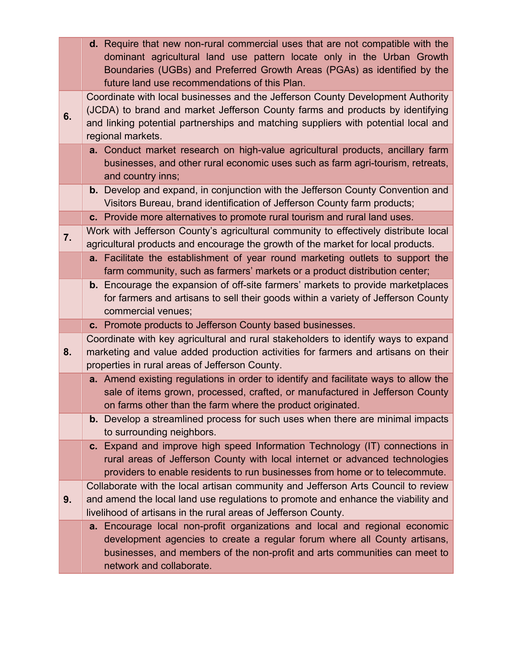|    | d. Require that new non-rural commercial uses that are not compatible with the<br>dominant agricultural land use pattern locate only in the Urban Growth<br>Boundaries (UGBs) and Preferred Growth Areas (PGAs) as identified by the<br>future land use recommendations of this Plan. |
|----|---------------------------------------------------------------------------------------------------------------------------------------------------------------------------------------------------------------------------------------------------------------------------------------|
| 6. | Coordinate with local businesses and the Jefferson County Development Authority<br>(JCDA) to brand and market Jefferson County farms and products by identifying<br>and linking potential partnerships and matching suppliers with potential local and<br>regional markets.           |
|    | a. Conduct market research on high-value agricultural products, ancillary farm<br>businesses, and other rural economic uses such as farm agri-tourism, retreats,<br>and country inns;                                                                                                 |
|    | <b>b.</b> Develop and expand, in conjunction with the Jefferson County Convention and<br>Visitors Bureau, brand identification of Jefferson County farm products;                                                                                                                     |
|    | c. Provide more alternatives to promote rural tourism and rural land uses.                                                                                                                                                                                                            |
| 7. | Work with Jefferson County's agricultural community to effectively distribute local<br>agricultural products and encourage the growth of the market for local products.                                                                                                               |
|    | a. Facilitate the establishment of year round marketing outlets to support the<br>farm community, such as farmers' markets or a product distribution center;                                                                                                                          |
|    | <b>b.</b> Encourage the expansion of off-site farmers' markets to provide marketplaces<br>for farmers and artisans to sell their goods within a variety of Jefferson County<br>commercial venues;                                                                                     |
|    | c. Promote products to Jefferson County based businesses.                                                                                                                                                                                                                             |
| 8. | Coordinate with key agricultural and rural stakeholders to identify ways to expand<br>marketing and value added production activities for farmers and artisans on their<br>properties in rural areas of Jefferson County.                                                             |
|    | a. Amend existing regulations in order to identify and facilitate ways to allow the<br>sale of items grown, processed, crafted, or manufactured in Jefferson County<br>on farms other than the farm where the product originated.                                                     |
|    | <b>b.</b> Develop a streamlined process for such uses when there are minimal impacts<br>to surrounding neighbors.                                                                                                                                                                     |
|    | c. Expand and improve high speed Information Technology (IT) connections in<br>rural areas of Jefferson County with local internet or advanced technologies<br>providers to enable residents to run businesses from home or to telecommute.                                           |
| 9. | Collaborate with the local artisan community and Jefferson Arts Council to review<br>and amend the local land use regulations to promote and enhance the viability and<br>livelihood of artisans in the rural areas of Jefferson County.                                              |
|    | a. Encourage local non-profit organizations and local and regional economic<br>development agencies to create a regular forum where all County artisans,<br>businesses, and members of the non-profit and arts communities can meet to<br>network and collaborate.                    |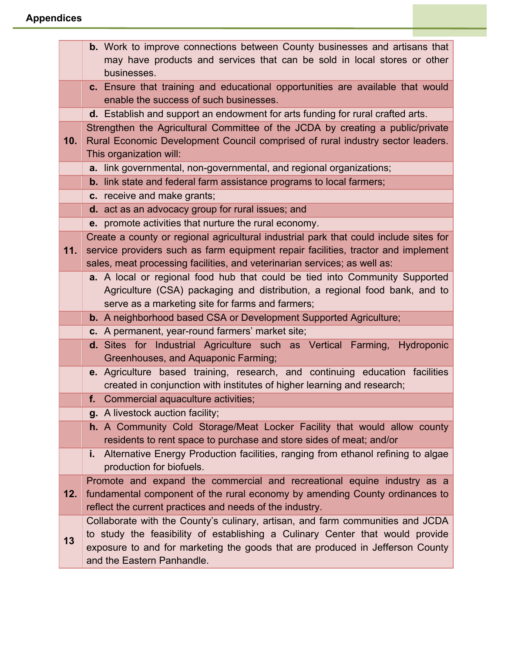|     | <b>b.</b> Work to improve connections between County businesses and artisans that                                                                        |
|-----|----------------------------------------------------------------------------------------------------------------------------------------------------------|
|     | may have products and services that can be sold in local stores or other<br>businesses.                                                                  |
|     | c. Ensure that training and educational opportunities are available that would                                                                           |
|     | enable the success of such businesses.                                                                                                                   |
|     | d. Establish and support an endowment for arts funding for rural crafted arts.                                                                           |
|     | Strengthen the Agricultural Committee of the JCDA by creating a public/private                                                                           |
| 10. | Rural Economic Development Council comprised of rural industry sector leaders.<br>This organization will:                                                |
|     | a. link governmental, non-governmental, and regional organizations;                                                                                      |
|     | <b>b.</b> link state and federal farm assistance programs to local farmers;                                                                              |
|     | c. receive and make grants;                                                                                                                              |
|     | d. act as an advocacy group for rural issues; and                                                                                                        |
|     | e. promote activities that nurture the rural economy.                                                                                                    |
|     | Create a county or regional agricultural industrial park that could include sites for                                                                    |
| 11. | service providers such as farm equipment repair facilities, tractor and implement                                                                        |
|     | sales, meat processing facilities, and veterinarian services; as well as:<br>a. A local or regional food hub that could be tied into Community Supported |
|     | Agriculture (CSA) packaging and distribution, a regional food bank, and to                                                                               |
|     | serve as a marketing site for farms and farmers;                                                                                                         |
|     | b. A neighborhood based CSA or Development Supported Agriculture;                                                                                        |
|     | c. A permanent, year-round farmers' market site;                                                                                                         |
|     | d. Sites for Industrial Agriculture such as Vertical Farming, Hydroponic                                                                                 |
|     | Greenhouses, and Aquaponic Farming;                                                                                                                      |
|     | e. Agriculture based training, research, and continuing education facilities<br>created in conjunction with institutes of higher learning and research;  |
|     | f. Commercial aquaculture activities;                                                                                                                    |
|     | g. A livestock auction facility;                                                                                                                         |
|     | h. A Community Cold Storage/Meat Locker Facility that would allow county                                                                                 |
|     | residents to rent space to purchase and store sides of meat; and/or                                                                                      |
|     | Alternative Energy Production facilities, ranging from ethanol refining to algae<br>i.,                                                                  |
|     | production for biofuels.<br>Promote and expand the commercial and recreational equine industry as a                                                      |
| 12. | fundamental component of the rural economy by amending County ordinances to                                                                              |
|     | reflect the current practices and needs of the industry.                                                                                                 |
|     | Collaborate with the County's culinary, artisan, and farm communities and JCDA                                                                           |
| 13  | to study the feasibility of establishing a Culinary Center that would provide                                                                            |
|     | exposure to and for marketing the goods that are produced in Jefferson County                                                                            |
|     | and the Eastern Panhandle.                                                                                                                               |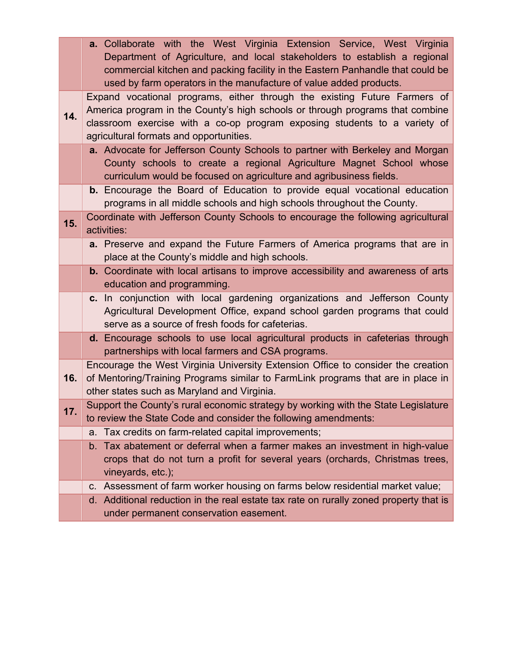|     | <b>a.</b> Collaborate with the West Virginia Extension Service, West Virginia                                                 |
|-----|-------------------------------------------------------------------------------------------------------------------------------|
|     | Department of Agriculture, and local stakeholders to establish a regional                                                     |
|     | commercial kitchen and packing facility in the Eastern Panhandle that could be                                                |
|     | used by farm operators in the manufacture of value added products.                                                            |
|     | Expand vocational programs, either through the existing Future Farmers of                                                     |
| 14. | America program in the County's high schools or through programs that combine                                                 |
|     | classroom exercise with a co-op program exposing students to a variety of                                                     |
|     | agricultural formats and opportunities.<br>a. Advocate for Jefferson County Schools to partner with Berkeley and Morgan       |
|     | County schools to create a regional Agriculture Magnet School whose                                                           |
|     | curriculum would be focused on agriculture and agribusiness fields.                                                           |
|     | <b>b.</b> Encourage the Board of Education to provide equal vocational education                                              |
|     | programs in all middle schools and high schools throughout the County.                                                        |
| 15. | Coordinate with Jefferson County Schools to encourage the following agricultural                                              |
|     | activities:                                                                                                                   |
|     | a. Preserve and expand the Future Farmers of America programs that are in                                                     |
|     | place at the County's middle and high schools.                                                                                |
|     | <b>b.</b> Coordinate with local artisans to improve accessibility and awareness of arts                                       |
|     | education and programming.                                                                                                    |
|     | c. In conjunction with local gardening organizations and Jefferson County                                                     |
|     | Agricultural Development Office, expand school garden programs that could<br>serve as a source of fresh foods for cafeterias. |
|     | d. Encourage schools to use local agricultural products in cafeterias through                                                 |
|     | partnerships with local farmers and CSA programs.                                                                             |
|     | Encourage the West Virginia University Extension Office to consider the creation                                              |
| 16. | of Mentoring/Training Programs similar to FarmLink programs that are in place in                                              |
|     | other states such as Maryland and Virginia.                                                                                   |
|     | Support the County's rural economic strategy by working with the State Legislature                                            |
| 17. | to review the State Code and consider the following amendments:                                                               |
|     | a. Tax credits on farm-related capital improvements;                                                                          |
|     | b. Tax abatement or deferral when a farmer makes an investment in high-value                                                  |
|     | crops that do not turn a profit for several years (orchards, Christmas trees,                                                 |
|     | vineyards, etc.);                                                                                                             |
|     | c. Assessment of farm worker housing on farms below residential market value;                                                 |
|     | d. Additional reduction in the real estate tax rate on rurally zoned property that is                                         |
|     | under permanent conservation easement.                                                                                        |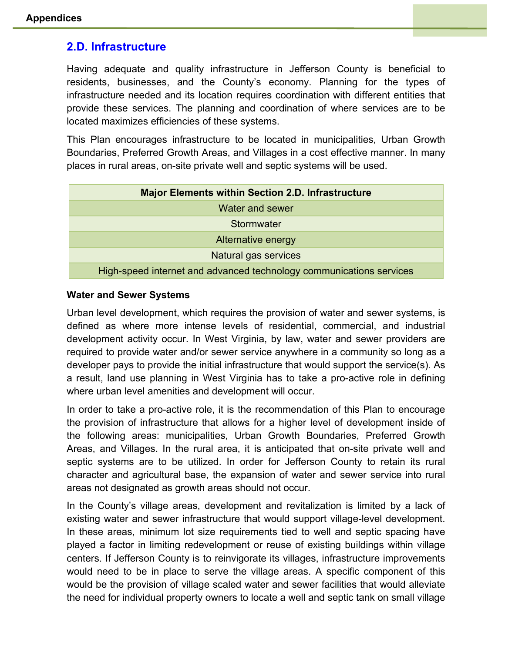## **2.D. Infrastructure**

Having adequate and quality infrastructure in Jefferson County is beneficial to residents, businesses, and the County's economy. Planning for the types of infrastructure needed and its location requires coordination with different entities that provide these services. The planning and coordination of where services are to be located maximizes efficiencies of these systems.

This Plan encourages infrastructure to be located in municipalities, Urban Growth Boundaries, Preferred Growth Areas, and Villages in a cost effective manner. In many places in rural areas, on-site private well and septic systems will be used.

| <b>Major Elements within Section 2.D. Infrastructure</b>            |
|---------------------------------------------------------------------|
| <b>Water and sewer</b>                                              |
| Stormwater                                                          |
| <b>Alternative energy</b>                                           |
| Natural gas services                                                |
| High-speed internet and advanced technology communications services |

#### **Water and Sewer Systems**

Urban level development, which requires the provision of water and sewer systems, is defined as where more intense levels of residential, commercial, and industrial development activity occur. In West Virginia, by law, water and sewer providers are required to provide water and/or sewer service anywhere in a community so long as a developer pays to provide the initial infrastructure that would support the service(s). As a result, land use planning in West Virginia has to take a pro-active role in defining where urban level amenities and development will occur.

In order to take a pro-active role, it is the recommendation of this Plan to encourage the provision of infrastructure that allows for a higher level of development inside of the following areas: municipalities, Urban Growth Boundaries, Preferred Growth Areas, and Villages. In the rural area, it is anticipated that on-site private well and septic systems are to be utilized. In order for Jefferson County to retain its rural character and agricultural base, the expansion of water and sewer service into rural areas not designated as growth areas should not occur.

In the County's village areas, development and revitalization is limited by a lack of existing water and sewer infrastructure that would support village-level development. In these areas, minimum lot size requirements tied to well and septic spacing have played a factor in limiting redevelopment or reuse of existing buildings within village centers. If Jefferson County is to reinvigorate its villages, infrastructure improvements would need to be in place to serve the village areas. A specific component of this would be the provision of village scaled water and sewer facilities that would alleviate the need for individual property owners to locate a well and septic tank on small village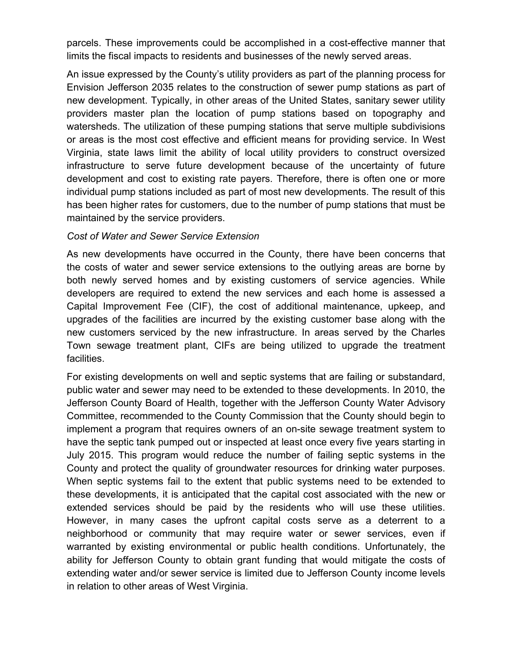parcels. These improvements could be accomplished in a cost-effective manner that limits the fiscal impacts to residents and businesses of the newly served areas.

An issue expressed by the County's utility providers as part of the planning process for Envision Jefferson 2035 relates to the construction of sewer pump stations as part of new development. Typically, in other areas of the United States, sanitary sewer utility providers master plan the location of pump stations based on topography and watersheds. The utilization of these pumping stations that serve multiple subdivisions or areas is the most cost effective and efficient means for providing service. In West Virginia, state laws limit the ability of local utility providers to construct oversized infrastructure to serve future development because of the uncertainty of future development and cost to existing rate payers. Therefore, there is often one or more individual pump stations included as part of most new developments. The result of this has been higher rates for customers, due to the number of pump stations that must be maintained by the service providers.

#### *Cost of Water and Sewer Service Extension*

As new developments have occurred in the County, there have been concerns that the costs of water and sewer service extensions to the outlying areas are borne by both newly served homes and by existing customers of service agencies. While developers are required to extend the new services and each home is assessed a Capital Improvement Fee (CIF), the cost of additional maintenance, upkeep, and upgrades of the facilities are incurred by the existing customer base along with the new customers serviced by the new infrastructure. In areas served by the Charles Town sewage treatment plant, CIFs are being utilized to upgrade the treatment facilities.

For existing developments on well and septic systems that are failing or substandard, public water and sewer may need to be extended to these developments. In 2010, the Jefferson County Board of Health, together with the Jefferson County Water Advisory Committee, recommended to the County Commission that the County should begin to implement a program that requires owners of an on-site sewage treatment system to have the septic tank pumped out or inspected at least once every five years starting in July 2015. This program would reduce the number of failing septic systems in the County and protect the quality of groundwater resources for drinking water purposes. When septic systems fail to the extent that public systems need to be extended to these developments, it is anticipated that the capital cost associated with the new or extended services should be paid by the residents who will use these utilities. However, in many cases the upfront capital costs serve as a deterrent to a neighborhood or community that may require water or sewer services, even if warranted by existing environmental or public health conditions. Unfortunately, the ability for Jefferson County to obtain grant funding that would mitigate the costs of extending water and/or sewer service is limited due to Jefferson County income levels in relation to other areas of West Virginia.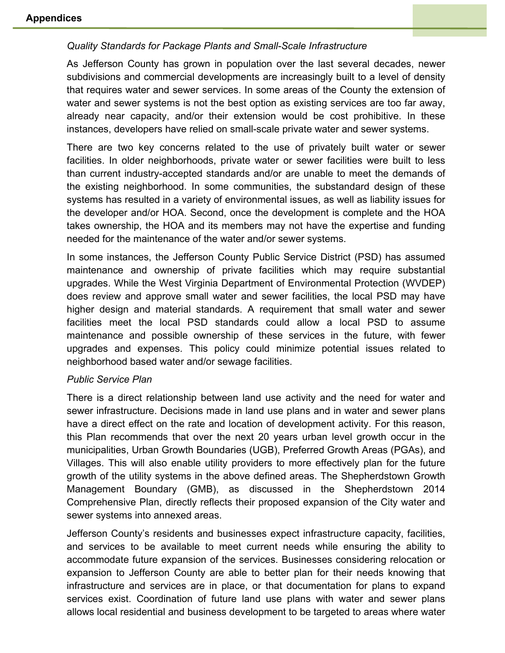## *Quality Standards for Package Plants and Small-Scale Infrastructure*

As Jefferson County has grown in population over the last several decades, newer subdivisions and commercial developments are increasingly built to a level of density that requires water and sewer services. In some areas of the County the extension of water and sewer systems is not the best option as existing services are too far away, already near capacity, and/or their extension would be cost prohibitive. In these instances, developers have relied on small-scale private water and sewer systems.

There are two key concerns related to the use of privately built water or sewer facilities. In older neighborhoods, private water or sewer facilities were built to less than current industry-accepted standards and/or are unable to meet the demands of the existing neighborhood. In some communities, the substandard design of these systems has resulted in a variety of environmental issues, as well as liability issues for the developer and/or HOA. Second, once the development is complete and the HOA takes ownership, the HOA and its members may not have the expertise and funding needed for the maintenance of the water and/or sewer systems.

In some instances, the Jefferson County Public Service District (PSD) has assumed maintenance and ownership of private facilities which may require substantial upgrades. While the West Virginia Department of Environmental Protection (WVDEP) does review and approve small water and sewer facilities, the local PSD may have higher design and material standards. A requirement that small water and sewer facilities meet the local PSD standards could allow a local PSD to assume maintenance and possible ownership of these services in the future, with fewer upgrades and expenses. This policy could minimize potential issues related to neighborhood based water and/or sewage facilities.

#### *Public Service Plan*

There is a direct relationship between land use activity and the need for water and sewer infrastructure. Decisions made in land use plans and in water and sewer plans have a direct effect on the rate and location of development activity. For this reason, this Plan recommends that over the next 20 years urban level growth occur in the municipalities, Urban Growth Boundaries (UGB), Preferred Growth Areas (PGAs), and Villages. This will also enable utility providers to more effectively plan for the future growth of the utility systems in the above defined areas. The Shepherdstown Growth Management Boundary (GMB), as discussed in the Shepherdstown 2014 Comprehensive Plan, directly reflects their proposed expansion of the City water and sewer systems into annexed areas.

Jefferson County's residents and businesses expect infrastructure capacity, facilities, and services to be available to meet current needs while ensuring the ability to accommodate future expansion of the services. Businesses considering relocation or expansion to Jefferson County are able to better plan for their needs knowing that infrastructure and services are in place, or that documentation for plans to expand services exist. Coordination of future land use plans with water and sewer plans allows local residential and business development to be targeted to areas where water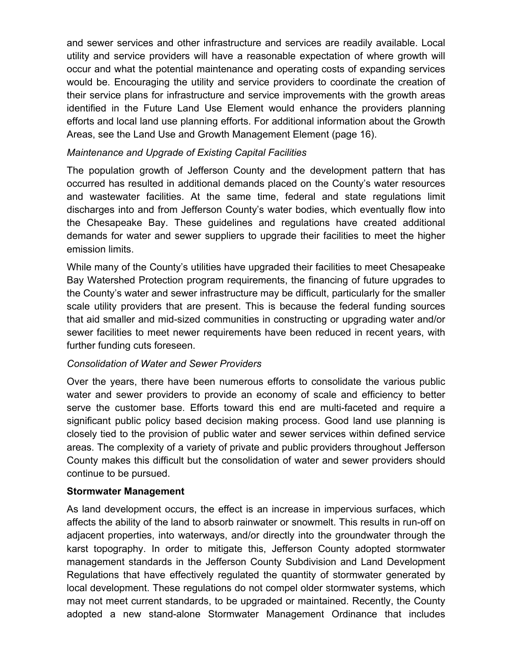and sewer services and other infrastructure and services are readily available. Local utility and service providers will have a reasonable expectation of where growth will occur and what the potential maintenance and operating costs of expanding services would be. Encouraging the utility and service providers to coordinate the creation of their service plans for infrastructure and service improvements with the growth areas identified in the Future Land Use Element would enhance the providers planning efforts and local land use planning efforts. For additional information about the Growth Areas, see the Land Use and Growth Management Element (page 16).

## *Maintenance and Upgrade of Existing Capital Facilities*

The population growth of Jefferson County and the development pattern that has occurred has resulted in additional demands placed on the County's water resources and wastewater facilities. At the same time, federal and state regulations limit discharges into and from Jefferson County's water bodies, which eventually flow into the Chesapeake Bay. These guidelines and regulations have created additional demands for water and sewer suppliers to upgrade their facilities to meet the higher emission limits.

While many of the County's utilities have upgraded their facilities to meet Chesapeake Bay Watershed Protection program requirements, the financing of future upgrades to the County's water and sewer infrastructure may be difficult, particularly for the smaller scale utility providers that are present. This is because the federal funding sources that aid smaller and mid-sized communities in constructing or upgrading water and/or sewer facilities to meet newer requirements have been reduced in recent years, with further funding cuts foreseen.

## *Consolidation of Water and Sewer Providers*

Over the years, there have been numerous efforts to consolidate the various public water and sewer providers to provide an economy of scale and efficiency to better serve the customer base. Efforts toward this end are multi-faceted and require a significant public policy based decision making process. Good land use planning is closely tied to the provision of public water and sewer services within defined service areas. The complexity of a variety of private and public providers throughout Jefferson County makes this difficult but the consolidation of water and sewer providers should continue to be pursued.

#### **Stormwater Management**

As land development occurs, the effect is an increase in impervious surfaces, which affects the ability of the land to absorb rainwater or snowmelt. This results in run-off on adjacent properties, into waterways, and/or directly into the groundwater through the karst topography. In order to mitigate this, Jefferson County adopted stormwater management standards in the Jefferson County Subdivision and Land Development Regulations that have effectively regulated the quantity of stormwater generated by local development. These regulations do not compel older stormwater systems, which may not meet current standards, to be upgraded or maintained. Recently, the County adopted a new stand-alone Stormwater Management Ordinance that includes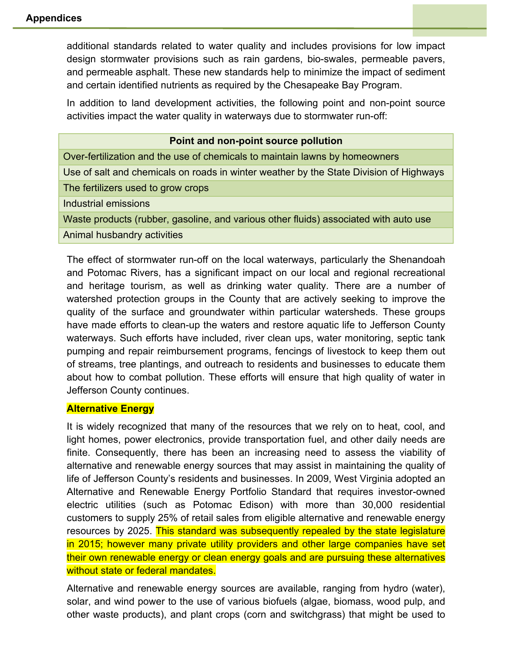additional standards related to water quality and includes provisions for low impact design stormwater provisions such as rain gardens, bio-swales, permeable pavers, and permeable asphalt. These new standards help to minimize the impact of sediment and certain identified nutrients as required by the Chesapeake Bay Program.

In addition to land development activities, the following point and non-point source activities impact the water quality in waterways due to stormwater run-off:

| Point and non-point source pollution                                                   |
|----------------------------------------------------------------------------------------|
| Over-fertilization and the use of chemicals to maintain lawns by homeowners            |
| Use of salt and chemicals on roads in winter weather by the State Division of Highways |
| The fertilizers used to grow crops                                                     |
| Industrial emissions                                                                   |
| Waste products (rubber, gasoline, and various other fluids) associated with auto use   |
| Animal husbandry activities                                                            |

The effect of stormwater run-off on the local waterways, particularly the Shenandoah and Potomac Rivers, has a significant impact on our local and regional recreational and heritage tourism, as well as drinking water quality. There are a number of watershed protection groups in the County that are actively seeking to improve the quality of the surface and groundwater within particular watersheds. These groups have made efforts to clean-up the waters and restore aquatic life to Jefferson County waterways. Such efforts have included, river clean ups, water monitoring, septic tank pumping and repair reimbursement programs, fencings of livestock to keep them out of streams, tree plantings, and outreach to residents and businesses to educate them about how to combat pollution. These efforts will ensure that high quality of water in Jefferson County continues.

#### **Alternative Energy**

It is widely recognized that many of the resources that we rely on to heat, cool, and light homes, power electronics, provide transportation fuel, and other daily needs are finite. Consequently, there has been an increasing need to assess the viability of alternative and renewable energy sources that may assist in maintaining the quality of life of Jefferson County's residents and businesses. In 2009, West Virginia adopted an Alternative and Renewable Energy Portfolio Standard that requires investor-owned electric utilities (such as Potomac Edison) with more than 30,000 residential customers to supply 25% of retail sales from eligible alternative and renewable energy resources by 2025. This standard was subsequently repealed by the state legislature in 2015; however many private utility providers and other large companies have set their own renewable energy or clean energy goals and are pursuing these alternatives without state or federal mandates.

Alternative and renewable energy sources are available, ranging from hydro (water), solar, and wind power to the use of various biofuels (algae, biomass, wood pulp, and other waste products), and plant crops (corn and switchgrass) that might be used to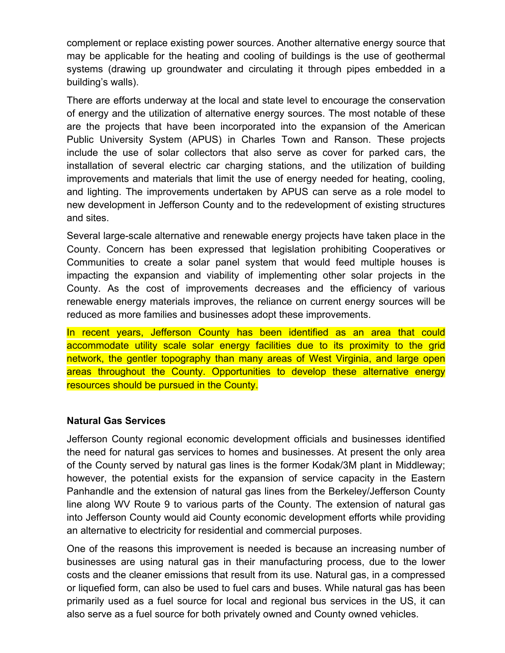complement or replace existing power sources. Another alternative energy source that may be applicable for the heating and cooling of buildings is the use of geothermal systems (drawing up groundwater and circulating it through pipes embedded in a building's walls).

There are efforts underway at the local and state level to encourage the conservation of energy and the utilization of alternative energy sources. The most notable of these are the projects that have been incorporated into the expansion of the American Public University System (APUS) in Charles Town and Ranson. These projects include the use of solar collectors that also serve as cover for parked cars, the installation of several electric car charging stations, and the utilization of building improvements and materials that limit the use of energy needed for heating, cooling, and lighting. The improvements undertaken by APUS can serve as a role model to new development in Jefferson County and to the redevelopment of existing structures and sites.

Several large-scale alternative and renewable energy projects have taken place in the County. Concern has been expressed that legislation prohibiting Cooperatives or Communities to create a solar panel system that would feed multiple houses is impacting the expansion and viability of implementing other solar projects in the County. As the cost of improvements decreases and the efficiency of various renewable energy materials improves, the reliance on current energy sources will be reduced as more families and businesses adopt these improvements.

In recent years, Jefferson County has been identified as an area that could accommodate utility scale solar energy facilities due to its proximity to the grid network, the gentler topography than many areas of West Virginia, and large open areas throughout the County. Opportunities to develop these alternative energy resources should be pursued in the County.

#### **Natural Gas Services**

Jefferson County regional economic development officials and businesses identified the need for natural gas services to homes and businesses. At present the only area of the County served by natural gas lines is the former Kodak/3M plant in Middleway; however, the potential exists for the expansion of service capacity in the Eastern Panhandle and the extension of natural gas lines from the Berkeley/Jefferson County line along WV Route 9 to various parts of the County. The extension of natural gas into Jefferson County would aid County economic development efforts while providing an alternative to electricity for residential and commercial purposes.

One of the reasons this improvement is needed is because an increasing number of businesses are using natural gas in their manufacturing process, due to the lower costs and the cleaner emissions that result from its use. Natural gas, in a compressed or liquefied form, can also be used to fuel cars and buses. While natural gas has been primarily used as a fuel source for local and regional bus services in the US, it can also serve as a fuel source for both privately owned and County owned vehicles.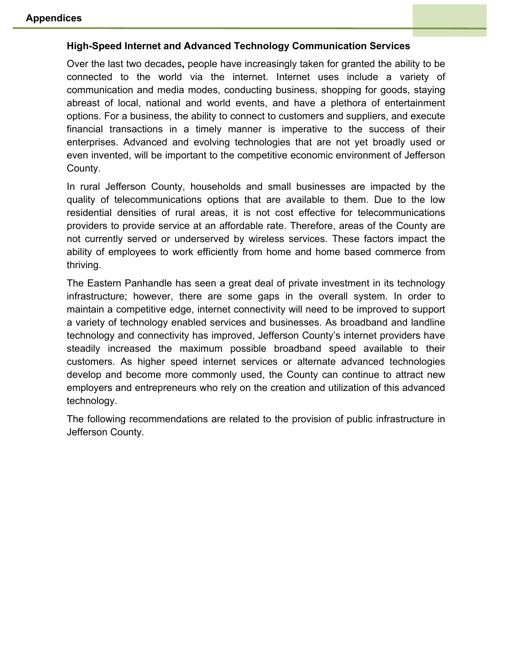#### **High-Speed Internet and Advanced Technology Communication Services**

Over the last two decades**,** people have increasingly taken for granted the ability to be connected to the world via the internet. Internet uses include a variety of communication and media modes, conducting business, shopping for goods, staying abreast of local, national and world events, and have a plethora of entertainment options. For a business, the ability to connect to customers and suppliers, and execute financial transactions in a timely manner is imperative to the success of their enterprises. Advanced and evolving technologies that are not yet broadly used or even invented, will be important to the competitive economic environment of Jefferson County.

In rural Jefferson County, households and small businesses are impacted by the quality of telecommunications options that are available to them. Due to the low residential densities of rural areas, it is not cost effective for telecommunications providers to provide service at an affordable rate. Therefore, areas of the County are not currently served or underserved by wireless services. These factors impact the ability of employees to work efficiently from home and home based commerce from thriving.

The Eastern Panhandle has seen a great deal of private investment in its technology infrastructure; however, there are some gaps in the overall system. In order to maintain a competitive edge, internet connectivity will need to be improved to support a variety of technology enabled services and businesses. As broadband and landline technology and connectivity has improved, Jefferson County's internet providers have steadily increased the maximum possible broadband speed available to their customers. As higher speed internet services or alternate advanced technologies develop and become more commonly used, the County can continue to attract new employers and entrepreneurs who rely on the creation and utilization of this advanced technology.

The following recommendations are related to the provision of public infrastructure in Jefferson County.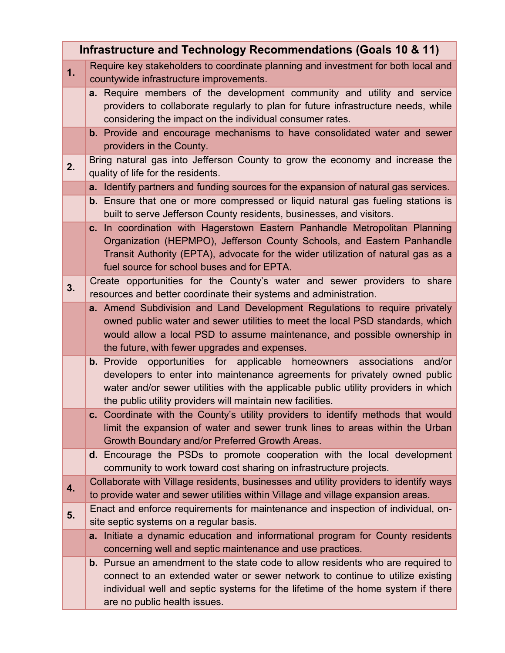| Infrastructure and Technology Recommendations (Goals 10 & 11) |                                                                                                                                                                                                                                                                                                                    |
|---------------------------------------------------------------|--------------------------------------------------------------------------------------------------------------------------------------------------------------------------------------------------------------------------------------------------------------------------------------------------------------------|
| 1.                                                            | Require key stakeholders to coordinate planning and investment for both local and<br>countywide infrastructure improvements.                                                                                                                                                                                       |
|                                                               | a. Require members of the development community and utility and service<br>providers to collaborate regularly to plan for future infrastructure needs, while<br>considering the impact on the individual consumer rates.                                                                                           |
|                                                               | <b>b.</b> Provide and encourage mechanisms to have consolidated water and sewer<br>providers in the County.                                                                                                                                                                                                        |
| 2.                                                            | Bring natural gas into Jefferson County to grow the economy and increase the<br>quality of life for the residents.                                                                                                                                                                                                 |
|                                                               | a. Identify partners and funding sources for the expansion of natural gas services.                                                                                                                                                                                                                                |
|                                                               | <b>b.</b> Ensure that one or more compressed or liquid natural gas fueling stations is<br>built to serve Jefferson County residents, businesses, and visitors.                                                                                                                                                     |
|                                                               | c. In coordination with Hagerstown Eastern Panhandle Metropolitan Planning<br>Organization (HEPMPO), Jefferson County Schools, and Eastern Panhandle<br>Transit Authority (EPTA), advocate for the wider utilization of natural gas as a<br>fuel source for school buses and for EPTA.                             |
| 3.                                                            | Create opportunities for the County's water and sewer providers to share<br>resources and better coordinate their systems and administration.                                                                                                                                                                      |
|                                                               | a. Amend Subdivision and Land Development Regulations to require privately<br>owned public water and sewer utilities to meet the local PSD standards, which<br>would allow a local PSD to assume maintenance, and possible ownership in<br>the future, with fewer upgrades and expenses.                           |
|                                                               | <b>b.</b> Provide opportunities for applicable homeowners associations<br>and/or<br>developers to enter into maintenance agreements for privately owned public<br>water and/or sewer utilities with the applicable public utility providers in which<br>the public utility providers will maintain new facilities. |
|                                                               | c. Coordinate with the County's utility providers to identify methods that would<br>limit the expansion of water and sewer trunk lines to areas within the Urban<br>Growth Boundary and/or Preferred Growth Areas.                                                                                                 |
|                                                               | d. Encourage the PSDs to promote cooperation with the local development<br>community to work toward cost sharing on infrastructure projects.                                                                                                                                                                       |
| 4.                                                            | Collaborate with Village residents, businesses and utility providers to identify ways<br>to provide water and sewer utilities within Village and village expansion areas.                                                                                                                                          |
| 5.                                                            | Enact and enforce requirements for maintenance and inspection of individual, on-<br>site septic systems on a regular basis.                                                                                                                                                                                        |
|                                                               | a. Initiate a dynamic education and informational program for County residents<br>concerning well and septic maintenance and use practices.                                                                                                                                                                        |
|                                                               | <b>b.</b> Pursue an amendment to the state code to allow residents who are required to<br>connect to an extended water or sewer network to continue to utilize existing<br>individual well and septic systems for the lifetime of the home system if there<br>are no public health issues.                         |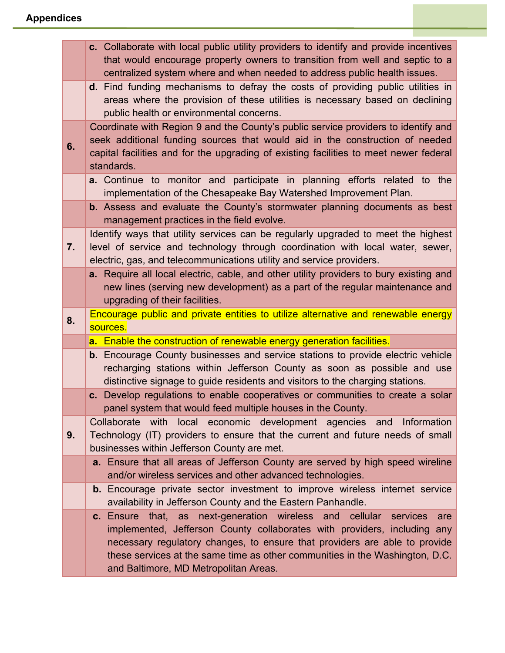|    | c. Collaborate with local public utility providers to identify and provide incentives<br>that would encourage property owners to transition from well and septic to a<br>centralized system where and when needed to address public health issues.                        |
|----|---------------------------------------------------------------------------------------------------------------------------------------------------------------------------------------------------------------------------------------------------------------------------|
|    | d. Find funding mechanisms to defray the costs of providing public utilities in<br>areas where the provision of these utilities is necessary based on declining<br>public health or environmental concerns.                                                               |
| 6. | Coordinate with Region 9 and the County's public service providers to identify and<br>seek additional funding sources that would aid in the construction of needed<br>capital facilities and for the upgrading of existing facilities to meet newer federal<br>standards. |
|    | a. Continue to monitor and participate in planning efforts related to the<br>implementation of the Chesapeake Bay Watershed Improvement Plan.                                                                                                                             |
|    | <b>b.</b> Assess and evaluate the County's stormwater planning documents as best<br>management practices in the field evolve.                                                                                                                                             |
| 7. | Identify ways that utility services can be regularly upgraded to meet the highest<br>level of service and technology through coordination with local water, sewer,<br>electric, gas, and telecommunications utility and service providers.                                |
|    | a. Require all local electric, cable, and other utility providers to bury existing and<br>new lines (serving new development) as a part of the regular maintenance and<br>upgrading of their facilities.                                                                  |
|    |                                                                                                                                                                                                                                                                           |
| 8. | Encourage public and private entities to utilize alternative and renewable energy<br>sources.                                                                                                                                                                             |
|    | a. Enable the construction of renewable energy generation facilities.                                                                                                                                                                                                     |
|    | <b>b.</b> Encourage County businesses and service stations to provide electric vehicle<br>recharging stations within Jefferson County as soon as possible and use<br>distinctive signage to guide residents and visitors to the charging stations.                        |
|    | c. Develop regulations to enable cooperatives or communities to create a solar<br>panel system that would feed multiple houses in the County.                                                                                                                             |
| 9. | Collaborate with local economic development agencies and Information<br>Technology (IT) providers to ensure that the current and future needs of small<br>businesses within Jefferson County are met.                                                                     |
|    | a. Ensure that all areas of Jefferson County are served by high speed wireline<br>and/or wireless services and other advanced technologies.                                                                                                                               |
|    | <b>b.</b> Encourage private sector investment to improve wireless internet service<br>availability in Jefferson County and the Eastern Panhandle.                                                                                                                         |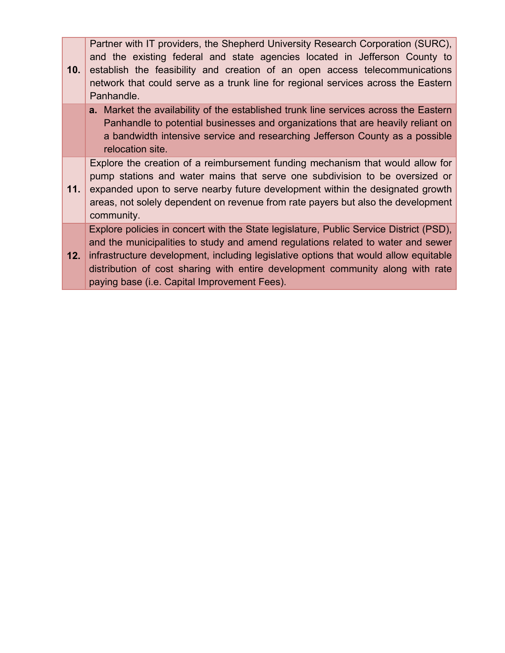| 10. | Partner with IT providers, the Shepherd University Research Corporation (SURC),<br>and the existing federal and state agencies located in Jefferson County to<br>establish the feasibility and creation of an open access telecommunications<br>network that could serve as a trunk line for regional services across the Eastern<br>Panhandle.                                                      |
|-----|------------------------------------------------------------------------------------------------------------------------------------------------------------------------------------------------------------------------------------------------------------------------------------------------------------------------------------------------------------------------------------------------------|
|     | <b>a.</b> Market the availability of the established trunk line services across the Eastern<br>Panhandle to potential businesses and organizations that are heavily reliant on<br>a bandwidth intensive service and researching Jefferson County as a possible<br>relocation site.                                                                                                                   |
| 11. | Explore the creation of a reimbursement funding mechanism that would allow for<br>pump stations and water mains that serve one subdivision to be oversized or<br>expanded upon to serve nearby future development within the designated growth<br>areas, not solely dependent on revenue from rate payers but also the development<br>community.                                                     |
| 12. | Explore policies in concert with the State legislature, Public Service District (PSD),<br>and the municipalities to study and amend regulations related to water and sewer<br>infrastructure development, including legislative options that would allow equitable<br>distribution of cost sharing with entire development community along with rate<br>paying base (i.e. Capital Improvement Fees). |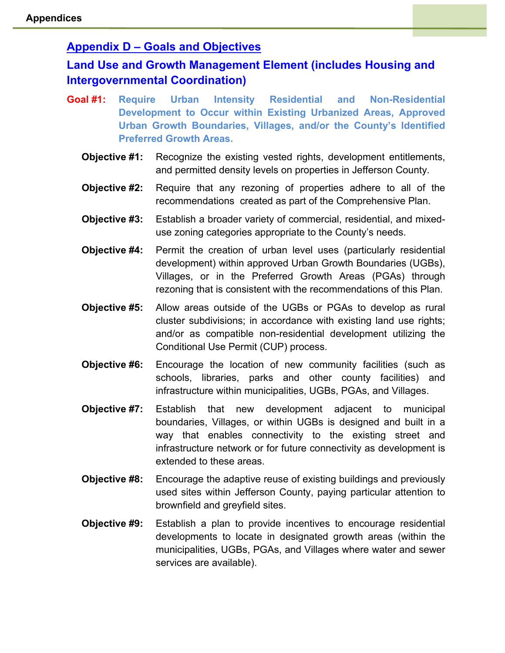# **Appendix D – Goals and Objectives**

# **Land Use and Growth Management Element (includes Housing and Intergovernmental Coordination)**

- **Goal #1: Require Urban Intensity Residential and Non-Residential Development to Occur within Existing Urbanized Areas, Approved Urban Growth Boundaries, Villages, and/or the County's Identified Preferred Growth Areas.**
	- **Objective #1:** Recognize the existing vested rights, development entitlements, and permitted density levels on properties in Jefferson County.
	- **Objective #2:** Require that any rezoning of properties adhere to all of the recommendations created as part of the Comprehensive Plan.
	- **Objective #3:** Establish a broader variety of commercial, residential, and mixeduse zoning categories appropriate to the County's needs.
	- **Objective #4:** Permit the creation of urban level uses (particularly residential development) within approved Urban Growth Boundaries (UGBs), Villages, or in the Preferred Growth Areas (PGAs) through rezoning that is consistent with the recommendations of this Plan.
	- **Objective #5:** Allow areas outside of the UGBs or PGAs to develop as rural cluster subdivisions; in accordance with existing land use rights; and/or as compatible non-residential development utilizing the Conditional Use Permit (CUP) process.
	- **Objective #6:** Encourage the location of new community facilities (such as schools, libraries, parks and other county facilities) and infrastructure within municipalities, UGBs, PGAs, and Villages.
	- **Objective #7:** Establish that new development adjacent to municipal boundaries, Villages, or within UGBs is designed and built in a way that enables connectivity to the existing street and infrastructure network or for future connectivity as development is extended to these areas.
	- **Objective #8:** Encourage the adaptive reuse of existing buildings and previously used sites within Jefferson County, paying particular attention to brownfield and greyfield sites.
	- **Objective #9:** Establish a plan to provide incentives to encourage residential developments to locate in designated growth areas (within the municipalities, UGBs, PGAs, and Villages where water and sewer services are available).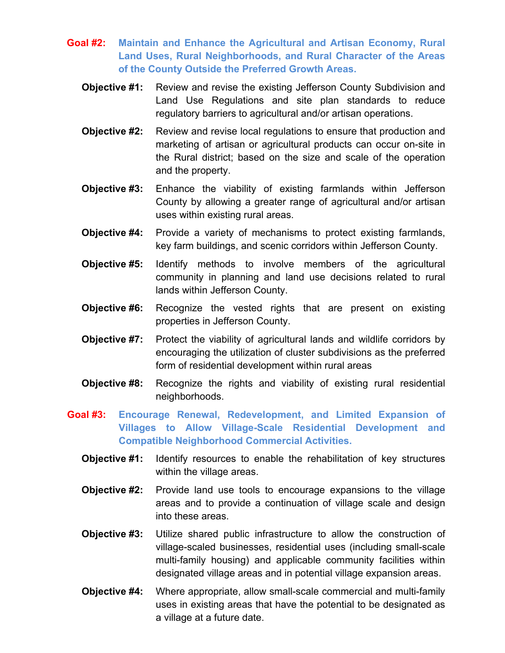- **Goal #2: Maintain and Enhance the Agricultural and Artisan Economy, Rural Land Uses, Rural Neighborhoods, and Rural Character of the Areas of the County Outside the Preferred Growth Areas.**
	- **Objective #1:** Review and revise the existing Jefferson County Subdivision and Land Use Regulations and site plan standards to reduce regulatory barriers to agricultural and/or artisan operations.
	- **Objective #2:** Review and revise local regulations to ensure that production and marketing of artisan or agricultural products can occur on-site in the Rural district; based on the size and scale of the operation and the property.
	- **Objective #3:** Enhance the viability of existing farmlands within Jefferson County by allowing a greater range of agricultural and/or artisan uses within existing rural areas.
	- **Objective #4:** Provide a variety of mechanisms to protect existing farmlands, key farm buildings, and scenic corridors within Jefferson County.
	- **Objective #5:** Identify methods to involve members of the agricultural community in planning and land use decisions related to rural lands within Jefferson County.
	- **Objective #6:** Recognize the vested rights that are present on existing properties in Jefferson County.
	- **Objective #7:** Protect the viability of agricultural lands and wildlife corridors by encouraging the utilization of cluster subdivisions as the preferred form of residential development within rural areas
	- **Objective #8:** Recognize the rights and viability of existing rural residential neighborhoods.
- **Goal #3: Encourage Renewal, Redevelopment, and Limited Expansion of Villages to Allow Village-Scale Residential Development and Compatible Neighborhood Commercial Activities.**
	- **Objective #1:** Identify resources to enable the rehabilitation of key structures within the village areas.
	- **Objective #2:** Provide land use tools to encourage expansions to the village areas and to provide a continuation of village scale and design into these areas.
	- **Objective #3:** Utilize shared public infrastructure to allow the construction of village-scaled businesses, residential uses (including small-scale multi-family housing) and applicable community facilities within designated village areas and in potential village expansion areas.
	- **Objective #4:** Where appropriate, allow small-scale commercial and multi-family uses in existing areas that have the potential to be designated as a village at a future date.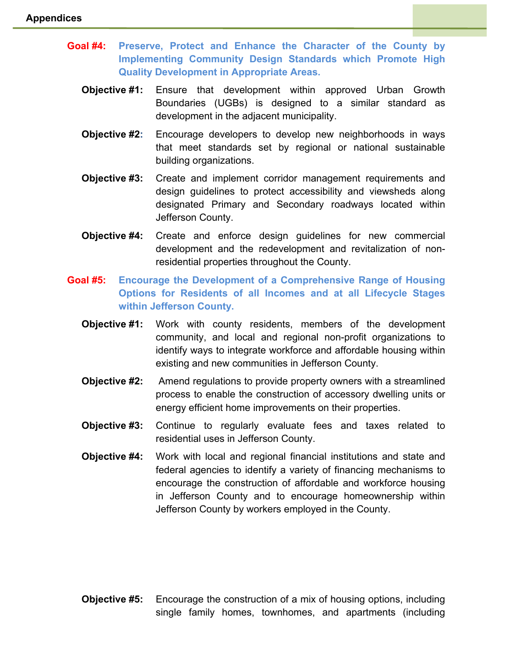- **Goal #4: Preserve, Protect and Enhance the Character of the County by Implementing Community Design Standards which Promote High Quality Development in Appropriate Areas.**
	- **Objective #1:** Ensure that development within approved Urban Growth Boundaries (UGBs) is designed to a similar standard as development in the adjacent municipality.
	- **Objective #2:** Encourage developers to develop new neighborhoods in ways that meet standards set by regional or national sustainable building organizations.
	- **Objective #3:** Create and implement corridor management requirements and design guidelines to protect accessibility and viewsheds along designated Primary and Secondary roadways located within Jefferson County.
	- **Objective #4:** Create and enforce design guidelines for new commercial development and the redevelopment and revitalization of nonresidential properties throughout the County.
- **Goal #5: Encourage the Development of a Comprehensive Range of Housing Options for Residents of all Incomes and at all Lifecycle Stages within Jefferson County.**
	- **Objective #1:** Work with county residents, members of the development community, and local and regional non-profit organizations to identify ways to integrate workforce and affordable housing within existing and new communities in Jefferson County.
	- **Objective #2:** Amend regulations to provide property owners with a streamlined process to enable the construction of accessory dwelling units or energy efficient home improvements on their properties.
	- **Objective #3:** Continue to regularly evaluate fees and taxes related to residential uses in Jefferson County.
	- **Objective #4:** Work with local and regional financial institutions and state and federal agencies to identify a variety of financing mechanisms to encourage the construction of affordable and workforce housing in Jefferson County and to encourage homeownership within Jefferson County by workers employed in the County.

**Objective #5:** Encourage the construction of a mix of housing options, including single family homes, townhomes, and apartments (including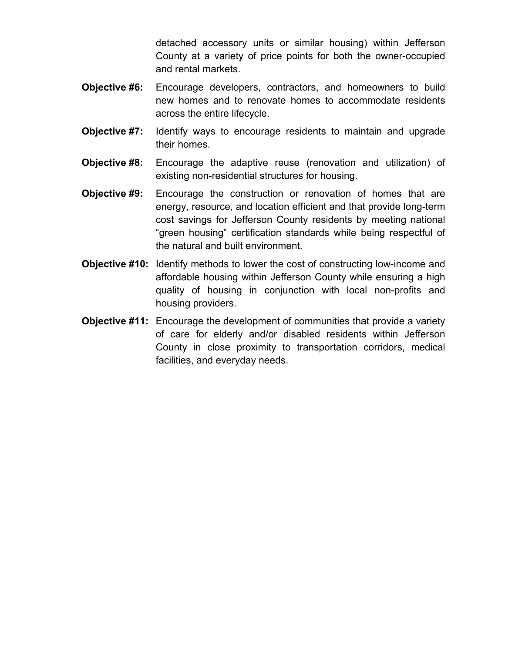detached accessory units or similar housing) within Jefferson County at a variety of price points for both the owner-occupied and rental markets.

- **Objective #6:** Encourage developers, contractors, and homeowners to build new homes and to renovate homes to accommodate residents across the entire lifecycle.
- **Objective #7:** Identify ways to encourage residents to maintain and upgrade their homes.
- **Objective #8:** Encourage the adaptive reuse (renovation and utilization) of existing non-residential structures for housing.
- **Objective #9:** Encourage the construction or renovation of homes that are energy, resource, and location efficient and that provide long-term cost savings for Jefferson County residents by meeting national "green housing" certification standards while being respectful of the natural and built environment.
- **Objective #10:** Identify methods to lower the cost of constructing low-income and affordable housing within Jefferson County while ensuring a high quality of housing in conjunction with local non-profits and housing providers.
- **Objective #11:** Encourage the development of communities that provide a variety of care for elderly and/or disabled residents within Jefferson County in close proximity to transportation corridors, medical facilities, and everyday needs.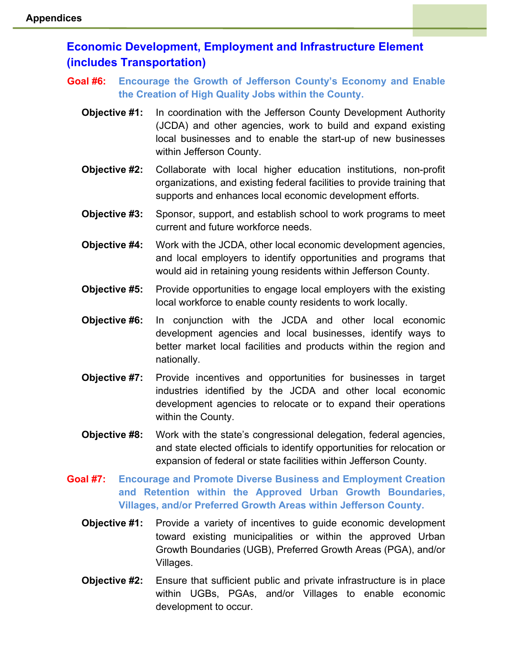# **Economic Development, Employment and Infrastructure Element (includes Transportation)**

**Goal #6: Encourage the Growth of Jefferson County's Economy and Enable the Creation of High Quality Jobs within the County.**

- **Objective #1:** In coordination with the Jefferson County Development Authority (JCDA) and other agencies, work to build and expand existing local businesses and to enable the start-up of new businesses within Jefferson County.
- **Objective #2:** Collaborate with local higher education institutions, non-profit organizations, and existing federal facilities to provide training that supports and enhances local economic development efforts.
- **Objective #3:** Sponsor, support, and establish school to work programs to meet current and future workforce needs.
- **Objective #4:** Work with the JCDA, other local economic development agencies, and local employers to identify opportunities and programs that would aid in retaining young residents within Jefferson County.
- **Objective #5:** Provide opportunities to engage local employers with the existing local workforce to enable county residents to work locally.
- **Objective #6:** In conjunction with the JCDA and other local economic development agencies and local businesses, identify ways to better market local facilities and products within the region and nationally.
- **Objective #7:** Provide incentives and opportunities for businesses in target industries identified by the JCDA and other local economic development agencies to relocate or to expand their operations within the County.
- **Objective #8:** Work with the state's congressional delegation, federal agencies, and state elected officials to identify opportunities for relocation or expansion of federal or state facilities within Jefferson County.
- **Goal #7: Encourage and Promote Diverse Business and Employment Creation and Retention within the Approved Urban Growth Boundaries, Villages, and/or Preferred Growth Areas within Jefferson County.**
	- **Objective #1:** Provide a variety of incentives to guide economic development toward existing municipalities or within the approved Urban Growth Boundaries (UGB), Preferred Growth Areas (PGA), and/or Villages.
	- **Objective #2:** Ensure that sufficient public and private infrastructure is in place within UGBs, PGAs, and/or Villages to enable economic development to occur.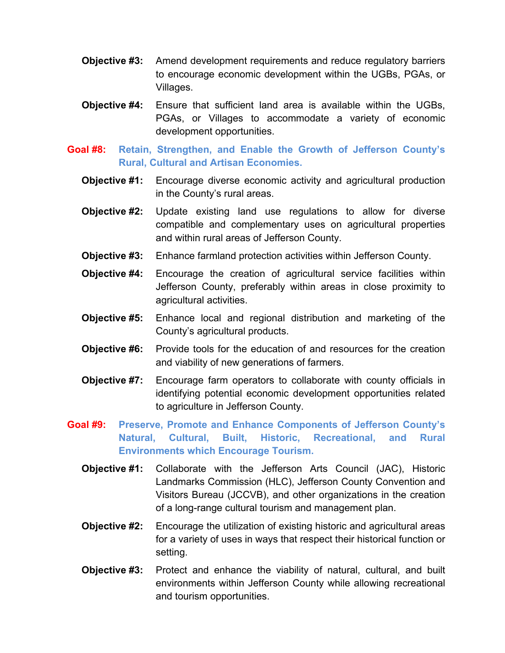- **Objective #3:** Amend development requirements and reduce regulatory barriers to encourage economic development within the UGBs, PGAs, or Villages.
- **Objective #4:** Ensure that sufficient land area is available within the UGBs, PGAs, or Villages to accommodate a variety of economic development opportunities.
- **Goal #8: Retain, Strengthen, and Enable the Growth of Jefferson County's Rural, Cultural and Artisan Economies.**
	- **Objective #1:** Encourage diverse economic activity and agricultural production in the County's rural areas.
	- **Objective #2:** Update existing land use regulations to allow for diverse compatible and complementary uses on agricultural properties and within rural areas of Jefferson County.
	- **Objective #3:** Enhance farmland protection activities within Jefferson County.
	- **Objective #4:** Encourage the creation of agricultural service facilities within Jefferson County, preferably within areas in close proximity to agricultural activities.
	- **Objective #5:** Enhance local and regional distribution and marketing of the County's agricultural products.
	- **Objective #6:** Provide tools for the education of and resources for the creation and viability of new generations of farmers.
	- **Objective #7:** Encourage farm operators to collaborate with county officials in identifying potential economic development opportunities related to agriculture in Jefferson County.
- **Goal #9: Preserve, Promote and Enhance Components of Jefferson County's Natural, Cultural, Built, Historic, Recreational, and Rural Environments which Encourage Tourism.**
	- **Objective #1:** Collaborate with the Jefferson Arts Council (JAC), Historic Landmarks Commission (HLC), Jefferson County Convention and Visitors Bureau (JCCVB), and other organizations in the creation of a long-range cultural tourism and management plan.
	- **Objective #2:** Encourage the utilization of existing historic and agricultural areas for a variety of uses in ways that respect their historical function or setting.
	- **Objective #3:** Protect and enhance the viability of natural, cultural, and built environments within Jefferson County while allowing recreational and tourism opportunities.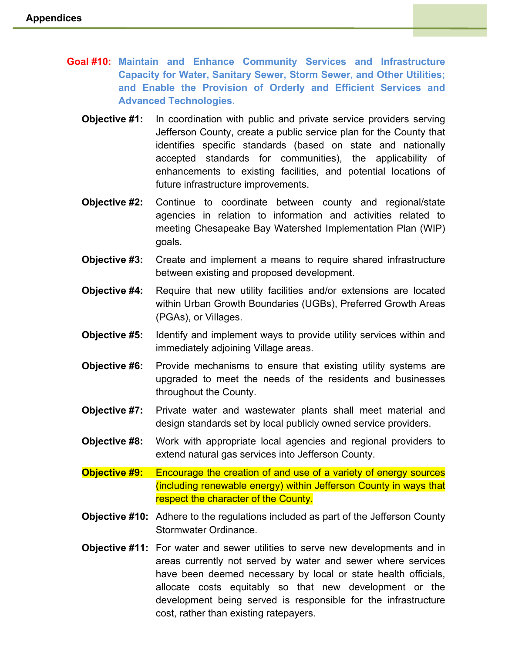- **Goal #10: Maintain and Enhance Community Services and Infrastructure Capacity for Water, Sanitary Sewer, Storm Sewer, and Other Utilities; and Enable the Provision of Orderly and Efficient Services and Advanced Technologies.**
	- **Objective #1:** In coordination with public and private service providers serving Jefferson County, create a public service plan for the County that identifies specific standards (based on state and nationally accepted standards for communities), the applicability of enhancements to existing facilities, and potential locations of future infrastructure improvements.
	- **Objective #2:** Continue to coordinate between county and regional/state agencies in relation to information and activities related to meeting Chesapeake Bay Watershed Implementation Plan (WIP) goals.
	- **Objective #3:** Create and implement a means to require shared infrastructure between existing and proposed development.
	- **Objective #4:** Require that new utility facilities and/or extensions are located within Urban Growth Boundaries (UGBs), Preferred Growth Areas (PGAs), or Villages.
	- **Objective #5:** Identify and implement ways to provide utility services within and immediately adjoining Village areas.
	- **Objective #6:** Provide mechanisms to ensure that existing utility systems are upgraded to meet the needs of the residents and businesses throughout the County.
	- **Objective #7:** Private water and wastewater plants shall meet material and design standards set by local publicly owned service providers.
	- **Objective #8:** Work with appropriate local agencies and regional providers to extend natural gas services into Jefferson County.
	- **Objective #9:** Encourage the creation of and use of a variety of energy sources (including renewable energy) within Jefferson County in ways that respect the character of the County.
	- **Objective #10:** Adhere to the regulations included as part of the Jefferson County Stormwater Ordinance.
	- **Objective #11:** For water and sewer utilities to serve new developments and in areas currently not served by water and sewer where services have been deemed necessary by local or state health officials, allocate costs equitably so that new development or the development being served is responsible for the infrastructure cost, rather than existing ratepayers.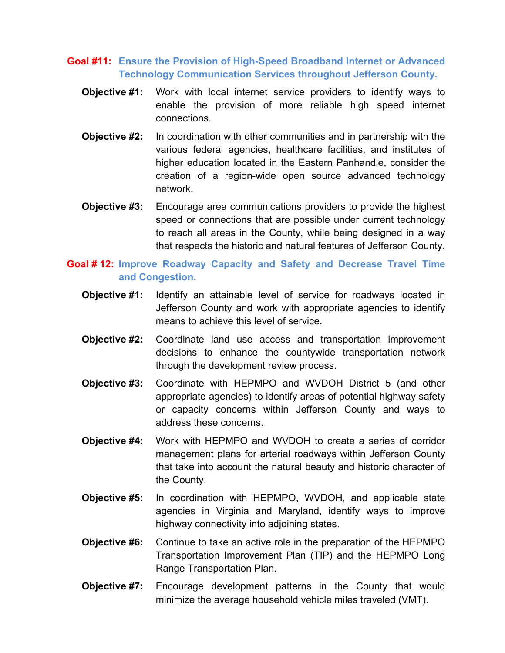### **Goal #11: Ensure the Provision of High-Speed Broadband Internet or Advanced Technology Communication Services throughout Jefferson County.**

- **Objective #1:** Work with local internet service providers to identify ways to enable the provision of more reliable high speed internet connections.
- **Objective #2:** In coordination with other communities and in partnership with the various federal agencies, healthcare facilities, and institutes of higher education located in the Eastern Panhandle, consider the creation of a region-wide open source advanced technology network.
- **Objective #3:** Encourage area communications providers to provide the highest speed or connections that are possible under current technology to reach all areas in the County, while being designed in a way that respects the historic and natural features of Jefferson County.

## **Goal # 12: Improve Roadway Capacity and Safety and Decrease Travel Time and Congestion.**

- **Objective #1:** Identify an attainable level of service for roadways located in Jefferson County and work with appropriate agencies to identify means to achieve this level of service.
- **Objective #2:** Coordinate land use access and transportation improvement decisions to enhance the countywide transportation network through the development review process.
- **Objective #3:** Coordinate with HEPMPO and WVDOH District 5 (and other appropriate agencies) to identify areas of potential highway safety or capacity concerns within Jefferson County and ways to address these concerns.
- **Objective #4:** Work with HEPMPO and WVDOH to create a series of corridor management plans for arterial roadways within Jefferson County that take into account the natural beauty and historic character of the County.
- **Objective #5:** In coordination with HEPMPO, WVDOH, and applicable state agencies in Virginia and Maryland, identify ways to improve highway connectivity into adjoining states.
- **Objective #6:** Continue to take an active role in the preparation of the HEPMPO Transportation Improvement Plan (TIP) and the HEPMPO Long Range Transportation Plan.
- **Objective #7:** Encourage development patterns in the County that would minimize the average household vehicle miles traveled (VMT).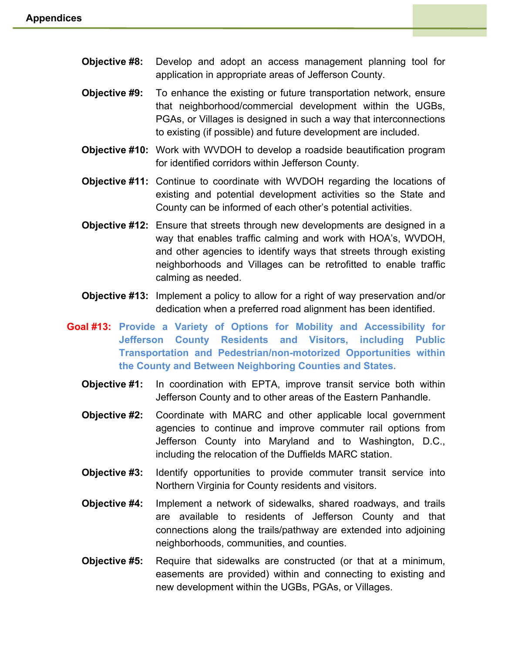- **Objective #8:** Develop and adopt an access management planning tool for application in appropriate areas of Jefferson County.
- **Objective #9:** To enhance the existing or future transportation network, ensure that neighborhood/commercial development within the UGBs, PGAs, or Villages is designed in such a way that interconnections to existing (if possible) and future development are included.
- **Objective #10:** Work with WVDOH to develop a roadside beautification program for identified corridors within Jefferson County.
- **Objective #11:** Continue to coordinate with WVDOH regarding the locations of existing and potential development activities so the State and County can be informed of each other's potential activities.
- **Objective #12:** Ensure that streets through new developments are designed in a way that enables traffic calming and work with HOA's, WVDOH, and other agencies to identify ways that streets through existing neighborhoods and Villages can be retrofitted to enable traffic calming as needed.
- **Objective #13:** Implement a policy to allow for a right of way preservation and/or dedication when a preferred road alignment has been identified.
- **Goal #13: Provide a Variety of Options for Mobility and Accessibility for Jefferson County Residents and Visitors, including Public Transportation and Pedestrian/non-motorized Opportunities within the County and Between Neighboring Counties and States.**
	- **Objective #1:** In coordination with EPTA, improve transit service both within Jefferson County and to other areas of the Eastern Panhandle.
	- **Objective #2:** Coordinate with MARC and other applicable local government agencies to continue and improve commuter rail options from Jefferson County into Maryland and to Washington, D.C., including the relocation of the Duffields MARC station.
	- **Objective #3:** Identify opportunities to provide commuter transit service into Northern Virginia for County residents and visitors.
	- **Objective #4:** Implement a network of sidewalks, shared roadways, and trails are available to residents of Jefferson County and that connections along the trails/pathway are extended into adjoining neighborhoods, communities, and counties.
	- **Objective #5:** Require that sidewalks are constructed (or that at a minimum, easements are provided) within and connecting to existing and new development within the UGBs, PGAs, or Villages.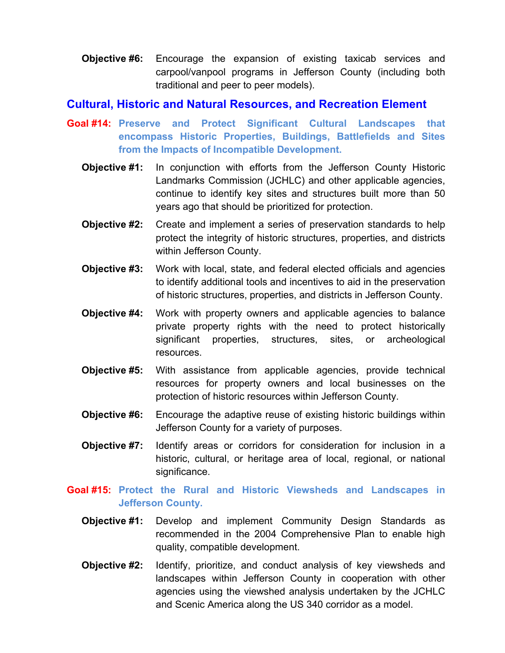**Objective #6:** Encourage the expansion of existing taxicab services and carpool/vanpool programs in Jefferson County (including both traditional and peer to peer models).

## **Cultural, Historic and Natural Resources, and Recreation Element**

- **Goal #14: Preserve and Protect Significant Cultural Landscapes that encompass Historic Properties, Buildings, Battlefields and Sites from the Impacts of Incompatible Development.**
	- **Objective #1:** In conjunction with efforts from the Jefferson County Historic Landmarks Commission (JCHLC) and other applicable agencies, continue to identify key sites and structures built more than 50 years ago that should be prioritized for protection.
	- **Objective #2:** Create and implement a series of preservation standards to help protect the integrity of historic structures, properties, and districts within Jefferson County.
	- **Objective #3:** Work with local, state, and federal elected officials and agencies to identify additional tools and incentives to aid in the preservation of historic structures, properties, and districts in Jefferson County.
	- **Objective #4:** Work with property owners and applicable agencies to balance private property rights with the need to protect historically significant properties, structures, sites, or archeological resources.
	- **Objective #5:** With assistance from applicable agencies, provide technical resources for property owners and local businesses on the protection of historic resources within Jefferson County.
	- **Objective #6:** Encourage the adaptive reuse of existing historic buildings within Jefferson County for a variety of purposes.
	- **Objective #7:** Identify areas or corridors for consideration for inclusion in a historic, cultural, or heritage area of local, regional, or national significance.
- **Goal #15: Protect the Rural and Historic Viewsheds and Landscapes in Jefferson County.**
	- **Objective #1:** Develop and implement Community Design Standards as recommended in the 2004 Comprehensive Plan to enable high quality, compatible development.
	- **Objective #2:** Identify, prioritize, and conduct analysis of key viewsheds and landscapes within Jefferson County in cooperation with other agencies using the viewshed analysis undertaken by the JCHLC and Scenic America along the US 340 corridor as a model.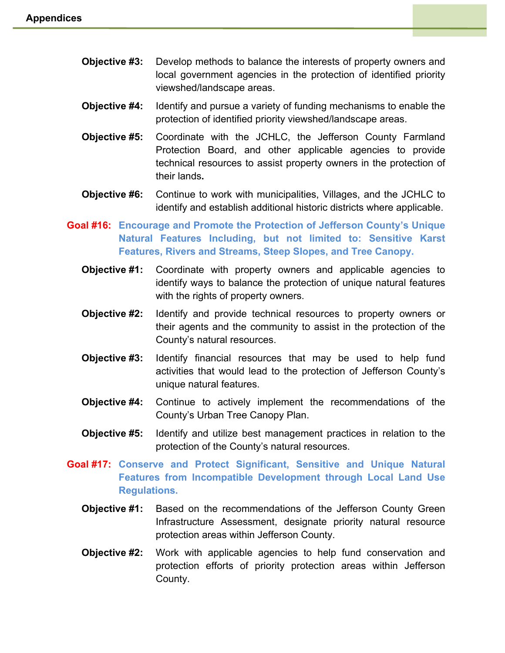- **Objective #3:** Develop methods to balance the interests of property owners and local government agencies in the protection of identified priority viewshed/landscape areas.
- **Objective #4:** Identify and pursue a variety of funding mechanisms to enable the protection of identified priority viewshed/landscape areas.
- **Objective #5:** Coordinate with the JCHLC, the Jefferson County Farmland Protection Board, and other applicable agencies to provide technical resources to assist property owners in the protection of their lands**.**
- **Objective #6:** Continue to work with municipalities, Villages, and the JCHLC to identify and establish additional historic districts where applicable.
- **Goal #16: Encourage and Promote the Protection of Jefferson County's Unique Natural Features Including, but not limited to: Sensitive Karst Features, Rivers and Streams, Steep Slopes, and Tree Canopy.**
	- **Objective #1:** Coordinate with property owners and applicable agencies to identify ways to balance the protection of unique natural features with the rights of property owners.
	- **Objective #2:** Identify and provide technical resources to property owners or their agents and the community to assist in the protection of the County's natural resources.
	- **Objective #3:** Identify financial resources that may be used to help fund activities that would lead to the protection of Jefferson County's unique natural features.
	- **Objective #4:** Continue to actively implement the recommendations of the County's Urban Tree Canopy Plan.
	- **Objective #5:** Identify and utilize best management practices in relation to the protection of the County's natural resources.
- **Goal #17: Conserve and Protect Significant, Sensitive and Unique Natural Features from Incompatible Development through Local Land Use Regulations.**
	- **Objective #1:** Based on the recommendations of the Jefferson County Green Infrastructure Assessment, designate priority natural resource protection areas within Jefferson County.
	- **Objective #2:** Work with applicable agencies to help fund conservation and protection efforts of priority protection areas within Jefferson County.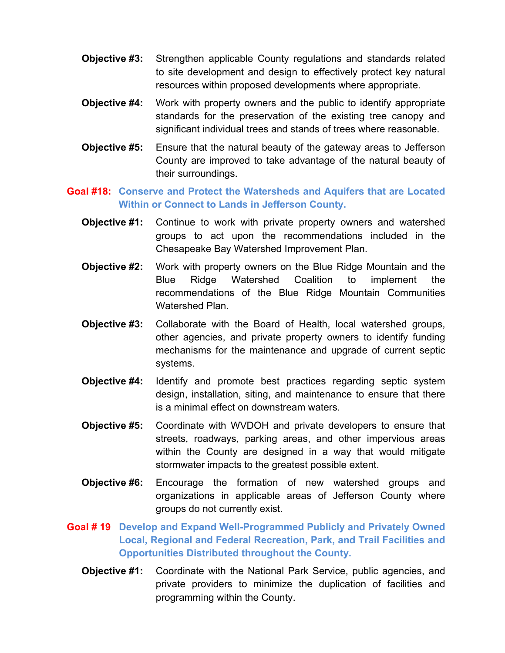- **Objective #3:** Strengthen applicable County regulations and standards related to site development and design to effectively protect key natural resources within proposed developments where appropriate.
- **Objective #4:** Work with property owners and the public to identify appropriate standards for the preservation of the existing tree canopy and significant individual trees and stands of trees where reasonable.
- **Objective #5:** Ensure that the natural beauty of the gateway areas to Jefferson County are improved to take advantage of the natural beauty of their surroundings.
- **Goal #18: Conserve and Protect the Watersheds and Aquifers that are Located Within or Connect to Lands in Jefferson County.**
	- **Objective #1:** Continue to work with private property owners and watershed groups to act upon the recommendations included in the Chesapeake Bay Watershed Improvement Plan.
	- **Objective #2:** Work with property owners on the Blue Ridge Mountain and the Blue Ridge Watershed Coalition to implement the recommendations of the Blue Ridge Mountain Communities Watershed Plan.
	- **Objective #3:** Collaborate with the Board of Health, local watershed groups, other agencies, and private property owners to identify funding mechanisms for the maintenance and upgrade of current septic systems.
	- **Objective #4:** Identify and promote best practices regarding septic system design, installation, siting, and maintenance to ensure that there is a minimal effect on downstream waters.
	- **Objective #5:** Coordinate with WVDOH and private developers to ensure that streets, roadways, parking areas, and other impervious areas within the County are designed in a way that would mitigate stormwater impacts to the greatest possible extent.
	- **Objective #6:** Encourage the formation of new watershed groups and organizations in applicable areas of Jefferson County where groups do not currently exist.
- **Goal # 19 Develop and Expand Well-Programmed Publicly and Privately Owned Local, Regional and Federal Recreation, Park, and Trail Facilities and Opportunities Distributed throughout the County.**
	- **Objective #1:** Coordinate with the National Park Service, public agencies, and private providers to minimize the duplication of facilities and programming within the County.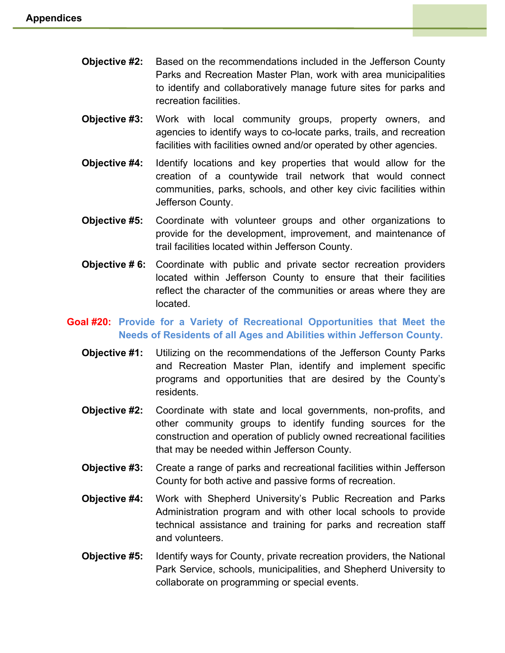- **Objective #2:** Based on the recommendations included in the Jefferson County Parks and Recreation Master Plan, work with area municipalities to identify and collaboratively manage future sites for parks and recreation facilities.
- **Objective #3:** Work with local community groups, property owners, and agencies to identify ways to co-locate parks, trails, and recreation facilities with facilities owned and/or operated by other agencies.
- **Objective #4:** Identify locations and key properties that would allow for the creation of a countywide trail network that would connect communities, parks, schools, and other key civic facilities within Jefferson County.
- **Objective #5:** Coordinate with volunteer groups and other organizations to provide for the development, improvement, and maintenance of trail facilities located within Jefferson County.
- **Objective # 6:** Coordinate with public and private sector recreation providers located within Jefferson County to ensure that their facilities reflect the character of the communities or areas where they are located.

## **Goal #20: Provide for a Variety of Recreational Opportunities that Meet the Needs of Residents of all Ages and Abilities within Jefferson County.**

- **Objective #1:** Utilizing on the recommendations of the Jefferson County Parks and Recreation Master Plan, identify and implement specific programs and opportunities that are desired by the County's residents.
- **Objective #2:** Coordinate with state and local governments, non-profits, and other community groups to identify funding sources for the construction and operation of publicly owned recreational facilities that may be needed within Jefferson County.
- **Objective #3:** Create a range of parks and recreational facilities within Jefferson County for both active and passive forms of recreation.
- **Objective #4:** Work with Shepherd University's Public Recreation and Parks Administration program and with other local schools to provide technical assistance and training for parks and recreation staff and volunteers.
- **Objective #5:** Identify ways for County, private recreation providers, the National Park Service, schools, municipalities, and Shepherd University to collaborate on programming or special events.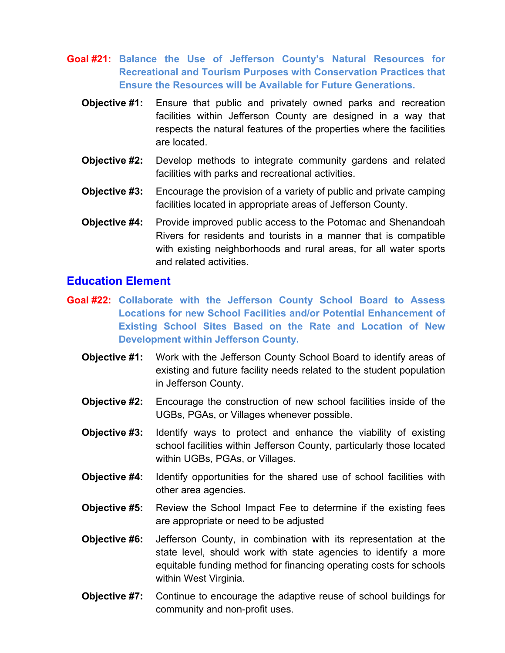- **Goal #21: Balance the Use of Jefferson County's Natural Resources for Recreational and Tourism Purposes with Conservation Practices that Ensure the Resources will be Available for Future Generations.**
	- **Objective #1:** Ensure that public and privately owned parks and recreation facilities within Jefferson County are designed in a way that respects the natural features of the properties where the facilities are located.
	- **Objective #2:** Develop methods to integrate community gardens and related facilities with parks and recreational activities.
	- **Objective #3:** Encourage the provision of a variety of public and private camping facilities located in appropriate areas of Jefferson County.
	- **Objective #4:** Provide improved public access to the Potomac and Shenandoah Rivers for residents and tourists in a manner that is compatible with existing neighborhoods and rural areas, for all water sports and related activities.

# **Education Element**

- **Goal #22: Collaborate with the Jefferson County School Board to Assess Locations for new School Facilities and/or Potential Enhancement of Existing School Sites Based on the Rate and Location of New Development within Jefferson County.**
	- **Objective #1:** Work with the Jefferson County School Board to identify areas of existing and future facility needs related to the student population in Jefferson County.
	- **Objective #2:** Encourage the construction of new school facilities inside of the UGBs, PGAs, or Villages whenever possible.
	- **Objective #3:** Identify ways to protect and enhance the viability of existing school facilities within Jefferson County, particularly those located within UGBs, PGAs, or Villages.
	- **Objective #4:** Identify opportunities for the shared use of school facilities with other area agencies.
	- **Objective #5:** Review the School Impact Fee to determine if the existing fees are appropriate or need to be adjusted
	- **Objective #6:** Jefferson County, in combination with its representation at the state level, should work with state agencies to identify a more equitable funding method for financing operating costs for schools within West Virginia.
	- **Objective #7:** Continue to encourage the adaptive reuse of school buildings for community and non-profit uses.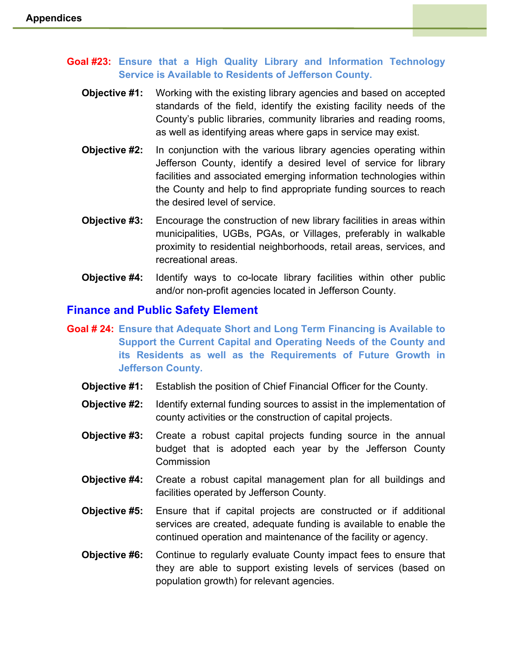- **Goal #23: Ensure that a High Quality Library and Information Technology Service is Available to Residents of Jefferson County.**
	- **Objective #1:** Working with the existing library agencies and based on accepted standards of the field, identify the existing facility needs of the County's public libraries, community libraries and reading rooms, as well as identifying areas where gaps in service may exist.
	- **Objective #2:** In conjunction with the various library agencies operating within Jefferson County, identify a desired level of service for library facilities and associated emerging information technologies within the County and help to find appropriate funding sources to reach the desired level of service.
	- **Objective #3:** Encourage the construction of new library facilities in areas within municipalities, UGBs, PGAs, or Villages, preferably in walkable proximity to residential neighborhoods, retail areas, services, and recreational areas.
	- **Objective #4:** Identify ways to co-locate library facilities within other public and/or non-profit agencies located in Jefferson County.

### **Finance and Public Safety Element**

- **Goal # 24: Ensure that Adequate Short and Long Term Financing is Available to Support the Current Capital and Operating Needs of the County and its Residents as well as the Requirements of Future Growth in Jefferson County.**
	- **Objective #1:** Establish the position of Chief Financial Officer for the County.
	- **Objective #2:** Identify external funding sources to assist in the implementation of county activities or the construction of capital projects.
	- **Objective #3:** Create a robust capital projects funding source in the annual budget that is adopted each year by the Jefferson County **Commission**
	- **Objective #4:** Create a robust capital management plan for all buildings and facilities operated by Jefferson County.
	- **Objective #5:** Ensure that if capital projects are constructed or if additional services are created, adequate funding is available to enable the continued operation and maintenance of the facility or agency.
	- **Objective #6:** Continue to regularly evaluate County impact fees to ensure that they are able to support existing levels of services (based on population growth) for relevant agencies.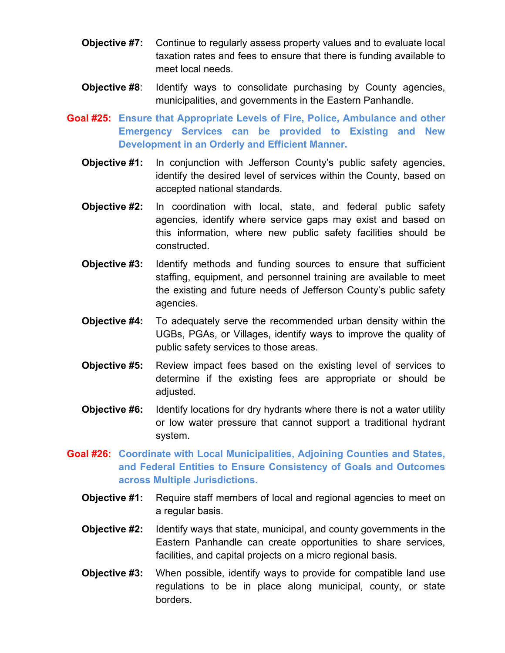- **Objective #7:** Continue to regularly assess property values and to evaluate local taxation rates and fees to ensure that there is funding available to meet local needs.
- **Objective #8:** Identify ways to consolidate purchasing by County agencies, municipalities, and governments in the Eastern Panhandle.
- **Goal #25: Ensure that Appropriate Levels of Fire, Police, Ambulance and other Emergency Services can be provided to Existing and New Development in an Orderly and Efficient Manner.**
	- **Objective #1:** In conjunction with Jefferson County's public safety agencies, identify the desired level of services within the County, based on accepted national standards.
	- **Objective #2:** In coordination with local, state, and federal public safety agencies, identify where service gaps may exist and based on this information, where new public safety facilities should be constructed.
	- **Objective #3:** Identify methods and funding sources to ensure that sufficient staffing, equipment, and personnel training are available to meet the existing and future needs of Jefferson County's public safety agencies.
	- **Objective #4:** To adequately serve the recommended urban density within the UGBs, PGAs, or Villages, identify ways to improve the quality of public safety services to those areas.
	- **Objective #5:** Review impact fees based on the existing level of services to determine if the existing fees are appropriate or should be adjusted.
	- **Objective #6:** Identify locations for dry hydrants where there is not a water utility or low water pressure that cannot support a traditional hydrant system.
- **Goal #26: Coordinate with Local Municipalities, Adjoining Counties and States, and Federal Entities to Ensure Consistency of Goals and Outcomes across Multiple Jurisdictions.**
	- **Objective #1:** Require staff members of local and regional agencies to meet on a regular basis.
	- **Objective #2:** Identify ways that state, municipal, and county governments in the Eastern Panhandle can create opportunities to share services, facilities, and capital projects on a micro regional basis.
	- **Objective #3:** When possible, identify ways to provide for compatible land use regulations to be in place along municipal, county, or state borders.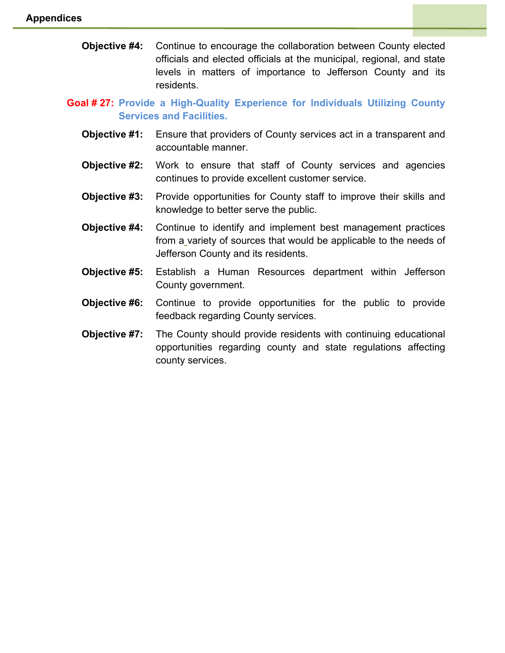**Objective #4:** Continue to encourage the collaboration between County elected officials and elected officials at the municipal, regional, and state levels in matters of importance to Jefferson County and its residents.

**Goal # 27: Provide a High-Quality Experience for Individuals Utilizing County Services and Facilities.**

- **Objective #1:** Ensure that providers of County services act in a transparent and accountable manner.
- **Objective #2:** Work to ensure that staff of County services and agencies continues to provide excellent customer service.
- **Objective #3:** Provide opportunities for County staff to improve their skills and knowledge to better serve the public.
- **Objective #4:** Continue to identify and implement best management practices from a variety of sources that would be applicable to the needs of Jefferson County and its residents.
- **Objective #5:** Establish a Human Resources department within Jefferson County government.
- **Objective #6:** Continue to provide opportunities for the public to provide feedback regarding County services.
- **Objective #7:** The County should provide residents with continuing educational opportunities regarding county and state regulations affecting county services.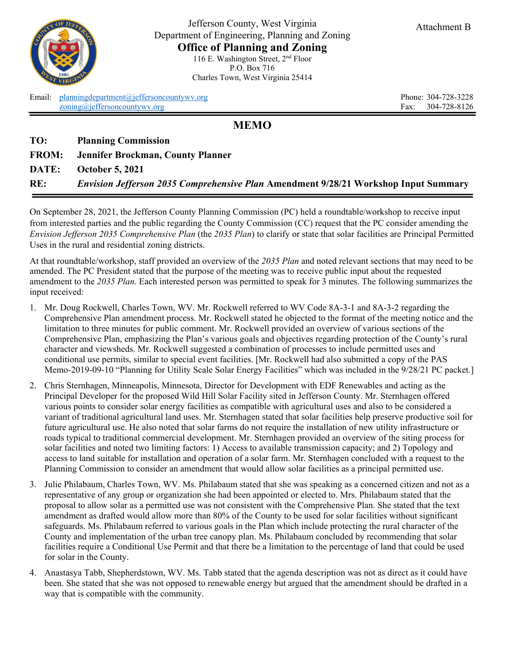

Jefferson County, West Virginia Department of Engineering, Planning and Zoning **Office of Planning and Zoning** 116 E. Washington Street, 2nd Floor P.O. Box 716 Charles Town, West Virginia 25414

Email: [planningdepartment@jeffersoncountywv.org](mailto:planningdepartment@jeffersoncountywv.org) Phone: 304-728-3228 [zoning@jeffersoncountywv.org](mailto:zoning@jeffersoncountywv.org) Fax: 304-728-8126

**MEMO**

**TO: Planning Commission**

| <b>FROM:</b> |  | Jennifer Brockman, County Planner |  |  |
|--------------|--|-----------------------------------|--|--|
|--------------|--|-----------------------------------|--|--|

**DATE: October 5, 2021** 

**RE:** *Envision Jefferson 2035 Comprehensive Plan* **Amendment 9/28/21 Workshop Input Summary** 

On September 28, 2021, the Jefferson County Planning Commission (PC) held a roundtable/workshop to receive input from interested parties and the public regarding the County Commission (CC) request that the PC consider amending the *Envision Jefferson 2035 Comprehensive Plan* (the *2035 Plan*) to clarify or state that solar facilities are Principal Permitted Uses in the rural and residential zoning districts.

At that roundtable/workshop, staff provided an overview of the *2035 Plan* and noted relevant sections that may need to be amended. The PC President stated that the purpose of the meeting was to receive public input about the requested amendment to the *2035 Plan*. Each interested person was permitted to speak for 3 minutes. The following summarizes the input received:

- 1. Mr. Doug Rockwell, Charles Town, WV. Mr. Rockwell referred to WV Code 8A-3-1 and 8A-3-2 regarding the Comprehensive Plan amendment process. Mr. Rockwell stated he objected to the format of the meeting notice and the limitation to three minutes for public comment. Mr. Rockwell provided an overview of various sections of the Comprehensive Plan, emphasizing the Plan's various goals and objectives regarding protection of the County's rural character and viewsheds. Mr. Rockwell suggested a combination of processes to include permitted uses and conditional use permits, similar to special event facilities. [Mr. Rockwell had also submitted a copy of the PAS Memo-2019-09-10 "Planning for Utility Scale Solar Energy Facilities" which was included in the 9/28/21 PC packet.]
- 2. Chris Sternhagen, Minneapolis, Minnesota, Director for Development with EDF Renewables and acting as the Principal Developer for the proposed Wild Hill Solar Facility sited in Jefferson County. Mr. Sternhagen offered various points to consider solar energy facilities as compatible with agricultural uses and also to be considered a variant of traditional agricultural land uses. Mr. Sternhagen stated that solar facilities help preserve productive soil for future agricultural use. He also noted that solar farms do not require the installation of new utility infrastructure or roads typical to traditional commercial development. Mr. Sternhagen provided an overview of the siting process for solar facilities and noted two limiting factors: 1) Access to available transmission capacity; and 2) Topology and access to land suitable for installation and operation of a solar farm. Mr. Sternhagen concluded with a request to the Planning Commission to consider an amendment that would allow solar facilities as a principal permitted use.
- 3. Julie Philabaum, Charles Town, WV. Ms. Philabaum stated that she was speaking as a concerned citizen and not as a representative of any group or organization she had been appointed or elected to. Mrs. Philabaum stated that the proposal to allow solar as a permitted use was not consistent with the Comprehensive Plan. She stated that the text amendment as drafted would allow more than 80% of the County to be used for solar facilities without significant safeguards. Ms. Philabaum referred to various goals in the Plan which include protecting the rural character of the County and implementation of the urban tree canopy plan. Ms. Philabaum concluded by recommending that solar facilities require a Conditional Use Permit and that there be a limitation to the percentage of land that could be used for solar in the County.
- 4. Anastasya Tabb, Shepherdstown, WV. Ms. Tabb stated that the agenda description was not as direct as it could have been. She stated that she was not opposed to renewable energy but argued that the amendment should be drafted in a way that is compatible with the community.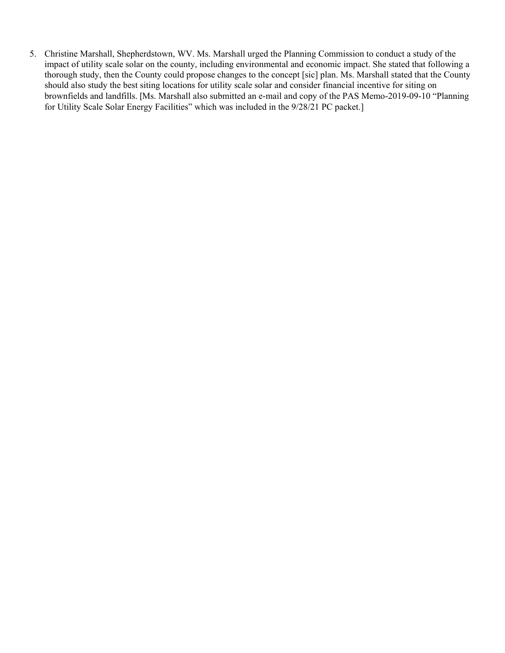5. Christine Marshall, Shepherdstown, WV. Ms. Marshall urged the Planning Commission to conduct a study of the impact of utility scale solar on the county, including environmental and economic impact. She stated that following a thorough study, then the County could propose changes to the concept [sic] plan. Ms. Marshall stated that the County should also study the best siting locations for utility scale solar and consider financial incentive for siting on brownfields and landfills. [Ms. Marshall also submitted an e-mail and copy of the PAS Memo-2019-09-10 "Planning for Utility Scale Solar Energy Facilities" which was included in the 9/28/21 PC packet.]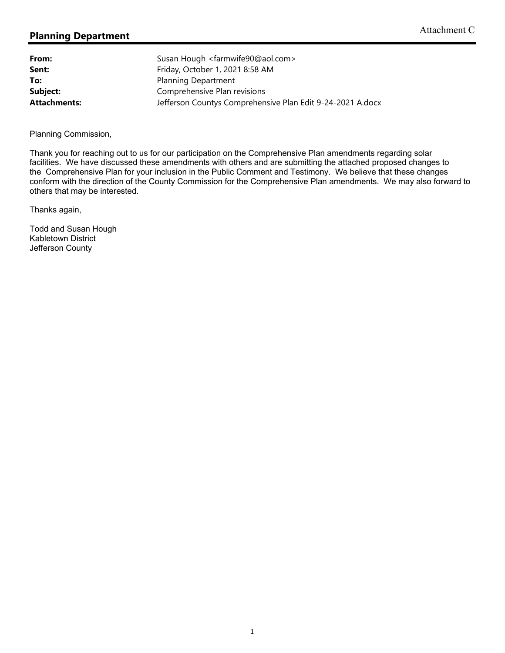| From:               | Susan Hough <farmwife90@aol.com></farmwife90@aol.com>      |
|---------------------|------------------------------------------------------------|
| Sent:               | Friday, October 1, 2021 8:58 AM                            |
| To:                 | <b>Planning Department</b>                                 |
| Subject:            | Comprehensive Plan revisions                               |
| <b>Attachments:</b> | Jefferson Countys Comprehensive Plan Edit 9-24-2021 A.docx |

Planning Commission,

Thank you for reaching out to us for our participation on the Comprehensive Plan amendments regarding solar facilities. We have discussed these amendments with others and are submitting the attached proposed changes to the Comprehensive Plan for your inclusion in the Public Comment and Testimony. We believe that these changes conform with the direction of the County Commission for the Comprehensive Plan amendments. We may also forward to others that may be interested.

Thanks again,

Todd and Susan Hough Kabletown District Jefferson County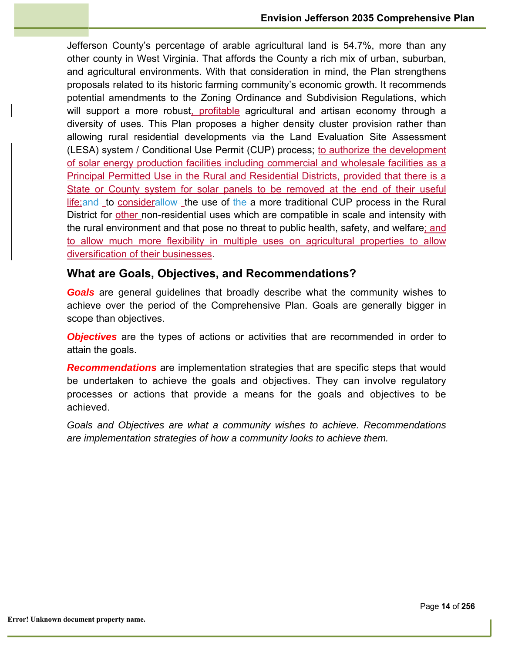Jefferson County's percentage of arable agricultural land is 54.7%, more than any other county in West Virginia. That affords the County a rich mix of urban, suburban, and agricultural environments. With that consideration in mind, the Plan strengthens proposals related to its historic farming community's economic growth. It recommends potential amendments to the Zoning Ordinance and Subdivision Regulations, which will support a more robust, profitable agricultural and artisan economy through a diversity of uses. This Plan proposes a higher density cluster provision rather than allowing rural residential developments via the Land Evaluation Site Assessment (LESA) system / Conditional Use Permit (CUP) process; to authorize the development of solar energy production facilities including commercial and wholesale facilities as a Principal Permitted Use in the Rural and Residential Districts, provided that there is a State or County system for solar panels to be removed at the end of their useful  $l$  life; and to considerallow the use of the a more traditional CUP process in the Rural District for other non-residential uses which are compatible in scale and intensity with the rural environment and that pose no threat to public health, safety, and welfare; and to allow much more flexibility in multiple uses on agricultural properties to allow diversification of their businesses.

### **What are Goals, Objectives, and Recommendations?**

*Goals* are general guidelines that broadly describe what the community wishes to achieve over the period of the Comprehensive Plan. Goals are generally bigger in scope than objectives.

*Objectives* are the types of actions or activities that are recommended in order to attain the goals.

*Recommendations* are implementation strategies that are specific steps that would be undertaken to achieve the goals and objectives. They can involve regulatory processes or actions that provide a means for the goals and objectives to be achieved.

*Goals and Objectives are what a community wishes to achieve. Recommendations are implementation strategies of how a community looks to achieve them.*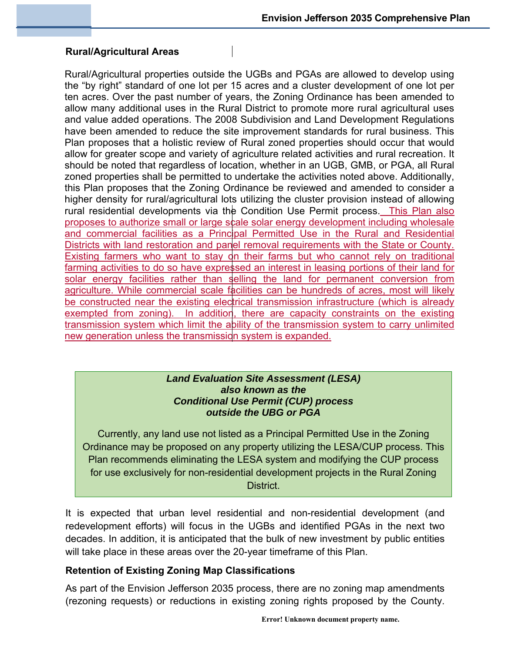## **Rural/Agricultural Areas**

Rural/Agricultural properties outside the UGBs and PGAs are allowed to develop using the "by right" standard of one lot per 15 acres and a cluster development of one lot per ten acres. Over the past number of years, the Zoning Ordinance has been amended to allow many additional uses in the Rural District to promote more rural agricultural uses and value added operations. The 2008 Subdivision and Land Development Regulations have been amended to reduce the site improvement standards for rural business. This Plan proposes that a holistic review of Rural zoned properties should occur that would allow for greater scope and variety of agriculture related activities and rural recreation. It should be noted that regardless of location, whether in an UGB, GMB, or PGA, all Rural zoned properties shall be permitted to undertake the activities noted above. Additionally, this Plan proposes that the Zoning Ordinance be reviewed and amended to consider a higher density for rural/agricultural lots utilizing the cluster provision instead of allowing rural residential developments via the Condition Use Permit process. This Plan also proposes to authorize small or large scale solar energy development including wholesale and commercial facilities as a Principal Permitted Use in the Rural and Residential Districts with land restoration and panel removal requirements with the State or County. Existing farmers who want to stay on their farms but who cannot rely on traditional farming activities to do so have expressed an interest in leasing portions of their land for solar energy facilities rather than selling the land for permanent conversion from agriculture. While commercial scale facilities can be hundreds of acres, most will likely be constructed near the existing electrical transmission infrastructure (which is already exempted from zoning). In addition, there are capacity constraints on the existing transmission system which limit the ability of the transmission system to carry unlimited new generation unless the transmission system is expanded.

#### *Land Evaluation Site Assessment (LESA) also known as the Conditional Use Permit (CUP) process outside the UBG or PGA*

Currently, any land use not listed as a Principal Permitted Use in the Zoning Ordinance may be proposed on any property utilizing the LESA/CUP process. This Plan recommends eliminating the LESA system and modifying the CUP process for use exclusively for non-residential development projects in the Rural Zoning District.

It is expected that urban level residential and non-residential development (and redevelopment efforts) will focus in the UGBs and identified PGAs in the next two decades. In addition, it is anticipated that the bulk of new investment by public entities will take place in these areas over the 20-year timeframe of this Plan.

### **Retention of Existing Zoning Map Classifications**

As part of the Envision Jefferson 2035 process, there are no zoning map amendments (rezoning requests) or reductions in existing zoning rights proposed by the County.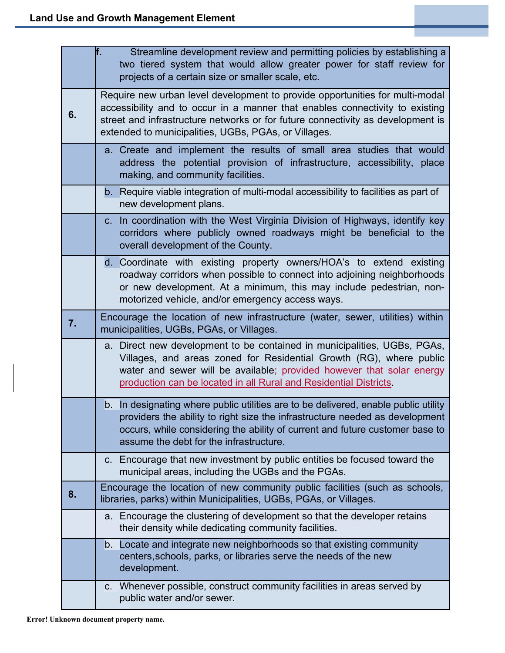|    | f.<br>Streamline development review and permitting policies by establishing a<br>two tiered system that would allow greater power for staff review for<br>projects of a certain size or smaller scale, etc.                                                                                             |
|----|---------------------------------------------------------------------------------------------------------------------------------------------------------------------------------------------------------------------------------------------------------------------------------------------------------|
| 6. | Require new urban level development to provide opportunities for multi-modal<br>accessibility and to occur in a manner that enables connectivity to existing<br>street and infrastructure networks or for future connectivity as development is<br>extended to municipalities, UGBs, PGAs, or Villages. |
|    | a. Create and implement the results of small area studies that would<br>address the potential provision of infrastructure, accessibility, place<br>making, and community facilities.                                                                                                                    |
|    | b. Require viable integration of multi-modal accessibility to facilities as part of<br>new development plans.                                                                                                                                                                                           |
|    | c. In coordination with the West Virginia Division of Highways, identify key<br>corridors where publicly owned roadways might be beneficial to the<br>overall development of the County.                                                                                                                |
|    | d. Coordinate with existing property owners/HOA's to extend existing<br>roadway corridors when possible to connect into adjoining neighborhoods<br>or new development. At a minimum, this may include pedestrian, non-<br>motorized vehicle, and/or emergency access ways.                              |
| 7. | Encourage the location of new infrastructure (water, sewer, utilities) within<br>municipalities, UGBs, PGAs, or Villages.                                                                                                                                                                               |
|    | a. Direct new development to be contained in municipalities, UGBs, PGAs,<br>Villages, and areas zoned for Residential Growth (RG), where public<br>water and sewer will be available; provided however that solar energy<br>production can be located in all Rural and Residential Districts.           |
|    | b. In designating where public utilities are to be delivered, enable public utility<br>providers the ability to right size the infrastructure needed as development<br>occurs, while considering the ability of current and future customer base to<br>assume the debt for the infrastructure.          |
|    | c. Encourage that new investment by public entities be focused toward the<br>municipal areas, including the UGBs and the PGAs.                                                                                                                                                                          |
| 8. | Encourage the location of new community public facilities (such as schools,<br>libraries, parks) within Municipalities, UGBs, PGAs, or Villages.                                                                                                                                                        |
|    | a. Encourage the clustering of development so that the developer retains<br>their density while dedicating community facilities.                                                                                                                                                                        |
|    | b. Locate and integrate new neighborhoods so that existing community<br>centers, schools, parks, or libraries serve the needs of the new<br>development.                                                                                                                                                |
|    | c. Whenever possible, construct community facilities in areas served by<br>public water and/or sewer.                                                                                                                                                                                                   |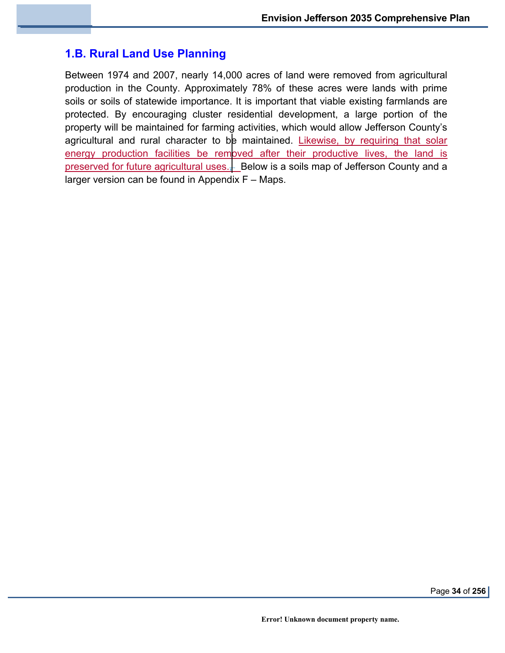# **1.B. Rural Land Use Planning**

Between 1974 and 2007, nearly 14,000 acres of land were removed from agricultural production in the County. Approximately 78% of these acres were lands with prime soils or soils of statewide importance. It is important that viable existing farmlands are protected. By encouraging cluster residential development, a large portion of the property will be maintained for farming activities, which would allow Jefferson County's agricultural and rural character to be maintained. Likewise, by requiring that solar energy production facilities be removed after their productive lives, the land is preserved for future agricultural uses. $\frac{1}{2}$  Below is a soils map of Jefferson County and a larger version can be found in Appendix F – Maps.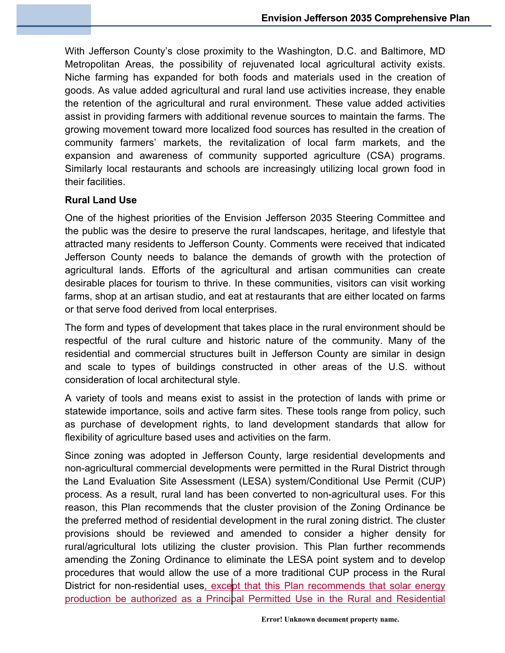With Jefferson County's close proximity to the Washington, D.C. and Baltimore, MD Metropolitan Areas, the possibility of rejuvenated local agricultural activity exists. Niche farming has expanded for both foods and materials used in the creation of goods. As value added agricultural and rural land use activities increase, they enable the retention of the agricultural and rural environment. These value added activities assist in providing farmers with additional revenue sources to maintain the farms. The growing movement toward more localized food sources has resulted in the creation of community farmers' markets, the revitalization of local farm markets, and the expansion and awareness of community supported agriculture (CSA) programs. Similarly local restaurants and schools are increasingly utilizing local grown food in their facilities.

### **Rural Land Use**

One of the highest priorities of the Envision Jefferson 2035 Steering Committee and the public was the desire to preserve the rural landscapes, heritage, and lifestyle that attracted many residents to Jefferson County. Comments were received that indicated Jefferson County needs to balance the demands of growth with the protection of agricultural lands. Efforts of the agricultural and artisan communities can create desirable places for tourism to thrive. In these communities, visitors can visit working farms, shop at an artisan studio, and eat at restaurants that are either located on farms or that serve food derived from local enterprises.

The form and types of development that takes place in the rural environment should be respectful of the rural culture and historic nature of the community. Many of the residential and commercial structures built in Jefferson County are similar in design and scale to types of buildings constructed in other areas of the U.S. without consideration of local architectural style.

A variety of tools and means exist to assist in the protection of lands with prime or statewide importance, soils and active farm sites. These tools range from policy, such as purchase of development rights, to land development standards that allow for flexibility of agriculture based uses and activities on the farm.

Since zoning was adopted in Jefferson County, large residential developments and non-agricultural commercial developments were permitted in the Rural District through the Land Evaluation Site Assessment (LESA) system/Conditional Use Permit (CUP) process. As a result, rural land has been converted to non-agricultural uses. For this reason, this Plan recommends that the cluster provision of the Zoning Ordinance be the preferred method of residential development in the rural zoning district. The cluster provisions should be reviewed and amended to consider a higher density for rural/agricultural lots utilizing the cluster provision. This Plan further recommends amending the Zoning Ordinance to eliminate the LESA point system and to develop procedures that would allow the use of a more traditional CUP process in the Rural District for non-residential uses, except that this Plan recommends that solar energy production be authorized as a Principal Permitted Use in the Rural and Residential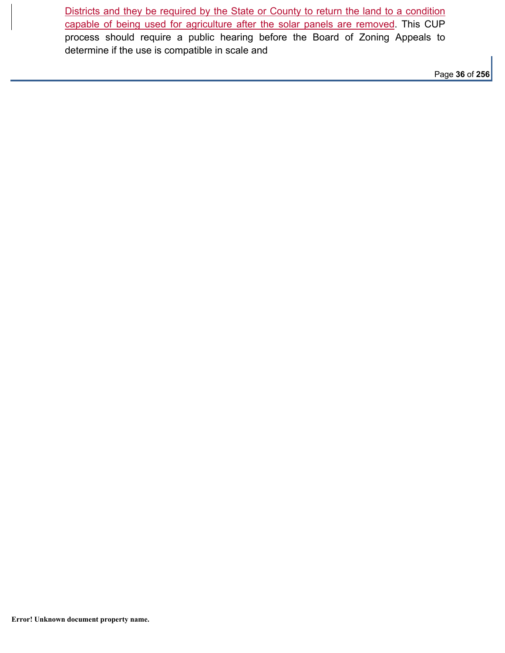Districts and they be required by the State or County to return the land to a condition capable of being used for agriculture after the solar panels are removed. This CUP process should require a public hearing before the Board of Zoning Appeals to determine if the use is compatible in scale and

Page **36** of **256**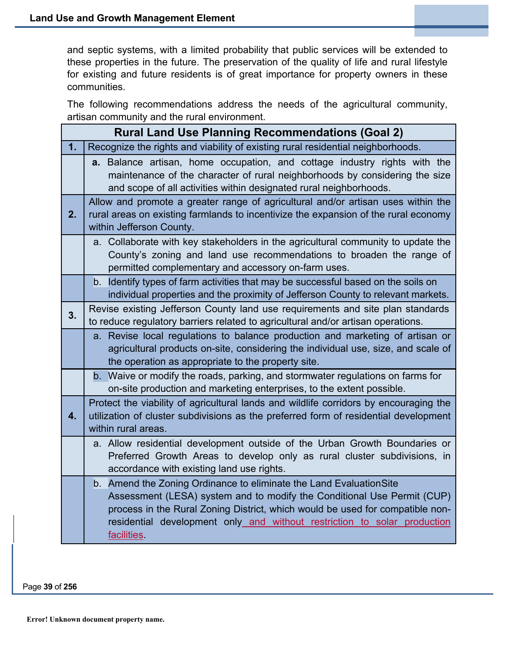and septic systems, with a limited probability that public services will be extended to these properties in the future. The preservation of the quality of life and rural lifestyle for existing and future residents is of great importance for property owners in these communities.

The following recommendations address the needs of the agricultural community, artisan community and the rural environment.

|    | <b>Rural Land Use Planning Recommendations (Goal 2)</b>                                                                                                                                                                                                                                                                    |  |  |
|----|----------------------------------------------------------------------------------------------------------------------------------------------------------------------------------------------------------------------------------------------------------------------------------------------------------------------------|--|--|
| 1. | Recognize the rights and viability of existing rural residential neighborhoods.                                                                                                                                                                                                                                            |  |  |
|    | a. Balance artisan, home occupation, and cottage industry rights with the<br>maintenance of the character of rural neighborhoods by considering the size<br>and scope of all activities within designated rural neighborhoods.                                                                                             |  |  |
| 2. | Allow and promote a greater range of agricultural and/or artisan uses within the<br>rural areas on existing farmlands to incentivize the expansion of the rural economy<br>within Jefferson County.                                                                                                                        |  |  |
|    | a. Collaborate with key stakeholders in the agricultural community to update the<br>County's zoning and land use recommendations to broaden the range of<br>permitted complementary and accessory on-farm uses.                                                                                                            |  |  |
|    | b. Identify types of farm activities that may be successful based on the soils on<br>individual properties and the proximity of Jefferson County to relevant markets.                                                                                                                                                      |  |  |
| 3. | Revise existing Jefferson County land use requirements and site plan standards<br>to reduce regulatory barriers related to agricultural and/or artisan operations.                                                                                                                                                         |  |  |
|    | a. Revise local regulations to balance production and marketing of artisan or<br>agricultural products on-site, considering the individual use, size, and scale of<br>the operation as appropriate to the property site.                                                                                                   |  |  |
|    | b. Waive or modify the roads, parking, and stormwater regulations on farms for<br>on-site production and marketing enterprises, to the extent possible.                                                                                                                                                                    |  |  |
| 4. | Protect the viability of agricultural lands and wildlife corridors by encouraging the<br>utilization of cluster subdivisions as the preferred form of residential development<br>within rural areas.                                                                                                                       |  |  |
|    | a. Allow residential development outside of the Urban Growth Boundaries or<br>Preferred Growth Areas to develop only as rural cluster subdivisions, in<br>accordance with existing land use rights.                                                                                                                        |  |  |
|    | b. Amend the Zoning Ordinance to eliminate the Land Evaluation Site<br>Assessment (LESA) system and to modify the Conditional Use Permit (CUP)<br>process in the Rural Zoning District, which would be used for compatible non-<br>residential development only and without restriction to solar production<br>facilities. |  |  |

Page **39** of **256**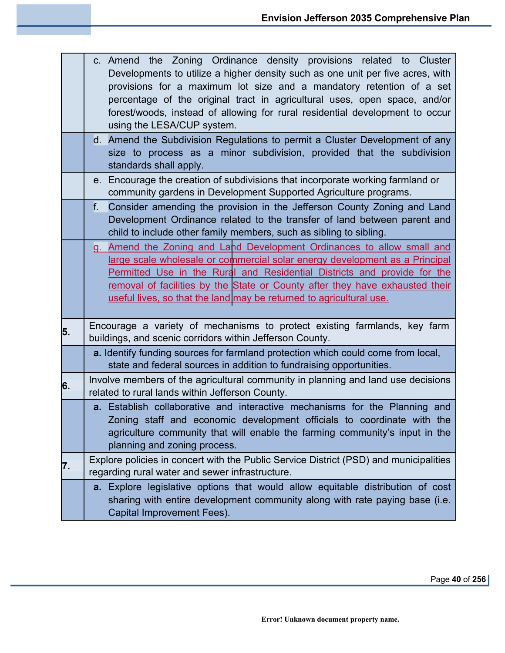|    | c. Amend the Zoning Ordinance density provisions related to Cluster<br>Developments to utilize a higher density such as one unit per five acres, with<br>provisions for a maximum lot size and a mandatory retention of a set<br>percentage of the original tract in agricultural uses, open space, and/or<br>forest/woods, instead of allowing for rural residential development to occur<br>using the LESA/CUP system. |
|----|--------------------------------------------------------------------------------------------------------------------------------------------------------------------------------------------------------------------------------------------------------------------------------------------------------------------------------------------------------------------------------------------------------------------------|
|    | d. Amend the Subdivision Regulations to permit a Cluster Development of any<br>size to process as a minor subdivision, provided that the subdivision<br>standards shall apply.                                                                                                                                                                                                                                           |
|    | e. Encourage the creation of subdivisions that incorporate working farmland or<br>community gardens in Development Supported Agriculture programs.                                                                                                                                                                                                                                                                       |
|    | $f_{\cdot}$<br>Consider amending the provision in the Jefferson County Zoning and Land<br>Development Ordinance related to the transfer of land between parent and<br>child to include other family members, such as sibling to sibling.                                                                                                                                                                                 |
|    | g. Amend the Zoning and Land Development Ordinances to allow small and<br>large scale wholesale or commercial solar energy development as a Principal<br>Permitted Use in the Rural and Residential Districts and provide for the<br>removal of facilities by the State or County after they have exhausted their<br>useful lives, so that the land may be returned to agricultural use.                                 |
| 5. | Encourage a variety of mechanisms to protect existing farmlands, key farm<br>buildings, and scenic corridors within Jefferson County.                                                                                                                                                                                                                                                                                    |
|    | a. Identify funding sources for farmland protection which could come from local,<br>state and federal sources in addition to fundraising opportunities.                                                                                                                                                                                                                                                                  |
| 6. | Involve members of the agricultural community in planning and land use decisions<br>related to rural lands within Jefferson County.                                                                                                                                                                                                                                                                                      |
|    | a. Establish collaborative and interactive mechanisms for the Planning and<br>Zoning staff and economic development officials to coordinate with the<br>agriculture community that will enable the farming community's input in the<br>planning and zoning process.                                                                                                                                                      |
| 7. | Explore policies in concert with the Public Service District (PSD) and municipalities<br>regarding rural water and sewer infrastructure.                                                                                                                                                                                                                                                                                 |
|    | a. Explore legislative options that would allow equitable distribution of cost<br>sharing with entire development community along with rate paying base (i.e.<br>Capital Improvement Fees).                                                                                                                                                                                                                              |

Page **40** of **256**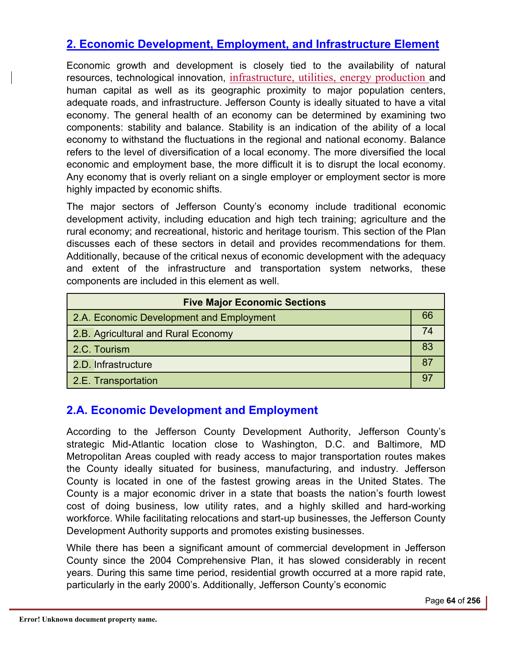# **2. Economic Development, Employment, and Infrastructure Element**

Economic growth and development is closely tied to the availability of natural resources, technological innovation, infrastructure, utilities, energy production and human capital as well as its geographic proximity to major population centers, adequate roads, and infrastructure. Jefferson County is ideally situated to have a vital economy. The general health of an economy can be determined by examining two components: stability and balance. Stability is an indication of the ability of a local economy to withstand the fluctuations in the regional and national economy. Balance refers to the level of diversification of a local economy. The more diversified the local economic and employment base, the more difficult it is to disrupt the local economy. Any economy that is overly reliant on a single employer or employment sector is more highly impacted by economic shifts.

The major sectors of Jefferson County's economy include traditional economic development activity, including education and high tech training; agriculture and the rural economy; and recreational, historic and heritage tourism. This section of the Plan discusses each of these sectors in detail and provides recommendations for them. Additionally, because of the critical nexus of economic development with the adequacy and extent of the infrastructure and transportation system networks, these components are included in this element as well.

| <b>Five Major Economic Sections</b>      |    |  |
|------------------------------------------|----|--|
| 2.A. Economic Development and Employment | 66 |  |
| 2.B. Agricultural and Rural Economy      |    |  |
| 2.C. Tourism                             | 83 |  |
| 2.D. Infrastructure                      |    |  |
| 2.E. Transportation                      |    |  |

# **2.A. Economic Development and Employment**

According to the Jefferson County Development Authority, Jefferson County's strategic Mid-Atlantic location close to Washington, D.C. and Baltimore, MD Metropolitan Areas coupled with ready access to major transportation routes makes the County ideally situated for business, manufacturing, and industry. Jefferson County is located in one of the fastest growing areas in the United States. The County is a major economic driver in a state that boasts the nation's fourth lowest cost of doing business, low utility rates, and a highly skilled and hard-working workforce. While facilitating relocations and start-up businesses, the Jefferson County Development Authority supports and promotes existing businesses.

While there has been a significant amount of commercial development in Jefferson County since the 2004 Comprehensive Plan, it has slowed considerably in recent years. During this same time period, residential growth occurred at a more rapid rate, particularly in the early 2000's. Additionally, Jefferson County's economic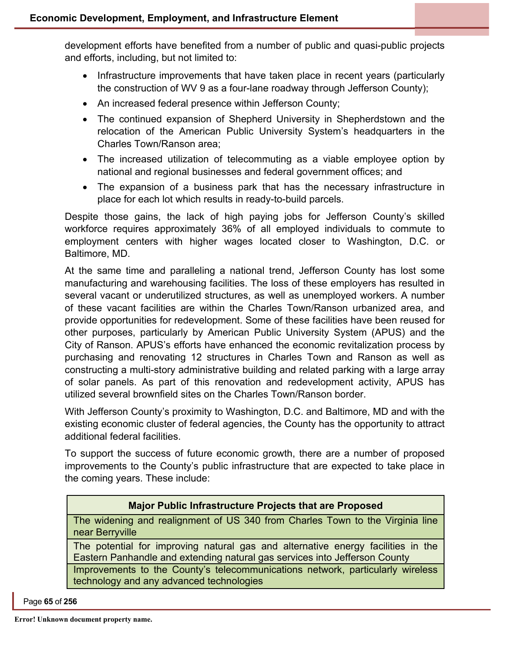development efforts have benefited from a number of public and quasi-public projects and efforts, including, but not limited to:

- Infrastructure improvements that have taken place in recent years (particularly the construction of WV 9 as a four-lane roadway through Jefferson County);
- An increased federal presence within Jefferson County;
- The continued expansion of Shepherd University in Shepherdstown and the relocation of the American Public University System's headquarters in the Charles Town/Ranson area;
- The increased utilization of telecommuting as a viable employee option by national and regional businesses and federal government offices; and
- The expansion of a business park that has the necessary infrastructure in place for each lot which results in ready-to-build parcels.

Despite those gains, the lack of high paying jobs for Jefferson County's skilled workforce requires approximately 36% of all employed individuals to commute to employment centers with higher wages located closer to Washington, D.C. or Baltimore, MD.

At the same time and paralleling a national trend, Jefferson County has lost some manufacturing and warehousing facilities. The loss of these employers has resulted in several vacant or underutilized structures, as well as unemployed workers. A number of these vacant facilities are within the Charles Town/Ranson urbanized area, and provide opportunities for redevelopment. Some of these facilities have been reused for other purposes, particularly by American Public University System (APUS) and the City of Ranson. APUS's efforts have enhanced the economic revitalization process by purchasing and renovating 12 structures in Charles Town and Ranson as well as constructing a multi-story administrative building and related parking with a large array of solar panels. As part of this renovation and redevelopment activity, APUS has utilized several brownfield sites on the Charles Town/Ranson border.

With Jefferson County's proximity to Washington, D.C. and Baltimore, MD and with the existing economic cluster of federal agencies, the County has the opportunity to attract additional federal facilities.

To support the success of future economic growth, there are a number of proposed improvements to the County's public infrastructure that are expected to take place in the coming years. These include:

## **Major Public Infrastructure Projects that are Proposed**

The widening and realignment of US 340 from Charles Town to the Virginia line near Berryville

The potential for improving natural gas and alternative energy facilities in the Eastern Panhandle and extending natural gas services into Jefferson County

Improvements to the County's telecommunications network, particularly wireless technology and any advanced technologies

Page **65** of **256**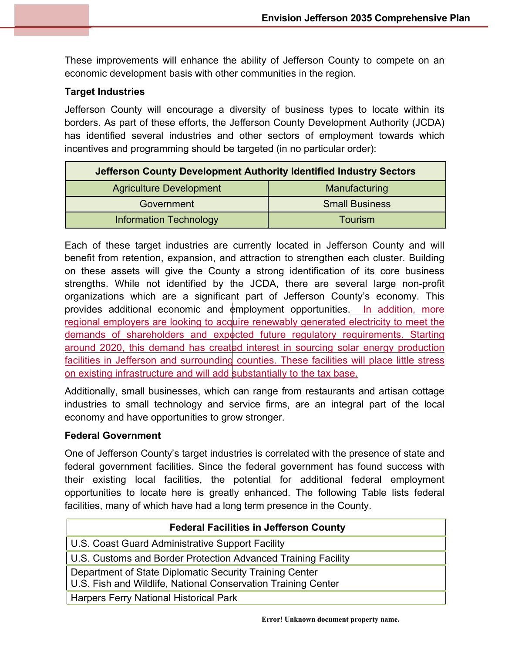These improvements will enhance the ability of Jefferson County to compete on an economic development basis with other communities in the region.

### **Target Industries**

Jefferson County will encourage a diversity of business types to locate within its borders. As part of these efforts, the Jefferson County Development Authority (JCDA) has identified several industries and other sectors of employment towards which incentives and programming should be targeted (in no particular order):

| Jefferson County Development Authority Identified Industry Sectors |                       |
|--------------------------------------------------------------------|-----------------------|
| <b>Agriculture Development</b>                                     | Manufacturing         |
| Government                                                         | <b>Small Business</b> |
| <b>Information Technology</b>                                      | <b>Tourism</b>        |

Each of these target industries are currently located in Jefferson County and will benefit from retention, expansion, and attraction to strengthen each cluster. Building on these assets will give the County a strong identification of its core business strengths. While not identified by the JCDA, there are several large non-profit organizations which are a significant part of Jefferson County's economy. This provides additional economic and  $\phi$ mployment opportunities. In addition, more regional employers are looking to acquire renewably generated electricity to meet the demands of shareholders and expected future regulatory requirements. Starting around 2020, this demand has created interest in sourcing solar energy production facilities in Jefferson and surrounding counties. These facilities will place little stress on existing infrastructure and will add substantially to the tax base.

Additionally, small businesses, which can range from restaurants and artisan cottage industries to small technology and service firms, are an integral part of the local economy and have opportunities to grow stronger.

### **Federal Government**

One of Jefferson County's target industries is correlated with the presence of state and federal government facilities. Since the federal government has found success with their existing local facilities, the potential for additional federal employment opportunities to locate here is greatly enhanced. The following Table lists federal facilities, many of which have had a long term presence in the County.

| <b>Federal Facilities in Jefferson County</b>                                                                            |
|--------------------------------------------------------------------------------------------------------------------------|
| U.S. Coast Guard Administrative Support Facility                                                                         |
| U.S. Customs and Border Protection Advanced Training Facility                                                            |
| Department of State Diplomatic Security Training Center<br>U.S. Fish and Wildlife, National Conservation Training Center |
| <b>Harpers Ferry National Historical Park</b>                                                                            |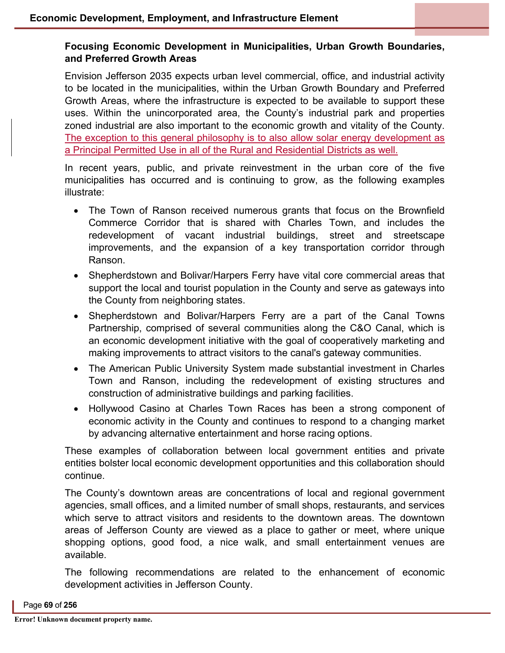### **Focusing Economic Development in Municipalities, Urban Growth Boundaries, and Preferred Growth Areas**

Envision Jefferson 2035 expects urban level commercial, office, and industrial activity to be located in the municipalities, within the Urban Growth Boundary and Preferred Growth Areas, where the infrastructure is expected to be available to support these uses. Within the unincorporated area, the County's industrial park and properties zoned industrial are also important to the economic growth and vitality of the County. The exception to this general philosophy is to also allow solar energy development as a Principal Permitted Use in all of the Rural and Residential Districts as well.

In recent years, public, and private reinvestment in the urban core of the five municipalities has occurred and is continuing to grow, as the following examples illustrate:

- The Town of Ranson received numerous grants that focus on the Brownfield Commerce Corridor that is shared with Charles Town, and includes the redevelopment of vacant industrial buildings, street and streetscape improvements, and the expansion of a key transportation corridor through Ranson.
- Shepherdstown and Bolivar/Harpers Ferry have vital core commercial areas that support the local and tourist population in the County and serve as gateways into the County from neighboring states.
- Shepherdstown and Bolivar/Harpers Ferry are a part of the Canal Towns Partnership, comprised of several communities along the C&O Canal, which is an economic development initiative with the goal of cooperatively marketing and making improvements to attract visitors to the canal's gateway communities.
- The American Public University System made substantial investment in Charles Town and Ranson, including the redevelopment of existing structures and construction of administrative buildings and parking facilities.
- Hollywood Casino at Charles Town Races has been a strong component of economic activity in the County and continues to respond to a changing market by advancing alternative entertainment and horse racing options.

These examples of collaboration between local government entities and private entities bolster local economic development opportunities and this collaboration should continue.

The County's downtown areas are concentrations of local and regional government agencies, small offices, and a limited number of small shops, restaurants, and services which serve to attract visitors and residents to the downtown areas. The downtown areas of Jefferson County are viewed as a place to gather or meet, where unique shopping options, good food, a nice walk, and small entertainment venues are available.

The following recommendations are related to the enhancement of economic development activities in Jefferson County.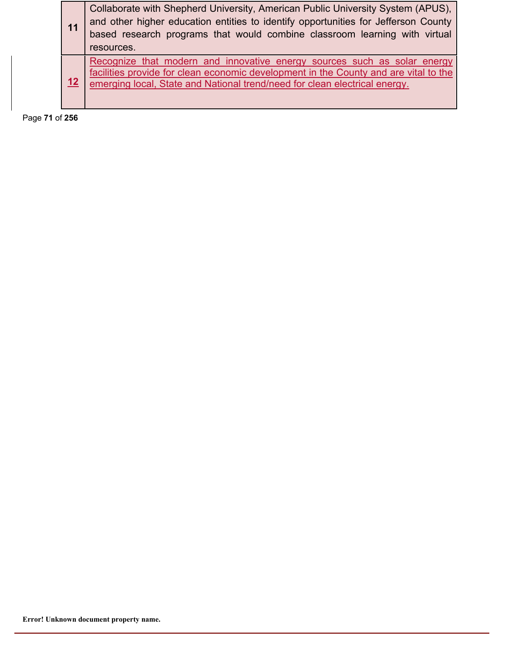| 11 | Collaborate with Shepherd University, American Public University System (APUS),<br>and other higher education entities to identify opportunities for Jefferson County<br>based research programs that would combine classroom learning with virtual<br>resources. |
|----|-------------------------------------------------------------------------------------------------------------------------------------------------------------------------------------------------------------------------------------------------------------------|
| 12 | Recognize that modern and innovative energy sources such as solar energy<br>facilities provide for clean economic development in the County and are vital to the<br>emerging local, State and National trend/need for clean electrical energy.                    |

Page **71** of **256**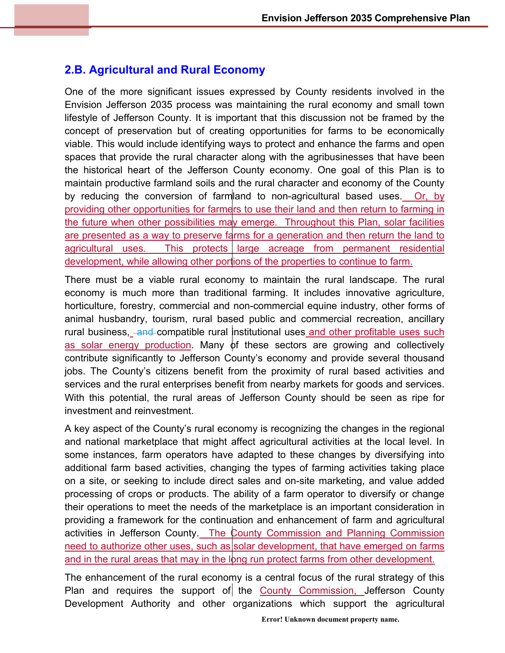# **2.B. Agricultural and Rural Economy**

One of the more significant issues expressed by County residents involved in the Envision Jefferson 2035 process was maintaining the rural economy and small town lifestyle of Jefferson County. It is important that this discussion not be framed by the concept of preservation but of creating opportunities for farms to be economically viable. This would include identifying ways to protect and enhance the farms and open spaces that provide the rural character along with the agribusinesses that have been the historical heart of the Jefferson County economy. One goal of this Plan is to maintain productive farmland soils and the rural character and economy of the County by reducing the conversion of farmland to non-agricultural based uses. Or, by providing other opportunities for farmers to use their land and then return to farming in the future when other possibilities may emerge. Throughout this Plan, solar facilities are presented as a way to preserve farms for a generation and then return the land to agricultural uses. This protects large acreage from permanent residential development, while allowing other portions of the properties to continue to farm.

There must be a viable rural economy to maintain the rural landscape. The rural economy is much more than traditional farming. It includes innovative agriculture, horticulture, forestry, commercial and non-commercial equine industry, other forms of animal husbandry, tourism, rural based public and commercial recreation, ancillary rural business, and compatible rural institutional uses and other profitable uses such as solar energy production. Many of these sectors are growing and collectively contribute significantly to Jefferson County's economy and provide several thousand jobs. The County's citizens benefit from the proximity of rural based activities and services and the rural enterprises benefit from nearby markets for goods and services. With this potential, the rural areas of Jefferson County should be seen as ripe for investment and reinvestment.

A key aspect of the County's rural economy is recognizing the changes in the regional and national marketplace that might affect agricultural activities at the local level. In some instances, farm operators have adapted to these changes by diversifying into additional farm based activities, changing the types of farming activities taking place on a site, or seeking to include direct sales and on-site marketing, and value added processing of crops or products. The ability of a farm operator to diversify or change their operations to meet the needs of the marketplace is an important consideration in providing a framework for the continuation and enhancement of farm and agricultural activities in Jefferson County. The County Commission and Planning Commission need to authorize other uses, such as solar development, that have emerged on farms and in the rural areas that may in the long run protect farms from other development.

The enhancement of the rural economy is a central focus of the rural strategy of this Plan and requires the support of the County Commission, Jefferson County Development Authority and other organizations which support the agricultural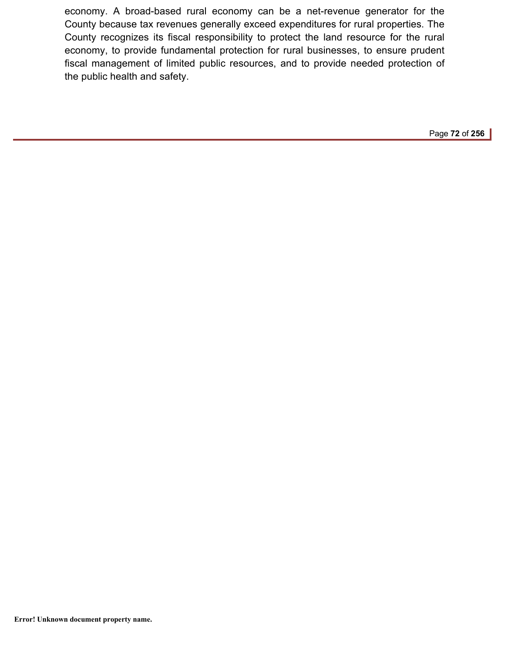economy. A broad-based rural economy can be a net-revenue generator for the County because tax revenues generally exceed expenditures for rural properties. The County recognizes its fiscal responsibility to protect the land resource for the rural economy, to provide fundamental protection for rural businesses, to ensure prudent fiscal management of limited public resources, and to provide needed protection of the public health and safety.

Page **72** of **256**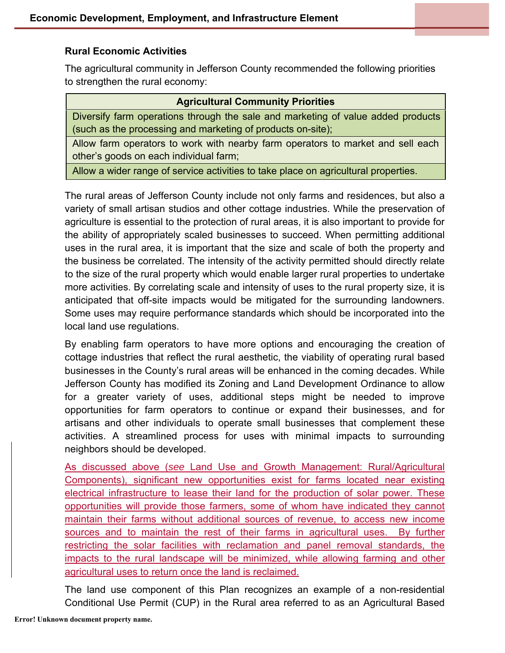### **Rural Economic Activities**

The agricultural community in Jefferson County recommended the following priorities to strengthen the rural economy:

| <b>Agricultural Community Priorities</b>                                                                                                        |
|-------------------------------------------------------------------------------------------------------------------------------------------------|
| Diversify farm operations through the sale and marketing of value added products<br>(such as the processing and marketing of products on-site); |
| Allow farm operators to work with nearby farm operators to market and sell each<br>other's goods on each individual farm;                       |
| Allow a wider range of service activities to take place on agricultural properties.                                                             |

The rural areas of Jefferson County include not only farms and residences, but also a variety of small artisan studios and other cottage industries. While the preservation of agriculture is essential to the protection of rural areas, it is also important to provide for the ability of appropriately scaled businesses to succeed. When permitting additional uses in the rural area, it is important that the size and scale of both the property and the business be correlated. The intensity of the activity permitted should directly relate to the size of the rural property which would enable larger rural properties to undertake more activities. By correlating scale and intensity of uses to the rural property size, it is anticipated that off-site impacts would be mitigated for the surrounding landowners. Some uses may require performance standards which should be incorporated into the local land use regulations.

By enabling farm operators to have more options and encouraging the creation of cottage industries that reflect the rural aesthetic, the viability of operating rural based businesses in the County's rural areas will be enhanced in the coming decades. While Jefferson County has modified its Zoning and Land Development Ordinance to allow for a greater variety of uses, additional steps might be needed to improve opportunities for farm operators to continue or expand their businesses, and for artisans and other individuals to operate small businesses that complement these activities. A streamlined process for uses with minimal impacts to surrounding neighbors should be developed.

As discussed above (*see* Land Use and Growth Management: Rural/Agricultural Components), significant new opportunities exist for farms located near existing electrical infrastructure to lease their land for the production of solar power. These opportunities will provide those farmers, some of whom have indicated they cannot maintain their farms without additional sources of revenue, to access new income sources and to maintain the rest of their farms in agricultural uses. By further restricting the solar facilities with reclamation and panel removal standards, the impacts to the rural landscape will be minimized, while allowing farming and other agricultural uses to return once the land is reclaimed.

The land use component of this Plan recognizes an example of a non-residential Conditional Use Permit (CUP) in the Rural area referred to as an Agricultural Based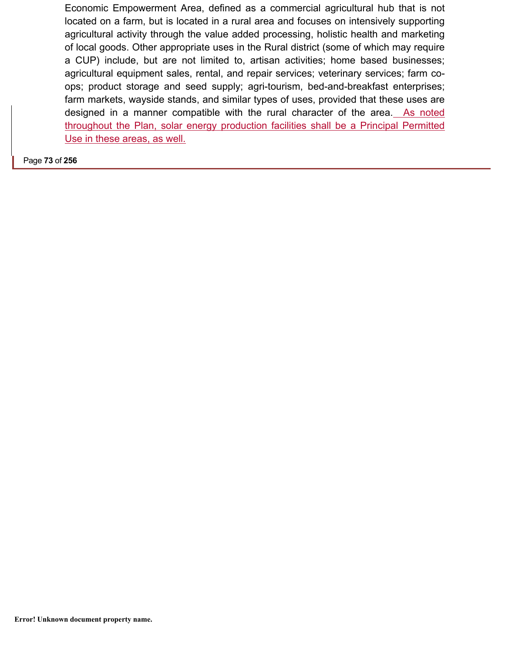Economic Empowerment Area, defined as a commercial agricultural hub that is not located on a farm, but is located in a rural area and focuses on intensively supporting agricultural activity through the value added processing, holistic health and marketing of local goods. Other appropriate uses in the Rural district (some of which may require a CUP) include, but are not limited to, artisan activities; home based businesses; agricultural equipment sales, rental, and repair services; veterinary services; farm coops; product storage and seed supply; agri-tourism, bed-and-breakfast enterprises; farm markets, wayside stands, and similar types of uses, provided that these uses are designed in a manner compatible with the rural character of the area. As noted throughout the Plan, solar energy production facilities shall be a Principal Permitted Use in these areas, as well.

Page **73** of **256**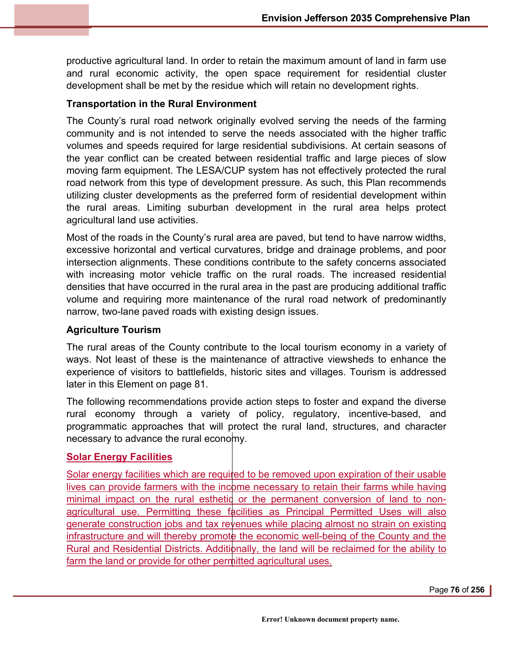productive agricultural land. In order to retain the maximum amount of land in farm use and rural economic activity, the open space requirement for residential cluster development shall be met by the residue which will retain no development rights.

### **Transportation in the Rural Environment**

The County's rural road network originally evolved serving the needs of the farming community and is not intended to serve the needs associated with the higher traffic volumes and speeds required for large residential subdivisions. At certain seasons of the year conflict can be created between residential traffic and large pieces of slow moving farm equipment. The LESA/CUP system has not effectively protected the rural road network from this type of development pressure. As such, this Plan recommends utilizing cluster developments as the preferred form of residential development within the rural areas. Limiting suburban development in the rural area helps protect agricultural land use activities.

Most of the roads in the County's rural area are paved, but tend to have narrow widths, excessive horizontal and vertical curvatures, bridge and drainage problems, and poor intersection alignments. These conditions contribute to the safety concerns associated with increasing motor vehicle traffic on the rural roads. The increased residential densities that have occurred in the rural area in the past are producing additional traffic volume and requiring more maintenance of the rural road network of predominantly narrow, two-lane paved roads with existing design issues.

### **Agriculture Tourism**

The rural areas of the County contribute to the local tourism economy in a variety of ways. Not least of these is the maintenance of attractive viewsheds to enhance the experience of visitors to battlefields, historic sites and villages. Tourism is addressed later in this Element on page 81.

The following recommendations provide action steps to foster and expand the diverse rural economy through a variety of policy, regulatory, incentive-based, and programmatic approaches that will protect the rural land, structures, and character necessary to advance the rural economy.

### **Solar Energy Facilities**

Solar energy facilities which are required to be removed upon expiration of their usable lives can provide farmers with the income necessary to retain their farms while having minimal impact on the rural esthetic or the permanent conversion of land to nonagricultural use. Permitting these facilities as Principal Permitted Uses will also generate construction jobs and tax revenues while placing almost no strain on existing infrastructure and will thereby promote the economic well-being of the County and the Rural and Residential Districts. Additionally, the land will be reclaimed for the ability to farm the land or provide for other permitted agricultural uses.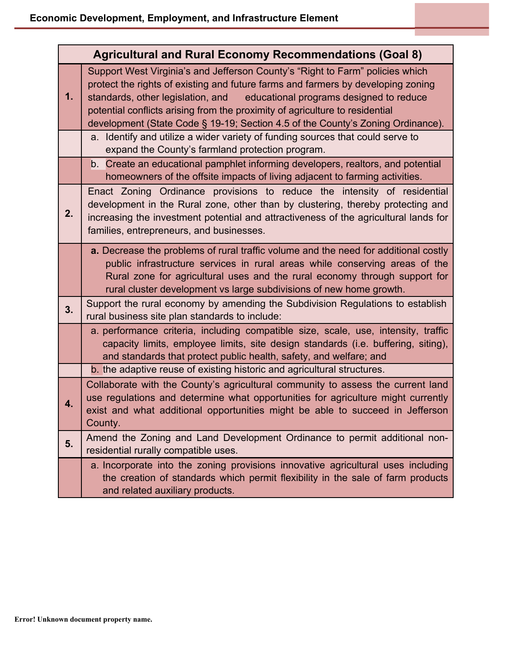| <b>Agricultural and Rural Economy Recommendations (Goal 8)</b> |                                                                                                                                                                                                                                                                                                                                                                                                                      |  |
|----------------------------------------------------------------|----------------------------------------------------------------------------------------------------------------------------------------------------------------------------------------------------------------------------------------------------------------------------------------------------------------------------------------------------------------------------------------------------------------------|--|
| 1.                                                             | Support West Virginia's and Jefferson County's "Right to Farm" policies which<br>protect the rights of existing and future farms and farmers by developing zoning<br>standards, other legislation, and<br>educational programs designed to reduce<br>potential conflicts arising from the proximity of agriculture to residential<br>development (State Code § 19-19; Section 4.5 of the County's Zoning Ordinance). |  |
|                                                                | a. Identify and utilize a wider variety of funding sources that could serve to<br>expand the County's farmland protection program.                                                                                                                                                                                                                                                                                   |  |
|                                                                | b. Create an educational pamphlet informing developers, realtors, and potential<br>homeowners of the offsite impacts of living adjacent to farming activities.                                                                                                                                                                                                                                                       |  |
| 2.                                                             | Enact Zoning Ordinance provisions to reduce the intensity of residential<br>development in the Rural zone, other than by clustering, thereby protecting and<br>increasing the investment potential and attractiveness of the agricultural lands for<br>families, entrepreneurs, and businesses.                                                                                                                      |  |
|                                                                | a. Decrease the problems of rural traffic volume and the need for additional costly<br>public infrastructure services in rural areas while conserving areas of the<br>Rural zone for agricultural uses and the rural economy through support for<br>rural cluster development vs large subdivisions of new home growth.                                                                                              |  |
| 3.                                                             | Support the rural economy by amending the Subdivision Regulations to establish<br>rural business site plan standards to include:                                                                                                                                                                                                                                                                                     |  |
|                                                                | a performance criteria, including compatible size, scale, use, intensity, traffic<br>capacity limits, employee limits, site design standards (i.e. buffering, siting),<br>and standards that protect public health, safety, and welfare; and                                                                                                                                                                         |  |
|                                                                | b. the adaptive reuse of existing historic and agricultural structures.                                                                                                                                                                                                                                                                                                                                              |  |
| 4.                                                             | Collaborate with the County's agricultural community to assess the current land<br>use regulations and determine what opportunities for agriculture might currently<br>exist and what additional opportunities might be able to succeed in Jefferson<br>County.                                                                                                                                                      |  |
| 5.                                                             | Amend the Zoning and Land Development Ordinance to permit additional non-<br>residential rurally compatible uses.                                                                                                                                                                                                                                                                                                    |  |
|                                                                | a. Incorporate into the zoning provisions innovative agricultural uses including<br>the creation of standards which permit flexibility in the sale of farm products<br>and related auxiliary products.                                                                                                                                                                                                               |  |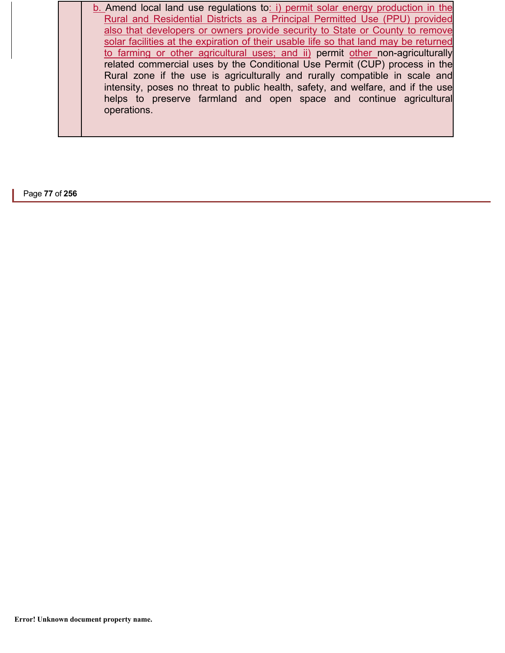b. Amend local land use regulations to: i) permit solar energy production in the Rural and Residential Districts as a Principal Permitted Use (PPU) provided also that developers or owners provide security to State or County to remove solar facilities at the expiration of their usable life so that land may be returned to farming or other agricultural uses; and ii) permit other non-agriculturally related commercial uses by the Conditional Use Permit (CUP) process in the Rural zone if the use is agriculturally and rurally compatible in scale and intensity, poses no threat to public health, safety, and welfare, and if the use helps to preserve farmland and open space and continue agricultural operations.

Page **77** of **256**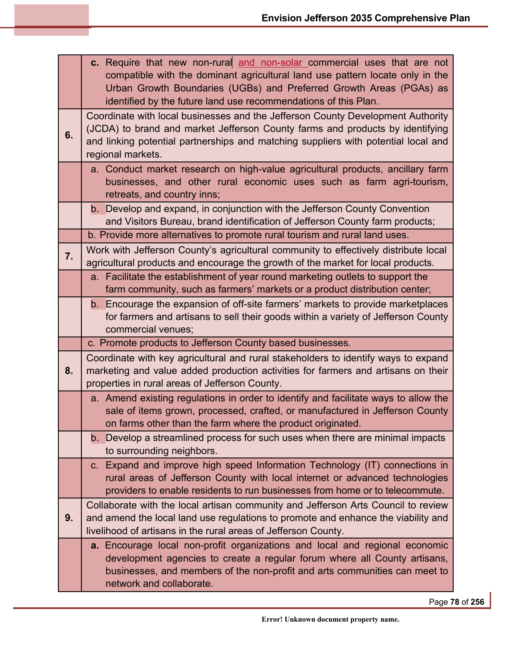|    | c. Require that new non-rural and non-solar commercial uses that are not<br>compatible with the dominant agricultural land use pattern locate only in the<br>Urban Growth Boundaries (UGBs) and Preferred Growth Areas (PGAs) as<br>identified by the future land use recommendations of this Plan. |
|----|-----------------------------------------------------------------------------------------------------------------------------------------------------------------------------------------------------------------------------------------------------------------------------------------------------|
| 6. | Coordinate with local businesses and the Jefferson County Development Authority<br>(JCDA) to brand and market Jefferson County farms and products by identifying<br>and linking potential partnerships and matching suppliers with potential local and<br>regional markets.                         |
|    | a. Conduct market research on high-value agricultural products, ancillary farm<br>businesses, and other rural economic uses such as farm agri-tourism,<br>retreats, and country inns;                                                                                                               |
|    | b. Develop and expand, in conjunction with the Jefferson County Convention<br>and Visitors Bureau, brand identification of Jefferson County farm products;                                                                                                                                          |
|    | b. Provide more alternatives to promote rural tourism and rural land uses.<br>Work with Jefferson County's agricultural community to effectively distribute local                                                                                                                                   |
| 7. | agricultural products and encourage the growth of the market for local products.                                                                                                                                                                                                                    |
|    | a. Facilitate the establishment of year round marketing outlets to support the<br>farm community, such as farmers' markets or a product distribution center;                                                                                                                                        |
|    | b. Encourage the expansion of off-site farmers' markets to provide marketplaces<br>for farmers and artisans to sell their goods within a variety of Jefferson County<br>commercial venues;                                                                                                          |
|    | c. Promote products to Jefferson County based businesses.                                                                                                                                                                                                                                           |
| 8. | Coordinate with key agricultural and rural stakeholders to identify ways to expand<br>marketing and value added production activities for farmers and artisans on their<br>properties in rural areas of Jefferson County.                                                                           |
|    | a. Amend existing regulations in order to identify and facilitate ways to allow the<br>sale of items grown, processed, crafted, or manufactured in Jefferson County<br>on farms other than the farm where the product originated.                                                                   |
|    | b. Develop a streamlined process for such uses when there are minimal impacts<br>to surrounding neighbors.                                                                                                                                                                                          |
|    | c. Expand and improve high speed Information Technology (IT) connections in<br>rural areas of Jefferson County with local internet or advanced technologies<br>providers to enable residents to run businesses from home or to telecommute.                                                         |
| 9. | Collaborate with the local artisan community and Jefferson Arts Council to review<br>and amend the local land use regulations to promote and enhance the viability and<br>livelihood of artisans in the rural areas of Jefferson County.                                                            |
|    | a. Encourage local non-profit organizations and local and regional economic<br>development agencies to create a regular forum where all County artisans,<br>businesses, and members of the non-profit and arts communities can meet to<br>network and collaborate.                                  |

Page **78** of **256**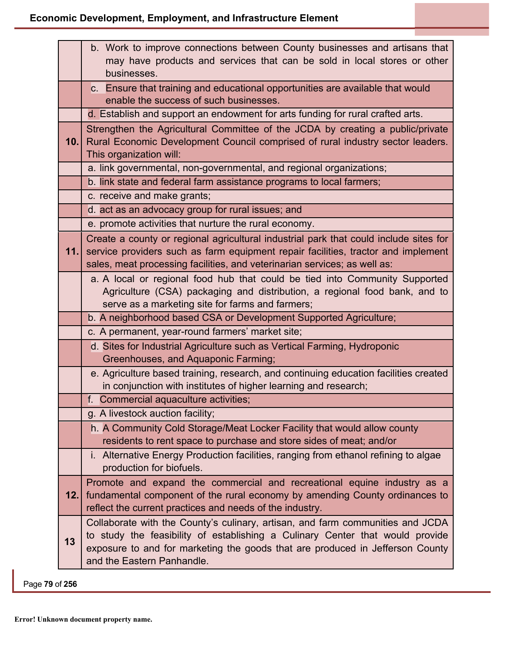|      | b. Work to improve connections between County businesses and artisans that<br>may have products and services that can be sold in local stores or other<br>businesses.                                                                                                          |
|------|--------------------------------------------------------------------------------------------------------------------------------------------------------------------------------------------------------------------------------------------------------------------------------|
|      | c. Ensure that training and educational opportunities are available that would<br>enable the success of such businesses.                                                                                                                                                       |
|      | d. Establish and support an endowment for arts funding for rural crafted arts.                                                                                                                                                                                                 |
| 10.1 | Strengthen the Agricultural Committee of the JCDA by creating a public/private<br>Rural Economic Development Council comprised of rural industry sector leaders.<br>This organization will:                                                                                    |
|      | a. link governmental, non-governmental, and regional organizations;                                                                                                                                                                                                            |
|      | b. link state and federal farm assistance programs to local farmers;                                                                                                                                                                                                           |
|      | c. receive and make grants;                                                                                                                                                                                                                                                    |
|      | d. act as an advocacy group for rural issues; and                                                                                                                                                                                                                              |
|      | e. promote activities that nurture the rural economy.                                                                                                                                                                                                                          |
| 11.  | Create a county or regional agricultural industrial park that could include sites for<br>service providers such as farm equipment repair facilities, tractor and implement<br>sales, meat processing facilities, and veterinarian services; as well as:                        |
|      | a. A local or regional food hub that could be tied into Community Supported<br>Agriculture (CSA) packaging and distribution, a regional food bank, and to<br>serve as a marketing site for farms and farmers;                                                                  |
|      | b. A neighborhood based CSA or Development Supported Agriculture;                                                                                                                                                                                                              |
|      | c. A permanent, year-round farmers' market site;                                                                                                                                                                                                                               |
|      | d. Sites for Industrial Agriculture such as Vertical Farming, Hydroponic<br>Greenhouses, and Aquaponic Farming;                                                                                                                                                                |
|      | e. Agriculture based training, research, and continuing education facilities created<br>in conjunction with institutes of higher learning and research;                                                                                                                        |
|      | f. Commercial aquaculture activities;                                                                                                                                                                                                                                          |
|      | g. A livestock auction facility;                                                                                                                                                                                                                                               |
|      | h. A Community Cold Storage/Meat Locker Facility that would allow county<br>residents to rent space to purchase and store sides of meat; and/or                                                                                                                                |
|      | i. Alternative Energy Production facilities, ranging from ethanol refining to algae<br>production for biofuels.                                                                                                                                                                |
| 12.  | Promote and expand the commercial and recreational equine industry as a<br>fundamental component of the rural economy by amending County ordinances to<br>reflect the current practices and needs of the industry.                                                             |
| 13   | Collaborate with the County's culinary, artisan, and farm communities and JCDA<br>to study the feasibility of establishing a Culinary Center that would provide<br>exposure to and for marketing the goods that are produced in Jefferson County<br>and the Eastern Panhandle. |

Page **79** of **256**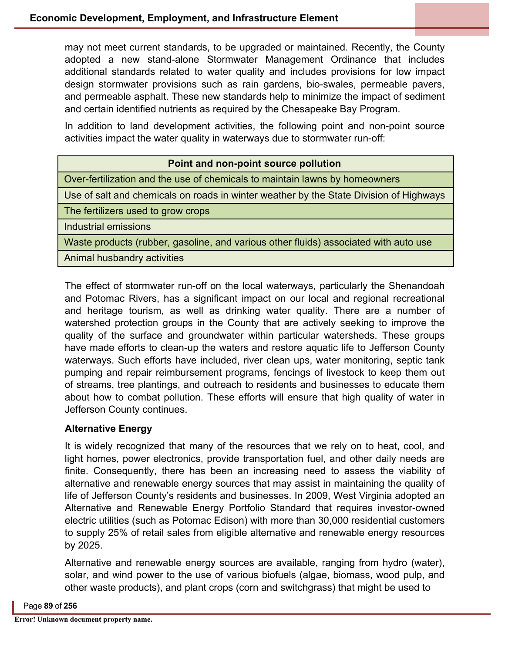may not meet current standards, to be upgraded or maintained. Recently, the County adopted a new stand-alone Stormwater Management Ordinance that includes additional standards related to water quality and includes provisions for low impact design stormwater provisions such as rain gardens, bio-swales, permeable pavers, and permeable asphalt. These new standards help to minimize the impact of sediment and certain identified nutrients as required by the Chesapeake Bay Program.

In addition to land development activities, the following point and non-point source activities impact the water quality in waterways due to stormwater run-off:

## **Point and non-point source pollution**

Over-fertilization and the use of chemicals to maintain lawns by homeowners

Use of salt and chemicals on roads in winter weather by the State Division of Highways

The fertilizers used to grow crops

Industrial emissions

Waste products (rubber, gasoline, and various other fluids) associated with auto use

Animal husbandry activities

The effect of stormwater run-off on the local waterways, particularly the Shenandoah and Potomac Rivers, has a significant impact on our local and regional recreational and heritage tourism, as well as drinking water quality. There are a number of watershed protection groups in the County that are actively seeking to improve the quality of the surface and groundwater within particular watersheds. These groups have made efforts to clean-up the waters and restore aquatic life to Jefferson County waterways. Such efforts have included, river clean ups, water monitoring, septic tank pumping and repair reimbursement programs, fencings of livestock to keep them out of streams, tree plantings, and outreach to residents and businesses to educate them about how to combat pollution. These efforts will ensure that high quality of water in Jefferson County continues.

## **Alternative Energy**

It is widely recognized that many of the resources that we rely on to heat, cool, and light homes, power electronics, provide transportation fuel, and other daily needs are finite. Consequently, there has been an increasing need to assess the viability of alternative and renewable energy sources that may assist in maintaining the quality of life of Jefferson County's residents and businesses. In 2009, West Virginia adopted an Alternative and Renewable Energy Portfolio Standard that requires investor-owned electric utilities (such as Potomac Edison) with more than 30,000 residential customers to supply 25% of retail sales from eligible alternative and renewable energy resources by 2025.

Alternative and renewable energy sources are available, ranging from hydro (water), solar, and wind power to the use of various biofuels (algae, biomass, wood pulp, and other waste products), and plant crops (corn and switchgrass) that might be used to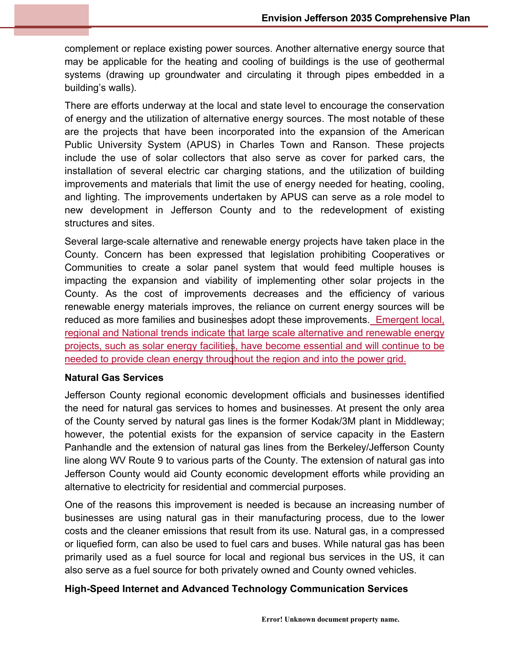complement or replace existing power sources. Another alternative energy source that may be applicable for the heating and cooling of buildings is the use of geothermal systems (drawing up groundwater and circulating it through pipes embedded in a building's walls).

There are efforts underway at the local and state level to encourage the conservation of energy and the utilization of alternative energy sources. The most notable of these are the projects that have been incorporated into the expansion of the American Public University System (APUS) in Charles Town and Ranson. These projects include the use of solar collectors that also serve as cover for parked cars, the installation of several electric car charging stations, and the utilization of building improvements and materials that limit the use of energy needed for heating, cooling, and lighting. The improvements undertaken by APUS can serve as a role model to new development in Jefferson County and to the redevelopment of existing structures and sites.

Several large-scale alternative and renewable energy projects have taken place in the County. Concern has been expressed that legislation prohibiting Cooperatives or Communities to create a solar panel system that would feed multiple houses is impacting the expansion and viability of implementing other solar projects in the County. As the cost of improvements decreases and the efficiency of various renewable energy materials improves, the reliance on current energy sources will be reduced as more families and businesses adopt these improvements. Emergent local, regional and National trends indicate that large scale alternative and renewable energy projects, such as solar energy facilities, have become essential and will continue to be needed to provide clean energy throughout the region and into the power grid.

## **Natural Gas Services**

Jefferson County regional economic development officials and businesses identified the need for natural gas services to homes and businesses. At present the only area of the County served by natural gas lines is the former Kodak/3M plant in Middleway; however, the potential exists for the expansion of service capacity in the Eastern Panhandle and the extension of natural gas lines from the Berkeley/Jefferson County line along WV Route 9 to various parts of the County. The extension of natural gas into Jefferson County would aid County economic development efforts while providing an alternative to electricity for residential and commercial purposes.

One of the reasons this improvement is needed is because an increasing number of businesses are using natural gas in their manufacturing process, due to the lower costs and the cleaner emissions that result from its use. Natural gas, in a compressed or liquefied form, can also be used to fuel cars and buses. While natural gas has been primarily used as a fuel source for local and regional bus services in the US, it can also serve as a fuel source for both privately owned and County owned vehicles.

## **High-Speed Internet and Advanced Technology Communication Services**